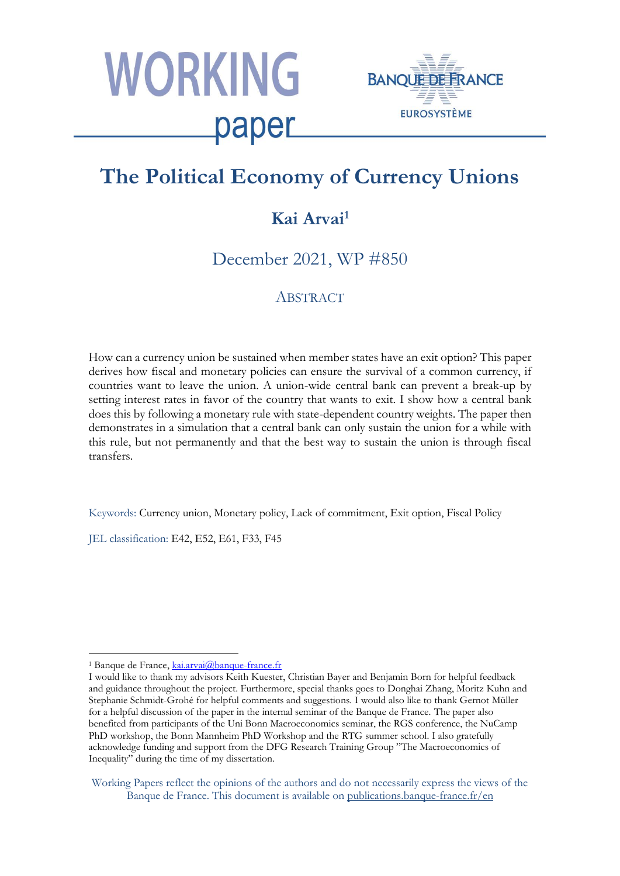



# **The Political Economy of Currency Unions**

# **Kai Arvai<sup>1</sup>**

December 2021, WP #850

### **ABSTRACT**

How can a currency union be sustained when member states have an exit option? This paper derives how fiscal and monetary policies can ensure the survival of a common currency, if countries want to leave the union. A union-wide central bank can prevent a break-up by setting interest rates in favor of the country that wants to exit. I show how a central bank does this by following a monetary rule with state-dependent country weights. The paper then demonstrates in a simulation that a central bank can only sustain the union for a while with this rule, but not permanently and that the best way to sustain the union is through fiscal transfers.

Keywords: Currency union, Monetary policy, Lack of commitment, Exit option, Fiscal Policy

JEL classification: E42, E52, E61, F33, F45

<sup>1</sup> <sup>1</sup> Banque de France, [kai.arvai@banque-france.fr](mailto:kai.arvai@banque-france.fr)

I would like to thank my advisors Keith Kuester, Christian Bayer and Benjamin Born for helpful feedback and guidance throughout the project. Furthermore, special thanks goes to Donghai Zhang, Moritz Kuhn and Stephanie Schmidt-Grohé for helpful comments and suggestions. I would also like to thank Gernot Müller for a helpful discussion of the paper in the internal seminar of the Banque de France. The paper also benefited from participants of the Uni Bonn Macroeconomics seminar, the RGS conference, the NuCamp PhD workshop, the Bonn Mannheim PhD Workshop and the RTG summer school. I also gratefully acknowledge funding and support from the DFG Research Training Group "The Macroeconomics of Inequality" during the time of my dissertation.

Working Papers reflect the opinions of the authors and do not necessarily express the views of the Banque de France. This document is available on [publications.banque-france.fr/en](https://publications.banque-france.fr/en)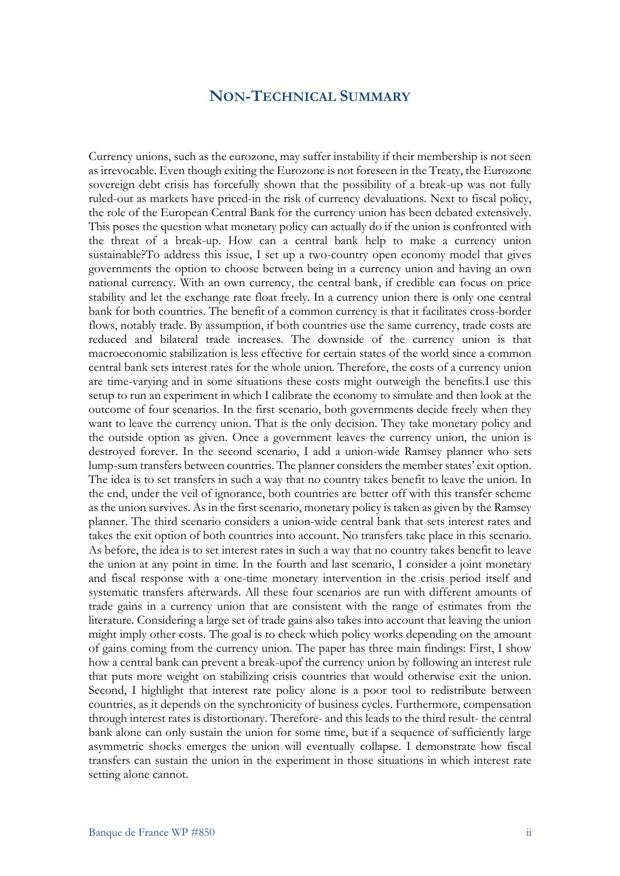### **NON-TECHNICAL SUMMARY**

Currency unions, such as the eurozone, may suffer instability if their membership is not seen as irrevocable. Even though exiting the Eurozone is not foreseen in the Treaty, the Eurozone sovereign debt crisis has forcefully shown that the possibility of a break-up was not fully ruled-out as markets have priced-in the risk of currency devaluations. Next to fiscal policy, the role of the European Central Bank for the currency union has been debated extensively. This poses the question what monetary policy can actually do if the union is confronted with the threat of a break-up. How can a central bank help to make a currency union sustainable?To address this issue, I set up a two-country open economy model that gives governments the option to choose between being in a currency union and having an own national currency. With an own currency, the central bank, if credible can focus on price stability and let the exchange rate float freely. In a currency union there is only one central bank for both countries. The benefit of a common currency is that it facilitates cross-border flows, notably trade. By assumption, if both countries use the same currency, trade costs are reduced and bilateral trade increases. The downside of the currency union is that macroeconomic stabilization is less effective for certain states of the world since a common central bank sets interest rates for the whole union. Therefore, the costs of a currency union are time-varying and in some situations these costs might outweigh the benefits.I use this setup to run an experiment in which I calibrate the economy to simulate and then look at the outcome of four scenarios. In the first scenario, both governments decide freely when they want to leave the currency union. That is the only decision. They take monetary policy and the outside option as given. Once a government leaves the currency union, the union is destroyed forever. In the second scenario, I add a union-wide Ramsey planner who sets lump-sum transfers between countries. The planner considers the member states' exit option. The idea is to set transfers in such a way that no country takes benefit to leave the union. In the end, under the veil of ignorance, both countries are better off with this transfer scheme as the union survives. As in the first scenario, monetary policy is taken as given by the Ramsey planner. The third scenario considers a union-wide central bank that sets interest rates and takes the exit option of both countries into account. No transfers take place in this scenario. As before, the idea is to set interest rates in such a way that no country takes benefit to leave the union at any point in time. In the fourth and last scenario, I consider a joint monetary and fiscal response with a one-time monetary intervention in the crisis period itself and systematic transfers afterwards. All these four scenarios are run with different amounts of trade gains in a currency union that are consistent with the range of estimates from the literature. Considering a large set of trade gains also takes into account that leaving the union might imply other costs. The goal is to check which policy works depending on the amount of gains coming from the currency union. The paper has three main findings: First, I show how a central bank can prevent a break-upof the currency union by following an interest rule that puts more weight on stabilizing crisis countries that would otherwise exit the union. Second, I highlight that interest rate policy alone is a poor tool to redistribute between countries, as it depends on the synchronicity of business cycles. Furthermore, compensation through interest rates is distortionary. Therefore- and this leads to the third result- the central bank alone can only sustain the union for some time, but if a sequence of sufficiently large asymmetric shocks emerges the union will eventually collapse. I demonstrate how fiscal transfers can sustain the union in the experiment in those situations in which interest rate setting alone cannot.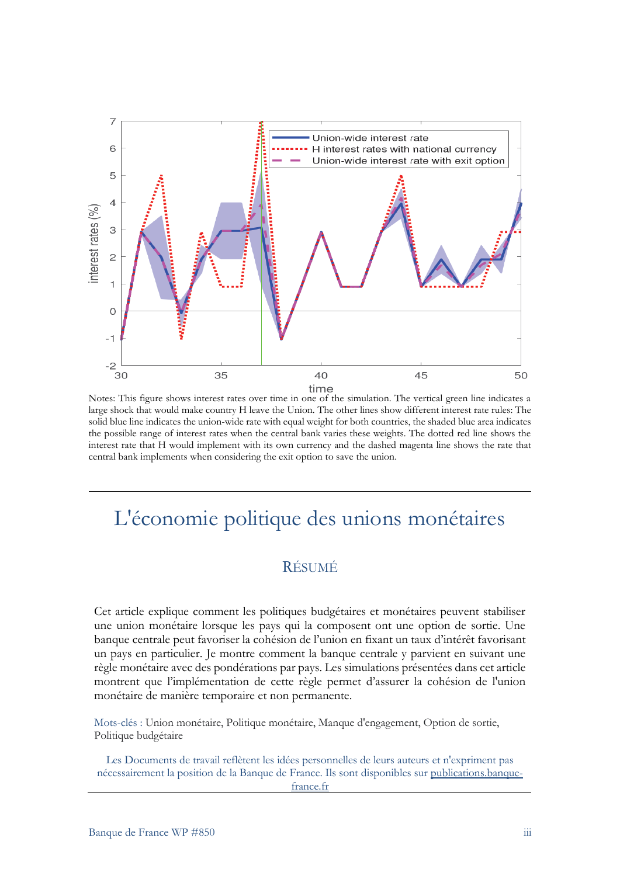

Notes: This figure shows interest rates over time in one of the simulation. The vertical green line indicates a large shock that would make country H leave the Union. The other lines show different interest rate rules: The solid blue line indicates the union-wide rate with equal weight for both countries, the shaded blue area indicates the possible range of interest rates when the central bank varies these weights. The dotted red line shows the interest rate that H would implement with its own currency and the dashed magenta line shows the rate that central bank implements when considering the exit option to save the union.

# L'économie politique des unions monétaires

## RÉSUMÉ

Cet article explique comment les politiques budgétaires et monétaires peuvent stabiliser une union monétaire lorsque les pays qui la composent ont une option de sortie. Une banque centrale peut favoriser la cohésion de l'union en fixant un taux d'intérêt favorisant un pays en particulier. Je montre comment la banque centrale y parvient en suivant une règle monétaire avec des pondérations par pays. Les simulations présentées dans cet article montrent que l'implémentation de cette règle permet d'assurer la cohésion de l'union monétaire de manière temporaire et non permanente.

Mots-clés : Union monétaire, Politique monétaire, Manque d'engagement, Option de sortie, Politique budgétaire

Les Documents de travail reflètent les idées personnelles de leurs auteurs et n'expriment pas nécessairement la position de la Banque de France. Ils sont disponibles sur [publications.banque](https://publications.banque-france.fr/)[france.fr](https://publications.banque-france.fr/)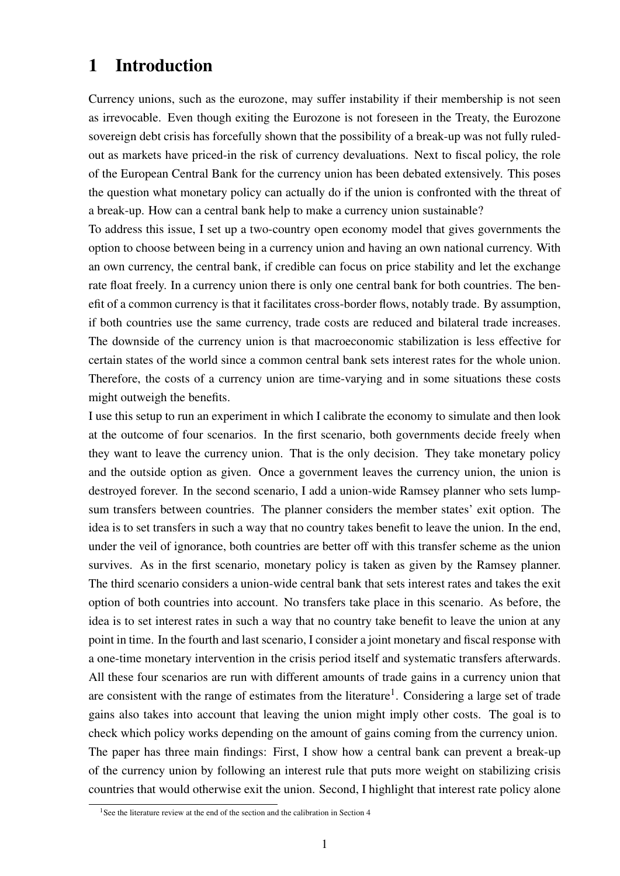# 1 Introduction

Currency unions, such as the eurozone, may suffer instability if their membership is not seen as irrevocable. Even though exiting the Eurozone is not foreseen in the Treaty, the Eurozone sovereign debt crisis has forcefully shown that the possibility of a break-up was not fully ruledout as markets have priced-in the risk of currency devaluations. Next to fiscal policy, the role of the European Central Bank for the currency union has been debated extensively. This poses the question what monetary policy can actually do if the union is confronted with the threat of a break-up. How can a central bank help to make a currency union sustainable?

To address this issue, I set up a two-country open economy model that gives governments the option to choose between being in a currency union and having an own national currency. With an own currency, the central bank, if credible can focus on price stability and let the exchange rate float freely. In a currency union there is only one central bank for both countries. The benefit of a common currency is that it facilitates cross-border flows, notably trade. By assumption, if both countries use the same currency, trade costs are reduced and bilateral trade increases. The downside of the currency union is that macroeconomic stabilization is less effective for certain states of the world since a common central bank sets interest rates for the whole union. Therefore, the costs of a currency union are time-varying and in some situations these costs might outweigh the benefits.

I use this setup to run an experiment in which I calibrate the economy to simulate and then look at the outcome of four scenarios. In the first scenario, both governments decide freely when they want to leave the currency union. That is the only decision. They take monetary policy and the outside option as given. Once a government leaves the currency union, the union is destroyed forever. In the second scenario, I add a union-wide Ramsey planner who sets lumpsum transfers between countries. The planner considers the member states' exit option. The idea is to set transfers in such a way that no country takes benefit to leave the union. In the end, under the veil of ignorance, both countries are better off with this transfer scheme as the union survives. As in the first scenario, monetary policy is taken as given by the Ramsey planner. The third scenario considers a union-wide central bank that sets interest rates and takes the exit option of both countries into account. No transfers take place in this scenario. As before, the idea is to set interest rates in such a way that no country take benefit to leave the union at any point in time. In the fourth and last scenario, I consider a joint monetary and fiscal response with a one-time monetary intervention in the crisis period itself and systematic transfers afterwards. All these four scenarios are run with different amounts of trade gains in a currency union that are consistent with the range of estimates from the literature<sup>[1](#page-3-0)</sup>. Considering a large set of trade gains also takes into account that leaving the union might imply other costs. The goal is to check which policy works depending on the amount of gains coming from the currency union. The paper has three main findings: First, I show how a central bank can prevent a break-up of the currency union by following an interest rule that puts more weight on stabilizing crisis countries that would otherwise exit the union. Second, I highlight that interest rate policy alone

<span id="page-3-0"></span><sup>&</sup>lt;sup>1</sup>See the literature review at the end of the section and the calibration in Section [4](#page-22-0)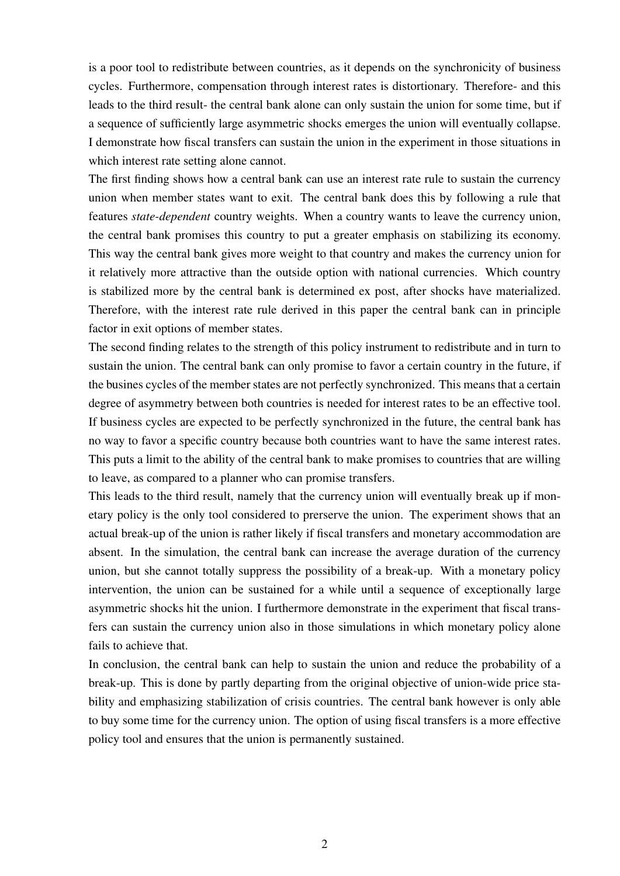is a poor tool to redistribute between countries, as it depends on the synchronicity of business cycles. Furthermore, compensation through interest rates is distortionary. Therefore- and this leads to the third result- the central bank alone can only sustain the union for some time, but if a sequence of sufficiently large asymmetric shocks emerges the union will eventually collapse. I demonstrate how fiscal transfers can sustain the union in the experiment in those situations in which interest rate setting alone cannot.

The first finding shows how a central bank can use an interest rate rule to sustain the currency union when member states want to exit. The central bank does this by following a rule that features *state-dependent* country weights. When a country wants to leave the currency union, the central bank promises this country to put a greater emphasis on stabilizing its economy. This way the central bank gives more weight to that country and makes the currency union for it relatively more attractive than the outside option with national currencies. Which country is stabilized more by the central bank is determined ex post, after shocks have materialized. Therefore, with the interest rate rule derived in this paper the central bank can in principle factor in exit options of member states.

The second finding relates to the strength of this policy instrument to redistribute and in turn to sustain the union. The central bank can only promise to favor a certain country in the future, if the busines cycles of the member states are not perfectly synchronized. This means that a certain degree of asymmetry between both countries is needed for interest rates to be an effective tool. If business cycles are expected to be perfectly synchronized in the future, the central bank has no way to favor a specific country because both countries want to have the same interest rates. This puts a limit to the ability of the central bank to make promises to countries that are willing to leave, as compared to a planner who can promise transfers.

This leads to the third result, namely that the currency union will eventually break up if monetary policy is the only tool considered to prerserve the union. The experiment shows that an actual break-up of the union is rather likely if fiscal transfers and monetary accommodation are absent. In the simulation, the central bank can increase the average duration of the currency union, but she cannot totally suppress the possibility of a break-up. With a monetary policy intervention, the union can be sustained for a while until a sequence of exceptionally large asymmetric shocks hit the union. I furthermore demonstrate in the experiment that fiscal transfers can sustain the currency union also in those simulations in which monetary policy alone fails to achieve that.

In conclusion, the central bank can help to sustain the union and reduce the probability of a break-up. This is done by partly departing from the original objective of union-wide price stability and emphasizing stabilization of crisis countries. The central bank however is only able to buy some time for the currency union. The option of using fiscal transfers is a more effective policy tool and ensures that the union is permanently sustained.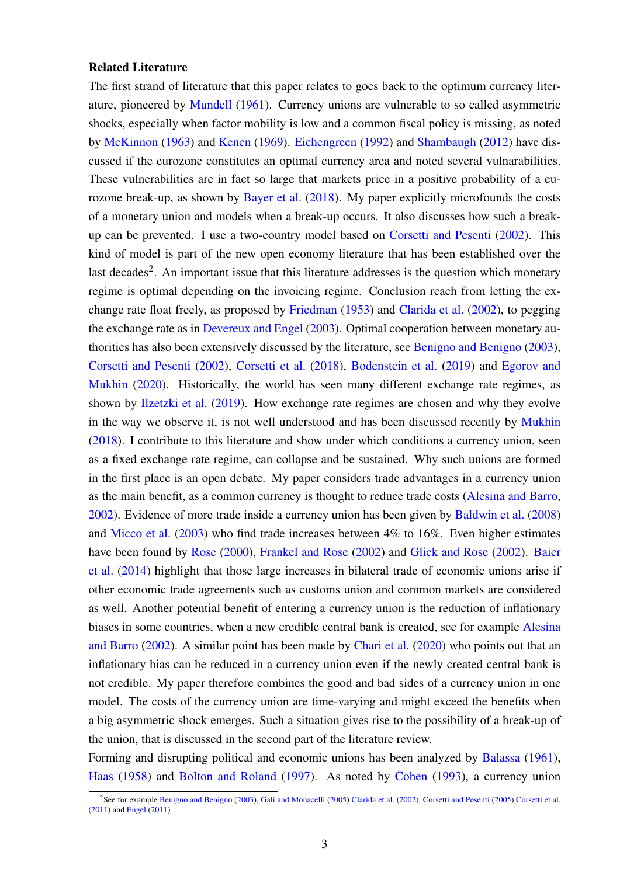#### Related Literature

The first strand of literature that this paper relates to goes back to the optimum currency literature, pioneered by [Mundell](#page-38-0) [\(1961\)](#page-38-0). Currency unions are vulnerable to so called asymmetric shocks, especially when factor mobility is low and a common fiscal policy is missing, as noted by [McKinnon](#page-37-0) [\(1963\)](#page-37-0) and [Kenen](#page-37-1) [\(1969\)](#page-37-1). [Eichengreen](#page-36-0) [\(1992\)](#page-36-0) and [Shambaugh](#page-38-1) [\(2012\)](#page-38-1) have discussed if the eurozone constitutes an optimal currency area and noted several vulnarabilities. These vulnerabilities are in fact so large that markets price in a positive probability of a eurozone break-up, as shown by [Bayer et al.](#page-35-0) [\(2018\)](#page-35-0). My paper explicitly microfounds the costs of a monetary union and models when a break-up occurs. It also discusses how such a breakup can be prevented. I use a two-country model based on [Corsetti and Pesenti](#page-36-1) [\(2002\)](#page-36-1). This kind of model is part of the new open economy literature that has been established over the last decades<sup>[2](#page-5-0)</sup>. An important issue that this literature addresses is the question which monetary regime is optimal depending on the invoicing regime. Conclusion reach from letting the exchange rate float freely, as proposed by [Friedman](#page-36-2) [\(1953\)](#page-36-2) and [Clarida et al.](#page-35-1) [\(2002\)](#page-35-1), to pegging the exchange rate as in [Devereux and Engel](#page-36-3) [\(2003\)](#page-36-3). Optimal cooperation between monetary authorities has also been extensively discussed by the literature, see [Benigno and Benigno](#page-35-2) [\(2003\)](#page-35-2), [Corsetti and Pesenti](#page-36-1) [\(2002\)](#page-36-1), [Corsetti et al.](#page-36-4) [\(2018\)](#page-36-4), [Bodenstein et al.](#page-35-3) [\(2019\)](#page-35-3) and [Egorov and](#page-36-5) [Mukhin](#page-36-5) [\(2020\)](#page-36-5). Historically, the world has seen many different exchange rate regimes, as shown by [Ilzetzki et al.](#page-37-2) [\(2019\)](#page-37-2). How exchange rate regimes are chosen and why they evolve in the way we observe it, is not well understood and has been discussed recently by [Mukhin](#page-37-3) [\(2018\)](#page-37-3). I contribute to this literature and show under which conditions a currency union, seen as a fixed exchange rate regime, can collapse and be sustained. Why such unions are formed in the first place is an open debate. My paper considers trade advantages in a currency union as the main benefit, as a common currency is thought to reduce trade costs [\(Alesina and Barro,](#page-35-4) [2002\)](#page-35-4). Evidence of more trade inside a currency union has been given by [Baldwin et al.](#page-35-5) [\(2008\)](#page-35-5) and [Micco et al.](#page-37-4) [\(2003\)](#page-37-4) who find trade increases between 4% to 16%. Even higher estimates have been found by [Rose](#page-38-2) [\(2000\)](#page-38-2), [Frankel and Rose](#page-36-6) [\(2002\)](#page-37-5) and [Glick and Rose](#page-37-5) (2002). [Baier](#page-35-6) [et al.](#page-35-6) [\(2014\)](#page-35-6) highlight that those large increases in bilateral trade of economic unions arise if other economic trade agreements such as customs union and common markets are considered as well. Another potential benefit of entering a currency union is the reduction of inflationary biases in some countries, when a new credible central bank is created, see for example [Alesina](#page-35-4) [and Barro](#page-35-4) [\(2002\)](#page-35-4). A similar point has been made by [Chari et al.](#page-35-7) [\(2020\)](#page-35-7) who points out that an inflationary bias can be reduced in a currency union even if the newly created central bank is not credible. My paper therefore combines the good and bad sides of a currency union in one model. The costs of the currency union are time-varying and might exceed the benefits when a big asymmetric shock emerges. Such a situation gives rise to the possibility of a break-up of the union, that is discussed in the second part of the literature review.

Forming and disrupting political and economic unions has been analyzed by [Balassa](#page-35-8) [\(1961\)](#page-35-8), [Haas](#page-37-6) [\(1958\)](#page-37-6) and [Bolton and Roland](#page-35-9) [\(1997\)](#page-35-9). As noted by [Cohen](#page-35-10) [\(1993\)](#page-35-10), a currency union

<span id="page-5-0"></span><sup>&</sup>lt;sup>2</sup>See for example [Benigno and Benigno](#page-35-2) [\(2003\)](#page-35-2), [Gali and Monacelli](#page-37-7) [\(2005\)](#page-36-7) [Clarida et al.](#page-35-1) [\(2002\)](#page-35-1), [Corsetti and Pesenti](#page-36-7) (2005), Corsetti et al. [\(2011\)](#page-36-8) and [Engel](#page-36-9) [\(2011\)](#page-36-9)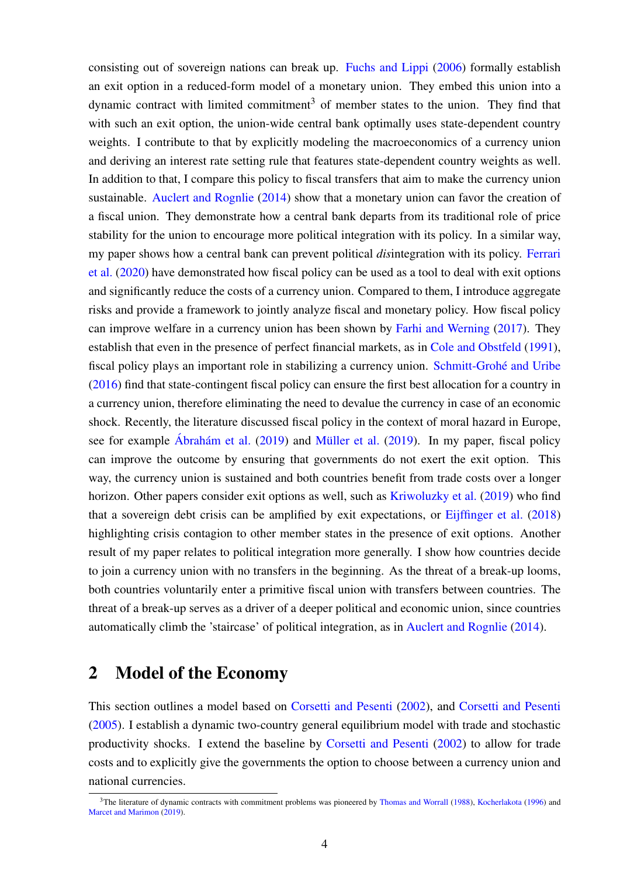consisting out of sovereign nations can break up. [Fuchs and Lippi](#page-36-10) [\(2006\)](#page-36-10) formally establish an exit option in a reduced-form model of a monetary union. They embed this union into a dynamic contract with limited commitment<sup>[3](#page-6-0)</sup> of member states to the union. They find that with such an exit option, the union-wide central bank optimally uses state-dependent country weights. I contribute to that by explicitly modeling the macroeconomics of a currency union and deriving an interest rate setting rule that features state-dependent country weights as well. In addition to that, I compare this policy to fiscal transfers that aim to make the currency union sustainable. [Auclert and Rognlie](#page-35-11) [\(2014\)](#page-35-11) show that a monetary union can favor the creation of a fiscal union. They demonstrate how a central bank departs from its traditional role of price stability for the union to encourage more political integration with its policy. In a similar way, my paper shows how a central bank can prevent political *dis*integration with its policy. [Ferrari](#page-36-11) [et al.](#page-36-11) [\(2020\)](#page-36-11) have demonstrated how fiscal policy can be used as a tool to deal with exit options and significantly reduce the costs of a currency union. Compared to them, I introduce aggregate risks and provide a framework to jointly analyze fiscal and monetary policy. How fiscal policy can improve welfare in a currency union has been shown by [Farhi and Werning](#page-36-12) [\(2017\)](#page-36-12). They establish that even in the presence of perfect financial markets, as in [Cole and Obstfeld](#page-35-12) [\(1991\)](#page-35-12), fiscal policy plays an important role in stabilizing a currency union. Schmitt-Grohé and Uribe [\(2016\)](#page-38-3) find that state-contingent fiscal policy can ensure the first best allocation for a country in a currency union, therefore eliminating the need to devalue the currency in case of an economic shock. Recently, the literature discussed fiscal policy in the context of moral hazard in Europe, see for example  $\acute{A}$ brahám et al. [\(2019\)](#page-37-8) and Müller et al. (2019). In my paper, fiscal policy can improve the outcome by ensuring that governments do not exert the exit option. This way, the currency union is sustained and both countries benefit from trade costs over a longer horizon. Other papers consider exit options as well, such as [Kriwoluzky et al.](#page-37-9) [\(2019\)](#page-37-9) who find that a sovereign debt crisis can be amplified by exit expectations, or [Eijffinger et al.](#page-36-13) [\(2018\)](#page-36-13) highlighting crisis contagion to other member states in the presence of exit options. Another result of my paper relates to political integration more generally. I show how countries decide to join a currency union with no transfers in the beginning. As the threat of a break-up looms, both countries voluntarily enter a primitive fiscal union with transfers between countries. The threat of a break-up serves as a driver of a deeper political and economic union, since countries automatically climb the 'staircase' of political integration, as in [Auclert and Rognlie](#page-35-11) [\(2014\)](#page-35-11).

### 2 Model of the Economy

This section outlines a model based on [Corsetti and Pesenti](#page-36-1) [\(2002\)](#page-36-1), and [Corsetti and Pesenti](#page-36-7) [\(2005\)](#page-36-7). I establish a dynamic two-country general equilibrium model with trade and stochastic productivity shocks. I extend the baseline by [Corsetti and Pesenti](#page-36-1) [\(2002\)](#page-36-1) to allow for trade costs and to explicitly give the governments the option to choose between a currency union and national currencies.

<span id="page-6-0"></span><sup>&</sup>lt;sup>3</sup>The literature of dynamic contracts with commitment problems was pioneered by [Thomas and Worrall](#page-38-4) [\(1988\)](#page-38-4), [Kocherlakota](#page-37-10) [\(1996\)](#page-37-10) and [Marcet and Marimon](#page-37-11) [\(2019\)](#page-37-11).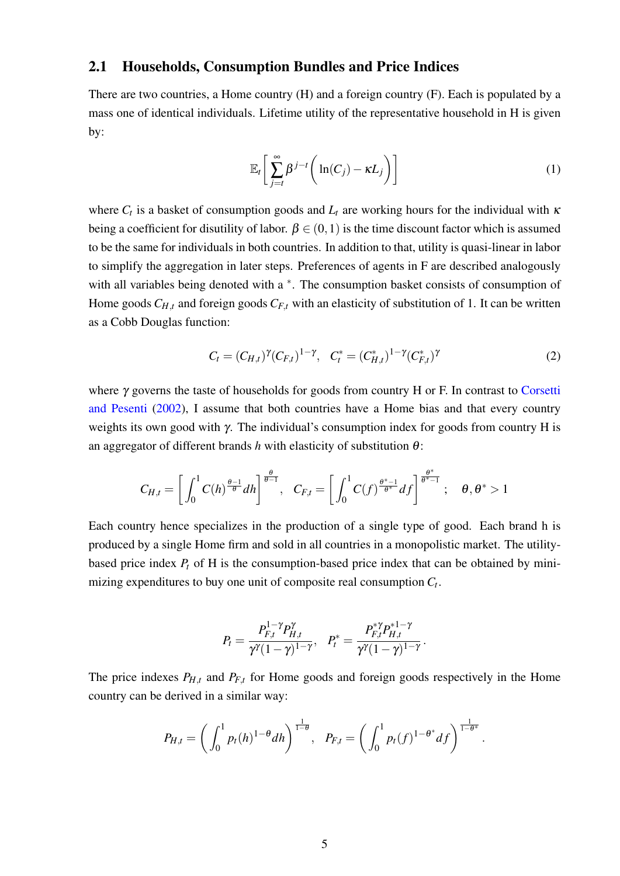### 2.1 Households, Consumption Bundles and Price Indices

There are two countries, a Home country (H) and a foreign country (F). Each is populated by a mass one of identical individuals. Lifetime utility of the representative household in H is given by:

<span id="page-7-0"></span>
$$
\mathbb{E}_t \bigg[ \sum_{j=t}^{\infty} \beta^{j-t} \bigg( \ln(C_j) - \kappa L_j \bigg) \bigg]
$$
 (1)

where  $C_t$  is a basket of consumption goods and  $L_t$  are working hours for the individual with  $\kappa$ being a coefficient for disutility of labor.  $\beta \in (0,1)$  is the time discount factor which is assumed to be the same for individuals in both countries. In addition to that, utility is quasi-linear in labor to simplify the aggregation in later steps. Preferences of agents in F are described analogously with all variables being denoted with a  $*$ . The consumption basket consists of consumption of Home goods  $C_{H,t}$  and foreign goods  $C_{F,t}$  with an elasticity of substitution of 1. It can be written as a Cobb Douglas function:

<span id="page-7-1"></span>
$$
C_t = (C_{H,t})^{\gamma} (C_{F,t})^{1-\gamma}, \quad C_t^* = (C_{H,t}^*)^{1-\gamma} (C_{F,t}^*)^{\gamma}
$$
 (2)

where γ governs the taste of households for goods from country H or F. In contrast to [Corsetti](#page-36-1) [and Pesenti](#page-36-1) [\(2002\)](#page-36-1), I assume that both countries have a Home bias and that every country weights its own good with  $\gamma$ . The individual's consumption index for goods from country H is an aggregator of different brands  $h$  with elasticity of substitution  $\theta$ :

$$
C_{H,t}=\left[\int_0^1 C(h)^{\frac{\theta-1}{\theta}}dh\right]^{\frac{\theta}{\theta-1}},\quad C_{F,t}=\left[\int_0^1 C(f)^{\frac{\theta^*-1}{\theta^*}}df\right]^{\frac{\theta^*}{\theta^*-1}};\quad \theta,\theta^*>1
$$

Each country hence specializes in the production of a single type of good. Each brand h is produced by a single Home firm and sold in all countries in a monopolistic market. The utilitybased price index *P<sup>t</sup>* of H is the consumption-based price index that can be obtained by minimizing expenditures to buy one unit of composite real consumption *C<sup>t</sup>* .

$$
P_t = \frac{P_{F,t}^{1-\gamma} P_{H,t}^{\gamma}}{\gamma^{\gamma}(1-\gamma)^{1-\gamma}}, \quad P_t^* = \frac{P_{F,t}^{*\gamma} P_{H,t}^{*1-\gamma}}{\gamma^{\gamma}(1-\gamma)^{1-\gamma}}.
$$

The price indexes  $P_{H,t}$  and  $P_{F,t}$  for Home goods and foreign goods respectively in the Home country can be derived in a similar way:

$$
P_{H,t} = \left(\int_0^1 p_t(h)^{1-\theta} dh\right)^{\frac{1}{1-\theta}}, \quad P_{F,t} = \left(\int_0^1 p_t(f)^{1-\theta^*} df\right)^{\frac{1}{1-\theta^*}}.
$$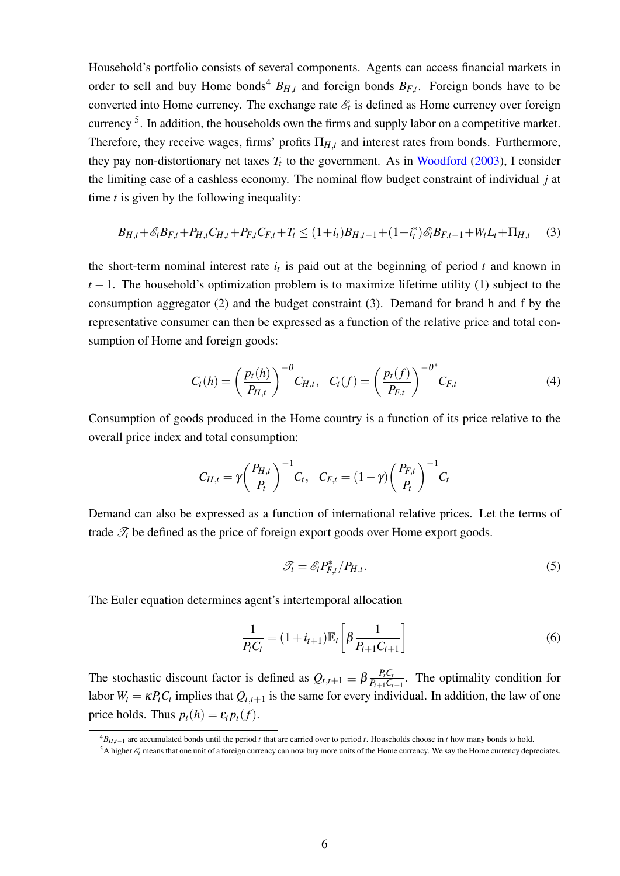Household's portfolio consists of several components. Agents can access financial markets in order to sell and buy Home bonds<sup>[4](#page-8-0)</sup>  $B_{H,t}$  and foreign bonds  $B_{F,t}$ . Foreign bonds have to be converted into Home currency. The exchange rate  $\mathscr{E}_t$  is defined as Home currency over foreign currency<sup>[5](#page-8-1)</sup>. In addition, the households own the firms and supply labor on a competitive market. Therefore, they receive wages, firms' profits  $\Pi_{H,t}$  and interest rates from bonds. Furthermore, they pay non-distortionary net taxes  $T_t$  to the government. As in [Woodford](#page-38-5) [\(2003\)](#page-38-5), I consider the limiting case of a cashless economy. The nominal flow budget constraint of individual *j* at time *t* is given by the following inequality:

$$
B_{H,t} + \mathcal{E}_t B_{F,t} + P_{H,t} C_{H,t} + P_{F,t} C_{F,t} + T_t \le (1 + i_t) B_{H,t-1} + (1 + i_t^*) \mathcal{E}_t B_{F,t-1} + W_t L_t + \Pi_{H,t} \tag{3}
$$

the short-term nominal interest rate  $i_t$  is paid out at the beginning of period  $t$  and known in  $t-1$ . The household's optimization problem is to maximize lifetime utility [\(1\)](#page-7-0) subject to the consumption aggregator [\(2\)](#page-7-1) and the budget constraint [\(3\)](#page-8-2). Demand for brand h and f by the representative consumer can then be expressed as a function of the relative price and total consumption of Home and foreign goods:

<span id="page-8-2"></span>
$$
C_t(h) = \left(\frac{p_t(h)}{P_{H,t}}\right)^{-\theta} C_{H,t}, \quad C_t(f) = \left(\frac{p_t(f)}{P_{F,t}}\right)^{-\theta^*} C_{F,t}
$$
(4)

Consumption of goods produced in the Home country is a function of its price relative to the overall price index and total consumption:

$$
C_{H,t} = \gamma \bigg(\frac{P_{H,t}}{P_t}\bigg)^{-1} C_t, \quad C_{F,t} = (1-\gamma) \bigg(\frac{P_{F,t}}{P_t}\bigg)^{-1} C_t
$$

Demand can also be expressed as a function of international relative prices. Let the terms of trade  $\mathcal{T}_t$  be defined as the price of foreign export goods over Home export goods.

<span id="page-8-3"></span>
$$
\mathcal{T}_t = \mathcal{E}_t P_{F,t}^* / P_{H,t}.
$$
\n<sup>(5)</sup>

The Euler equation determines agent's intertemporal allocation

$$
\frac{1}{P_t C_t} = (1 + i_{t+1}) \mathbb{E}_t \left[ \beta \frac{1}{P_{t+1} C_{t+1}} \right]
$$
\n(6)

The stochastic discount factor is defined as  $Q_{t,t+1} \equiv \beta \frac{P_t C_t}{P_{t+1} C_t}$  $\frac{P_t C_t}{P_{t+1} C_{t+1}}$ . The optimality condition for labor  $W_t = \kappa P_t C_t$  implies that  $Q_{t,t+1}$  is the same for every individual. In addition, the law of one price holds. Thus  $p_t(h) = \varepsilon_t p_t(f)$ .

<span id="page-8-0"></span><sup>4</sup>*BH*,*t*−<sup>1</sup> are accumulated bonds until the period *t* that are carried over to period *t*. Households choose in *t* how many bonds to hold.

<span id="page-8-1"></span><sup>&</sup>lt;sup>5</sup>A higher  $\mathscr{E}_t$  means that one unit of a foreign currency can now buy more units of the Home currency. We say the Home currency depreciates.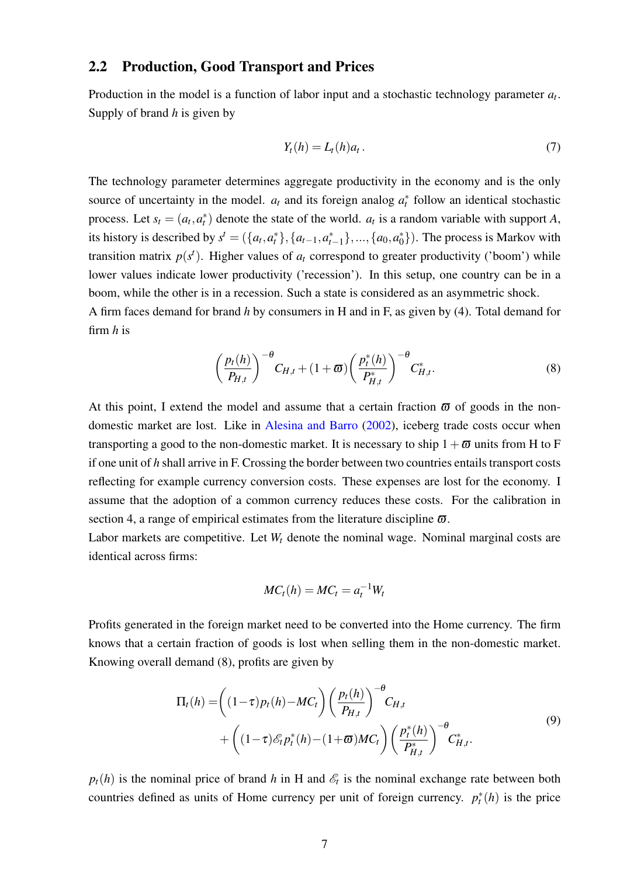#### 2.2 Production, Good Transport and Prices

Production in the model is a function of labor input and a stochastic technology parameter *a<sup>t</sup>* . Supply of brand *h* is given by

<span id="page-9-2"></span>
$$
Y_t(h) = L_t(h)a_t.
$$
\n<sup>(7)</sup>

The technology parameter determines aggregate productivity in the economy and is the only source of uncertainty in the model.  $a_t$  and its foreign analog  $a_t^*$  follow an identical stochastic process. Let  $s_t = (a_t, a_t^*)$  denote the state of the world.  $a_t$  is a random variable with support *A*, its history is described by  $s^t = (\{a_t, a_t^*\}, \{a_{t-1}, a_{t-1}^*\}, ..., \{a_0, a_0^*\})$  $\binom{*}{0}$ ). The process is Markov with transition matrix  $p(s^t)$ . Higher values of  $a_t$  correspond to greater productivity ('boom') while lower values indicate lower productivity ('recession'). In this setup, one country can be in a boom, while the other is in a recession. Such a state is considered as an asymmetric shock. A firm faces demand for brand *h* by consumers in H and in F, as given by [\(4\)](#page-8-3). Total demand for firm *h* is

<span id="page-9-0"></span>
$$
\left(\frac{p_t(h)}{P_{H,t}}\right)^{-\theta}C_{H,t} + (1+\varpi)\left(\frac{p_t^*(h)}{P_{H,t}^*}\right)^{-\theta}C_{H,t}^*.
$$
\n(8)

At this point, I extend the model and assume that a certain fraction  $\bar{\omega}$  of goods in the nondomestic market are lost. Like in [Alesina and Barro](#page-35-4) [\(2002\)](#page-35-4), iceberg trade costs occur when transporting a good to the non-domestic market. It is necessary to ship  $1+\varpi$  units from H to F if one unit of *h* shall arrive in F. Crossing the border between two countries entails transport costs reflecting for example currency conversion costs. These expenses are lost for the economy. I assume that the adoption of a common currency reduces these costs. For the calibration in section [4,](#page-22-0) a range of empirical estimates from the literature discipline  $\varpi$ .

Labor markets are competitive. Let *W<sup>t</sup>* denote the nominal wage. Nominal marginal costs are identical across firms:

<span id="page-9-1"></span>
$$
MC_t(h) = MC_t = a_t^{-1}W_t
$$

Profits generated in the foreign market need to be converted into the Home currency. The firm knows that a certain fraction of goods is lost when selling them in the non-domestic market. Knowing overall demand [\(8\)](#page-9-0), profits are given by

$$
\Pi_t(h) = \left( (1-\tau)p_t(h) - MC_t \right) \left( \frac{p_t(h)}{P_{H,t}} \right)^{-\theta} C_{H,t} + \left( (1-\tau)\mathcal{E}_t p_t^*(h) - (1+\varpi)MC_t \right) \left( \frac{p_t^*(h)}{P_{H,t}^*} \right)^{-\theta} C_{H,t}^*.
$$
\n(9)

 $p_t(h)$  is the nominal price of brand *h* in H and  $\mathscr{E}_t$  is the nominal exchange rate between both countries defined as units of Home currency per unit of foreign currency.  $p_t^*(h)$  is the price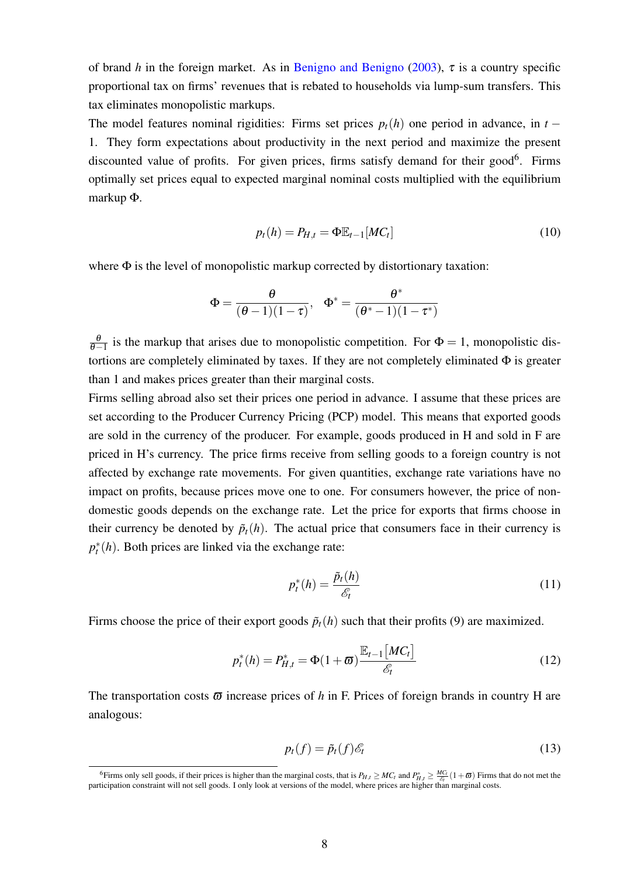of brand *h* in the foreign market. As in [Benigno and Benigno](#page-35-2) [\(2003\)](#page-35-2), τ is a country specific proportional tax on firms' revenues that is rebated to households via lump-sum transfers. This tax eliminates monopolistic markups.

The model features nominal rigidities: Firms set prices  $p_t(h)$  one period in advance, in  $t -$ 1. They form expectations about productivity in the next period and maximize the present discounted value of profits. For given prices, firms satisfy demand for their good<sup>[6](#page-10-0)</sup>. Firms optimally set prices equal to expected marginal nominal costs multiplied with the equilibrium markup Φ.

$$
p_t(h) = P_{H,t} = \Phi \mathbb{E}_{t-1}[MC_t]
$$
\n(10)

where  $\Phi$  is the level of monopolistic markup corrected by distortionary taxation:

$$
\Phi=\frac{\theta}{(\theta-1)(1-\tau)},\quad \Phi^*=\frac{\theta^*}{(\theta^*-1)(1-\tau^*)}
$$

 $\frac{\theta}{\theta-1}$  is the markup that arises due to monopolistic competition. For  $\Phi = 1$ , monopolistic distortions are completely eliminated by taxes. If they are not completely eliminated  $\Phi$  is greater than 1 and makes prices greater than their marginal costs.

Firms selling abroad also set their prices one period in advance. I assume that these prices are set according to the Producer Currency Pricing (PCP) model. This means that exported goods are sold in the currency of the producer. For example, goods produced in H and sold in F are priced in H's currency. The price firms receive from selling goods to a foreign country is not affected by exchange rate movements. For given quantities, exchange rate variations have no impact on profits, because prices move one to one. For consumers however, the price of nondomestic goods depends on the exchange rate. Let the price for exports that firms choose in their currency be denoted by  $\tilde{p}_t(h)$ . The actual price that consumers face in their currency is  $p_t^*(h)$ . Both prices are linked via the exchange rate:

<span id="page-10-1"></span>
$$
p_t^*(h) = \frac{\tilde{p}_t(h)}{\mathscr{E}_t} \tag{11}
$$

Firms choose the price of their export goods  $\tilde{p}_t(h)$  such that their profits [\(9\)](#page-9-1) are maximized.

$$
p_t^*(h) = P_{H,t}^* = \Phi(1+\varpi) \frac{\mathbb{E}_{t-1}[MC_t]}{\mathscr{E}_t}
$$
 (12)

The transportation costs  $\bar{\omega}$  increase prices of h in F. Prices of foreign brands in country H are analogous:

<span id="page-10-2"></span>
$$
p_t(f) = \tilde{p}_t(f)\mathscr{E}_t \tag{13}
$$

<span id="page-10-0"></span><sup>6</sup>Firms only sell goods, if their prices is higher than the marginal costs, that is  $P_{H,t} \geq MC_t$  and  $P_{H,t}^* \geq \frac{MC_t}{\mathcal{E}_t} (1+\varpi)$  Firms that do not met the participation constraint will not sell goods. I only look at versions of the model, where prices are higher than marginal costs.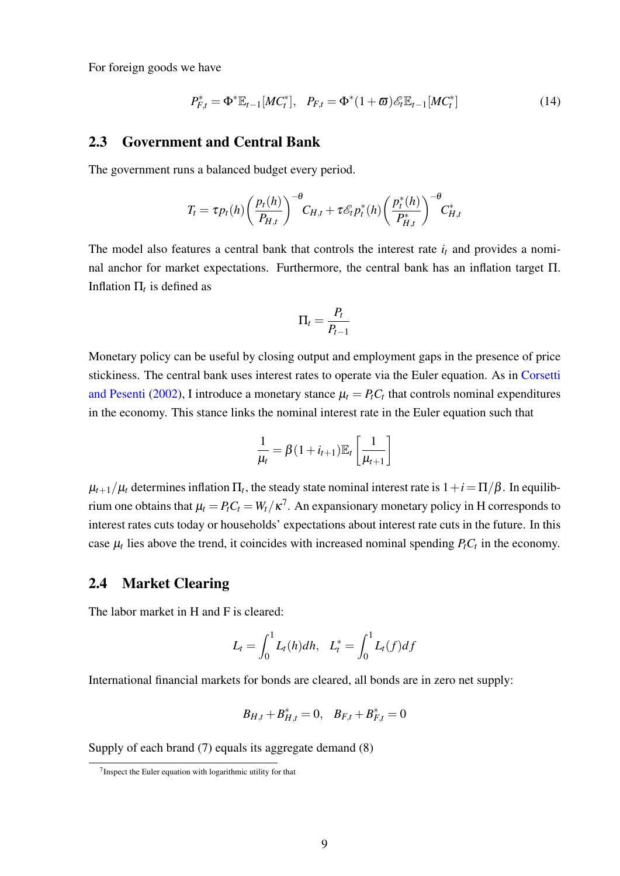For foreign goods we have

$$
P_{F,t}^* = \Phi^* \mathbb{E}_{t-1}[MC_t^*], \quad P_{F,t} = \Phi^*(1+\varpi)\mathscr{E}_t \mathbb{E}_{t-1}[MC_t^*]
$$
(14)

#### 2.3 Government and Central Bank

The government runs a balanced budget every period.

$$
T_t = \tau p_t(h) \left(\frac{p_t(h)}{P_{H,t}}\right)^{-\theta} C_{H,t} + \tau \mathcal{E}_t p_t^*(h) \left(\frac{p_t^*(h)}{P_{H,t}^*}\right)^{-\theta} C_{H,t}^*
$$

The model also features a central bank that controls the interest rate  $i_t$  and provides a nominal anchor for market expectations. Furthermore, the central bank has an inflation target Π. Inflation  $\Pi_t$  is defined as

$$
\Pi_t = \frac{P_t}{P_{t-1}}
$$

Monetary policy can be useful by closing output and employment gaps in the presence of price stickiness. The central bank uses interest rates to operate via the Euler equation. As in [Corsetti](#page-36-1) [and Pesenti](#page-36-1) [\(2002\)](#page-36-1), I introduce a monetary stance  $\mu_t = P_t C_t$  that controls nominal expenditures in the economy. This stance links the nominal interest rate in the Euler equation such that

$$
\frac{1}{\mu_t} = \beta (1 + i_{t+1}) \mathbb{E}_t \left[ \frac{1}{\mu_{t+1}} \right]
$$

 $\mu_{t+1}/\mu_t$  determines inflation  $\Pi_t$ , the steady state nominal interest rate is  $1+i=\Pi/\beta$ . In equilibrium one obtains that  $\mu_t = P_t C_t = W_t / \kappa^7$  $\mu_t = P_t C_t = W_t / \kappa^7$ . An expansionary monetary policy in H corresponds to interest rates cuts today or households' expectations about interest rate cuts in the future. In this case  $\mu_t$  lies above the trend, it coincides with increased nominal spending  $P_t C_t$  in the economy.

### 2.4 Market Clearing

The labor market in H and F is cleared:

$$
L_t = \int_0^1 L_t(h) dh, \quad L_t^* = \int_0^1 L_t(f) df
$$

International financial markets for bonds are cleared, all bonds are in zero net supply:

$$
B_{H,t} + B_{H,t}^* = 0, \quad B_{F,t} + B_{F,t}^* = 0
$$

Supply of each brand [\(7\)](#page-9-2) equals its aggregate demand [\(8\)](#page-9-0)

<span id="page-11-0"></span><sup>&</sup>lt;sup>7</sup> Inspect the Euler equation with logarithmic utility for that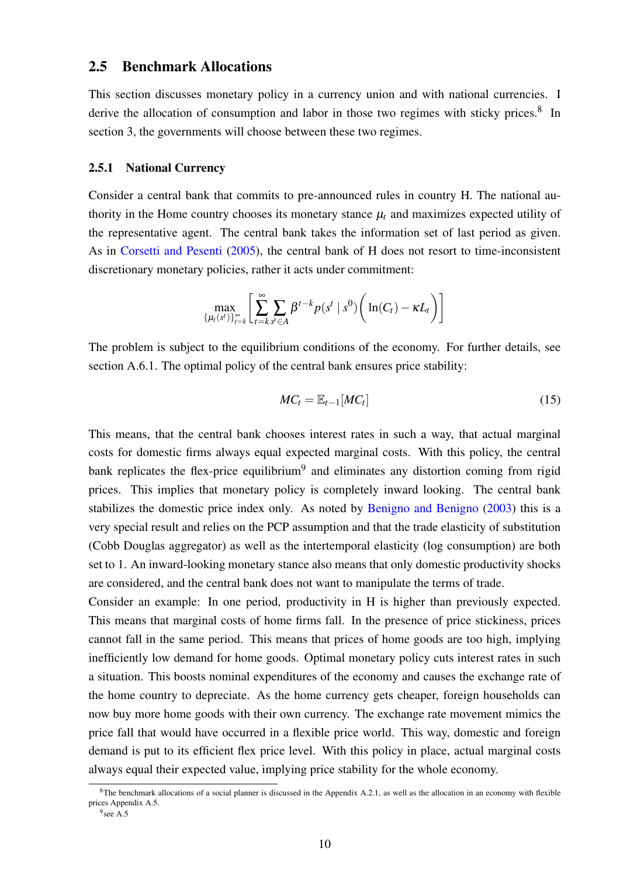### 2.5 Benchmark Allocations

This section discusses monetary policy in a currency union and with national currencies. I derive the allocation of consumption and labor in those two regimes with sticky prices.<sup>[8](#page-12-0)</sup> In section [3,](#page-15-0) the governments will choose between these two regimes.

#### 2.5.1 National Currency

Consider a central bank that commits to pre-announced rules in country H. The national authority in the Home country chooses its monetary stance  $\mu_t$  and maximizes expected utility of the representative agent. The central bank takes the information set of last period as given. As in [Corsetti and Pesenti](#page-36-7) [\(2005\)](#page-36-7), the central bank of H does not resort to time-inconsistent discretionary monetary policies, rather it acts under commitment:

$$
\max_{\{\mu_t(s^t)\}_{t=k}^{\infty}} \left[ \sum_{t=k}^{\infty} \sum_{s^t \in A} \beta^{t-k} p(s^t \mid s^0) \left( \ln(C_t) - \kappa L_t \right) \right]
$$

The problem is subject to the equilibrium conditions of the economy. For further details, see section [A.6.1.](#page-52-0) The optimal policy of the central bank ensures price stability:

<span id="page-12-2"></span>
$$
MC_t = \mathbb{E}_{t-1}[MC_t] \tag{15}
$$

This means, that the central bank chooses interest rates in such a way, that actual marginal costs for domestic firms always equal expected marginal costs. With this policy, the central bank replicates the flex-price equilibrium<sup>[9](#page-12-1)</sup> and eliminates any distortion coming from rigid prices. This implies that monetary policy is completely inward looking. The central bank stabilizes the domestic price index only. As noted by [Benigno and Benigno](#page-35-2) [\(2003\)](#page-35-2) this is a very special result and relies on the PCP assumption and that the trade elasticity of substitution (Cobb Douglas aggregator) as well as the intertemporal elasticity (log consumption) are both set to 1. An inward-looking monetary stance also means that only domestic productivity shocks are considered, and the central bank does not want to manipulate the terms of trade.

Consider an example: In one period, productivity in H is higher than previously expected. This means that marginal costs of home firms fall. In the presence of price stickiness, prices cannot fall in the same period. This means that prices of home goods are too high, implying inefficiently low demand for home goods. Optimal monetary policy cuts interest rates in such a situation. This boosts nominal expenditures of the economy and causes the exchange rate of the home country to depreciate. As the home currency gets cheaper, foreign households can now buy more home goods with their own currency. The exchange rate movement mimics the price fall that would have occurred in a flexible price world. This way, domestic and foreign demand is put to its efficient flex price level. With this policy in place, actual marginal costs always equal their expected value, implying price stability for the whole economy.

<span id="page-12-0"></span> ${}^{8}$ The benchmark allocations of a social planner is discussed in the Appendix [A.2.1,](#page-40-0) as well as the allocation in an economy with flexible prices Appendix [A.5.](#page-50-0)

<span id="page-12-1"></span><sup>&</sup>lt;sup>9</sup> see [A.5](#page-50-0)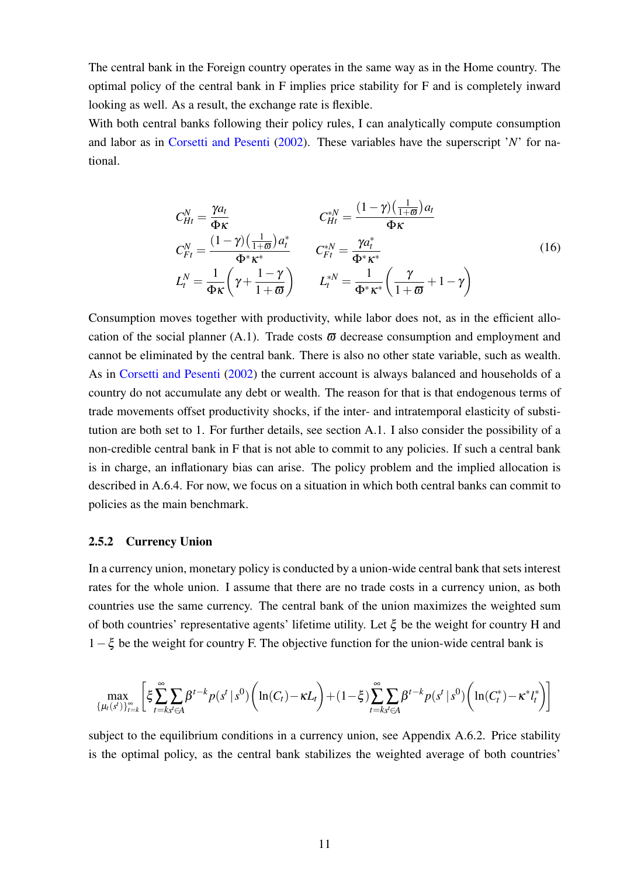The central bank in the Foreign country operates in the same way as in the Home country. The optimal policy of the central bank in F implies price stability for F and is completely inward looking as well. As a result, the exchange rate is flexible.

With both central banks following their policy rules, I can analytically compute consumption and labor as in [Corsetti and Pesenti](#page-36-1) [\(2002\)](#page-36-1). These variables have the superscript '*N*' for national.

<span id="page-13-0"></span>
$$
C_{Ht}^{N} = \frac{\gamma a_{t}}{\Phi \kappa} \qquad C_{Ht}^{*N} = \frac{(1 - \gamma)(\frac{1}{1 + \varpi})a_{t}}{\Phi \kappa}
$$
  
\n
$$
C_{Ft}^{N} = \frac{(1 - \gamma)(\frac{1}{1 + \varpi})a_{t}^{*}}{\Phi^{*} \kappa^{*}} \qquad C_{Ft}^{*N} = \frac{\gamma a_{t}^{*}}{\Phi^{*} \kappa^{*}}
$$
  
\n
$$
L_{t}^{N} = \frac{1}{\Phi \kappa} \left(\gamma + \frac{1 - \gamma}{1 + \varpi}\right) \qquad L_{t}^{*N} = \frac{1}{\Phi^{*} \kappa^{*}} \left(\frac{\gamma}{1 + \varpi} + 1 - \gamma\right)
$$
\n(16)

Consumption moves together with productivity, while labor does not, as in the efficient allo-cation of the social planner [\(A.1\)](#page-41-0). Trade costs  $\bar{\omega}$  decrease consumption and employment and cannot be eliminated by the central bank. There is also no other state variable, such as wealth. As in [Corsetti and Pesenti](#page-36-1) [\(2002\)](#page-36-1) the current account is always balanced and households of a country do not accumulate any debt or wealth. The reason for that is that endogenous terms of trade movements offset productivity shocks, if the inter- and intratemporal elasticity of substitution are both set to 1. For further details, see section [A.1.](#page-39-0) I also consider the possibility of a non-credible central bank in F that is not able to commit to any policies. If such a central bank is in charge, an inflationary bias can arise. The policy problem and the implied allocation is described in [A.6.4.](#page-56-0) For now, we focus on a situation in which both central banks can commit to policies as the main benchmark.

#### 2.5.2 Currency Union

In a currency union, monetary policy is conducted by a union-wide central bank that sets interest rates for the whole union. I assume that there are no trade costs in a currency union, as both countries use the same currency. The central bank of the union maximizes the weighted sum of both countries' representative agents' lifetime utility. Let  $\xi$  be the weight for country H and  $1-\xi$  be the weight for country F. The objective function for the union-wide central bank is

$$
\max_{\{\mu_t(s^t)\}_{t=k}^{\infty}}\bigg[\xi\sum_{t=ks^t\in A}^{\infty}\beta^{t-k}p(s^t\,|\,s^0)\bigg(\ln(C_t)-\kappa L_t\bigg)+(1-\xi)\sum_{t=ks^t\in A}^{\infty}\beta^{t-k}p(s^t\,|\,s^0)\bigg(\ln(C^*_t)-\kappa^*l^*_t\bigg)\bigg]
$$

subject to the equilibrium conditions in a currency union, see Appendix [A.6.2.](#page-53-0) Price stability is the optimal policy, as the central bank stabilizes the weighted average of both countries'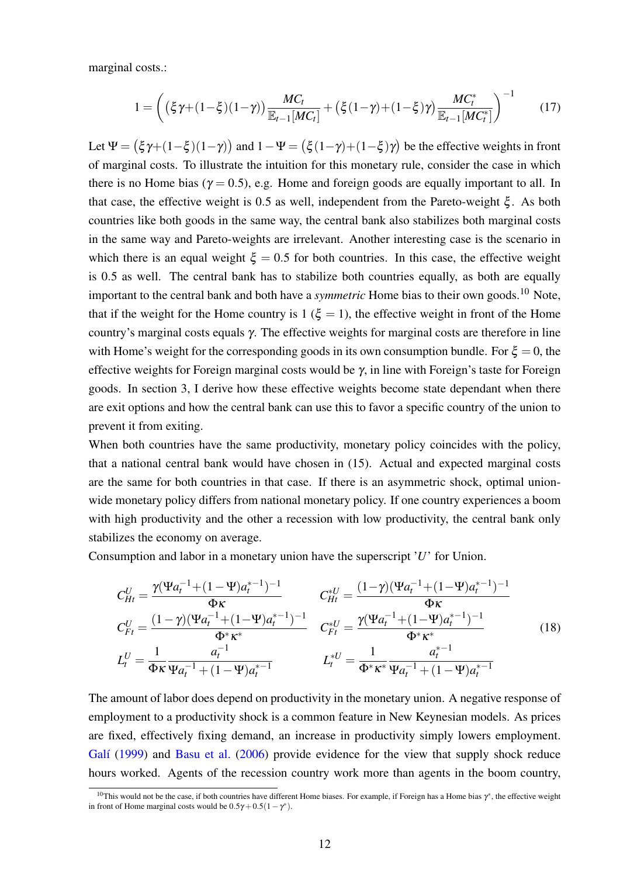marginal costs.:

<span id="page-14-2"></span>
$$
1 = \left( \left( \xi \gamma + (1 - \xi)(1 - \gamma) \right) \frac{MC_t}{\mathbb{E}_{t-1}[MC_t]} + \left( \xi (1 - \gamma) + (1 - \xi)\gamma \right) \frac{MC_t^*}{\mathbb{E}_{t-1}[MC_t^*]} \right)^{-1} \tag{17}
$$

Let  $\Psi = (\xi \gamma + (1 - \xi)(1 - \gamma))$  and  $1 - \Psi = (\xi (1 - \gamma) + (1 - \xi)\gamma)$  be the effective weights in front of marginal costs. To illustrate the intuition for this monetary rule, consider the case in which there is no Home bias ( $\gamma = 0.5$ ), e.g. Home and foreign goods are equally important to all. In that case, the effective weight is 0.5 as well, independent from the Pareto-weight  $\xi$ . As both countries like both goods in the same way, the central bank also stabilizes both marginal costs in the same way and Pareto-weights are irrelevant. Another interesting case is the scenario in which there is an equal weight  $\xi = 0.5$  for both countries. In this case, the effective weight is 0.5 as well. The central bank has to stabilize both countries equally, as both are equally important to the central bank and both have a *symmetric* Home bias to their own goods.[10](#page-14-0) Note, that if the weight for the Home country is 1 ( $\xi = 1$ ), the effective weight in front of the Home country's marginal costs equals γ. The effective weights for marginal costs are therefore in line with Home's weight for the corresponding goods in its own consumption bundle. For  $\xi = 0$ , the effective weights for Foreign marginal costs would be  $\gamma$ , in line with Foreign's taste for Foreign goods. In section [3,](#page-15-0) I derive how these effective weights become state dependant when there are exit options and how the central bank can use this to favor a specific country of the union to prevent it from exiting.

When both countries have the same productivity, monetary policy coincides with the policy, that a national central bank would have chosen in [\(15\)](#page-12-2). Actual and expected marginal costs are the same for both countries in that case. If there is an asymmetric shock, optimal unionwide monetary policy differs from national monetary policy. If one country experiences a boom with high productivity and the other a recession with low productivity, the central bank only stabilizes the economy on average.

Consumption and labor in a monetary union have the superscript '*U*' for Union.

<span id="page-14-1"></span>
$$
C_{Ht}^{U} = \frac{\gamma(\Psi a_{t}^{-1} + (1 - \Psi)a_{t}^{* - 1})^{-1}}{\Phi \kappa} \t C_{Ht}^{U} = \frac{(1 - \gamma)(\Psi a_{t}^{-1} + (1 - \Psi)a_{t}^{* - 1})^{-1}}{\Phi \kappa}
$$
  
\n
$$
C_{Ft}^{U} = \frac{(1 - \gamma)(\Psi a_{t}^{-1} + (1 - \Psi)a_{t}^{* - 1})^{-1}}{\Phi^{*} \kappa^{*}} \t C_{Ft}^{*U} = \frac{\gamma(\Psi a_{t}^{-1} + (1 - \Psi)a_{t}^{* - 1})^{-1}}{\Phi^{*} \kappa^{*}}
$$
  
\n
$$
L_{t}^{U} = \frac{1}{\Phi \kappa} \frac{a_{t}^{-1}}{\Psi a_{t}^{-1} + (1 - \Psi)a_{t}^{* - 1}} \t L_{t}^{*U} = \frac{1}{\Phi^{*} \kappa^{*}} \frac{a_{t}^{* - 1}}{\Psi a_{t}^{-1} + (1 - \Psi)a_{t}^{* - 1}}
$$
\n(18)

The amount of labor does depend on productivity in the monetary union. A negative response of employment to a productivity shock is a common feature in New Keynesian models. As prices are fixed, effectively fixing demand, an increase in productivity simply lowers employment. Galí [\(1999\)](#page-36-14) and [Basu et al.](#page-35-14) [\(2006\)](#page-35-14) provide evidence for the view that supply shock reduce hours worked. Agents of the recession country work more than agents in the boom country,

<span id="page-14-0"></span><sup>&</sup>lt;sup>10</sup>This would not be the case, if both countries have different Home biases. For example, if Foreign has a Home bias  $\gamma^*$ , the effective weight in front of Home marginal costs would be  $0.5\gamma + 0.5(1 - \gamma^*)$ .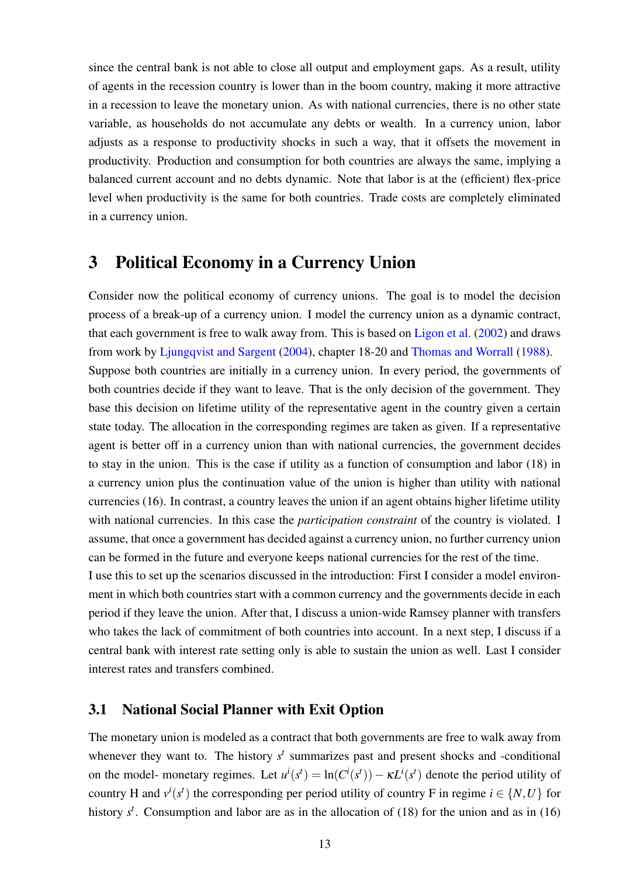since the central bank is not able to close all output and employment gaps. As a result, utility of agents in the recession country is lower than in the boom country, making it more attractive in a recession to leave the monetary union. As with national currencies, there is no other state variable, as households do not accumulate any debts or wealth. In a currency union, labor adjusts as a response to productivity shocks in such a way, that it offsets the movement in productivity. Production and consumption for both countries are always the same, implying a balanced current account and no debts dynamic. Note that labor is at the (efficient) flex-price level when productivity is the same for both countries. Trade costs are completely eliminated in a currency union.

## <span id="page-15-0"></span>3 Political Economy in a Currency Union

Consider now the political economy of currency unions. The goal is to model the decision process of a break-up of a currency union. I model the currency union as a dynamic contract, that each government is free to walk away from. This is based on [Ligon et al.](#page-37-12) [\(2002\)](#page-37-12) and draws from work by [Ljungqvist and Sargent](#page-37-13) [\(2004\)](#page-37-13), chapter 18-20 and [Thomas and Worrall](#page-38-4) [\(1988\)](#page-38-4). Suppose both countries are initially in a currency union. In every period, the governments of both countries decide if they want to leave. That is the only decision of the government. They base this decision on lifetime utility of the representative agent in the country given a certain state today. The allocation in the corresponding regimes are taken as given. If a representative agent is better off in a currency union than with national currencies, the government decides to stay in the union. This is the case if utility as a function of consumption and labor [\(18\)](#page-14-1) in a currency union plus the continuation value of the union is higher than utility with national currencies [\(16\)](#page-13-0). In contrast, a country leaves the union if an agent obtains higher lifetime utility with national currencies. In this case the *participation constraint* of the country is violated. I assume, that once a government has decided against a currency union, no further currency union can be formed in the future and everyone keeps national currencies for the rest of the time.

I use this to set up the scenarios discussed in the introduction: First I consider a model environment in which both countries start with a common currency and the governments decide in each period if they leave the union. After that, I discuss a union-wide Ramsey planner with transfers who takes the lack of commitment of both countries into account. In a next step, I discuss if a central bank with interest rate setting only is able to sustain the union as well. Last I consider interest rates and transfers combined.

### <span id="page-15-1"></span>3.1 National Social Planner with Exit Option

The monetary union is modeled as a contract that both governments are free to walk away from whenever they want to. The history  $s<sup>t</sup>$  summarizes past and present shocks and -conditional on the model- monetary regimes. Let  $u^i(s^t) = \ln(C^i(s^t)) - \kappa L^i(s^t)$  denote the period utility of country H and  $v^i(s^t)$  the corresponding per period utility of country F in regime  $i \in \{N, U\}$  for history  $s^t$ . Consumption and labor are as in the allocation of [\(18\)](#page-14-1) for the union and as in [\(16\)](#page-13-0)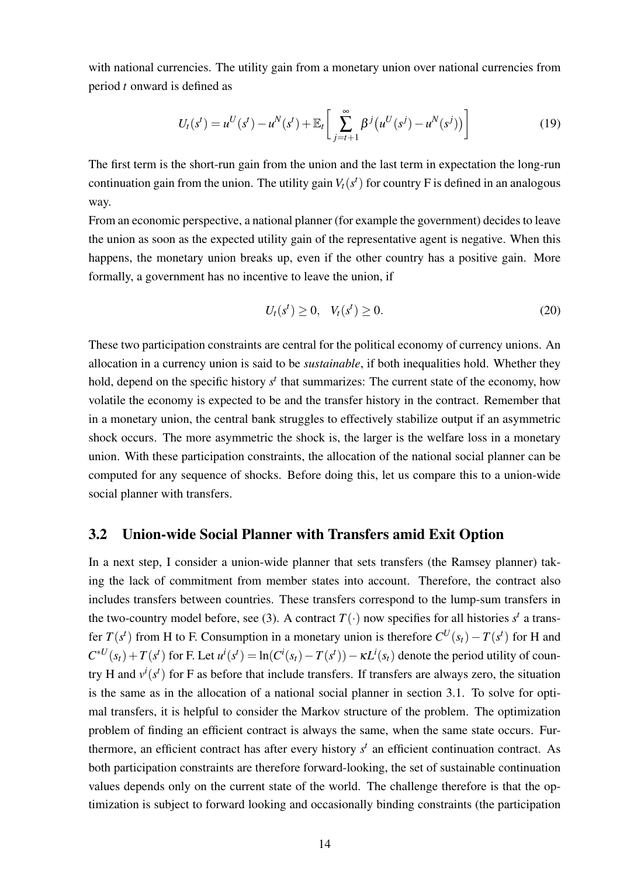with national currencies. The utility gain from a monetary union over national currencies from period *t* onward is defined as

$$
U_t(s^t) = u^U(s^t) - u^N(s^t) + \mathbb{E}_t \left[ \sum_{j=t+1}^{\infty} \beta^j (u^U(s^j) - u^N(s^j)) \right]
$$
(19)

The first term is the short-run gain from the union and the last term in expectation the long-run continuation gain from the union. The utility gain  $V_t(s^t)$  for country F is defined in an analogous way.

From an economic perspective, a national planner (for example the government) decides to leave the union as soon as the expected utility gain of the representative agent is negative. When this happens, the monetary union breaks up, even if the other country has a positive gain. More formally, a government has no incentive to leave the union, if

<span id="page-16-0"></span>
$$
U_t(s^t) \ge 0, \quad V_t(s^t) \ge 0.
$$
\n(20)

These two participation constraints are central for the political economy of currency unions. An allocation in a currency union is said to be *sustainable*, if both inequalities hold. Whether they hold, depend on the specific history  $s<sup>t</sup>$  that summarizes: The current state of the economy, how volatile the economy is expected to be and the transfer history in the contract. Remember that in a monetary union, the central bank struggles to effectively stabilize output if an asymmetric shock occurs. The more asymmetric the shock is, the larger is the welfare loss in a monetary union. With these participation constraints, the allocation of the national social planner can be computed for any sequence of shocks. Before doing this, let us compare this to a union-wide social planner with transfers.

### <span id="page-16-1"></span>3.2 Union-wide Social Planner with Transfers amid Exit Option

In a next step, I consider a union-wide planner that sets transfers (the Ramsey planner) taking the lack of commitment from member states into account. Therefore, the contract also includes transfers between countries. These transfers correspond to the lump-sum transfers in the two-country model before, see [\(3\)](#page-8-2). A contract  $T(\cdot)$  now specifies for all histories  $s^t$  a transfer  $T(s^t)$  from H to F. Consumption in a monetary union is therefore  $C^U(s_t) - T(s^t)$  for H and  $C^{*U}(s_t) + T(s^t)$  for F. Let  $u^i(s^t) = \ln(C^i(s_t) - T(s^t)) - \kappa L^i(s_t)$  denote the period utility of country H and  $v^i(s^t)$  for F as before that include transfers. If transfers are always zero, the situation is the same as in the allocation of a national social planner in section [3.1.](#page-15-1) To solve for optimal transfers, it is helpful to consider the Markov structure of the problem. The optimization problem of finding an efficient contract is always the same, when the same state occurs. Furthermore, an efficient contract has after every history  $s<sup>t</sup>$  an efficient continuation contract. As both participation constraints are therefore forward-looking, the set of sustainable continuation values depends only on the current state of the world. The challenge therefore is that the optimization is subject to forward looking and occasionally binding constraints (the participation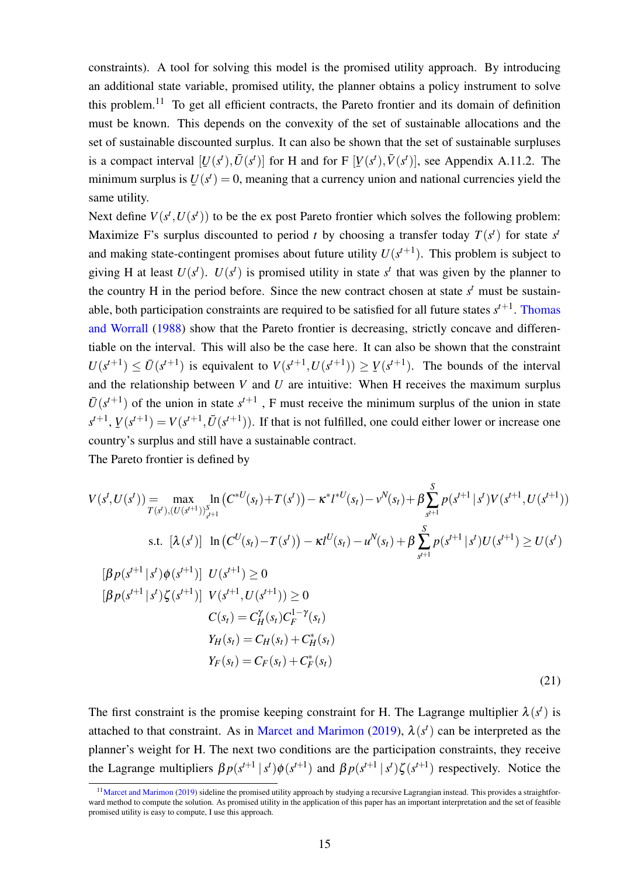constraints). A tool for solving this model is the promised utility approach. By introducing an additional state variable, promised utility, the planner obtains a policy instrument to solve this problem.<sup>[11](#page-17-0)</sup> To get all efficient contracts, the Pareto frontier and its domain of definition must be known. This depends on the convexity of the set of sustainable allocations and the set of sustainable discounted surplus. It can also be shown that the set of sustainable surpluses is a compact interval  $[U(s^t), \overline{U}(s^t)]$  for H and for F  $[V(s^t), \overline{V}(s^t)]$ , see Appendix [A.11.2.](#page-71-0) The  $\begin{bmatrix} 1 \\ 2 \end{bmatrix}$  (x)  $\begin{bmatrix} 2 \\ 1 \end{bmatrix}$  (x)  $\begin{bmatrix} 1 \\ 2 \end{bmatrix}$ minimum surplus is  $U(s^t) = 0$ , meaning that a currency union and national currencies yield the ¯ same utility.

Next define  $V(s^t, U(s^t))$  to be the ex post Pareto frontier which solves the following problem: Maximize F's surplus discounted to period *t* by choosing a transfer today  $T(s^t)$  for state  $s^t$ and making state-contingent promises about future utility  $U(s^{t+1})$ . This problem is subject to giving H at least  $U(s^t)$ .  $U(s^t)$  is promised utility in state  $s^t$  that was given by the planner to the country H in the period before. Since the new contract chosen at state  $s<sup>t</sup>$  must be sustainable, both participation constraints are required to be satisfied for all future states  $s^{t+1}$ . [Thomas](#page-38-4) [and Worrall](#page-38-4) [\(1988\)](#page-38-4) show that the Pareto frontier is decreasing, strictly concave and differentiable on the interval. This will also be the case here. It can also be shown that the constraint  $U(s^{t+1}) \leq \overline{U}(s^{t+1})$  is equivalent to  $V(s^{t+1}, U(s^{t+1})) \geq V(s^{t+1})$ . The bounds of the interval ¯ and the relationship between *V* and *U* are intuitive: When H receives the maximum surplus  $\bar{U}(s^{t+1})$  of the union in state  $s^{t+1}$ , F must receive the minimum surplus of the union in state  $s^{t+1}$ ,  $V(s^{t+1}) = V(s^{t+1}, \overline{U}(s^{t+1}))$ . If that is not fulfilled, one could either lower or increase one ¯ country's surplus and still have a sustainable contract.

The Pareto frontier is defined by

$$
V(st, U(st)) = \max_{T(st), (U(st+1))_{st+1}^{S}} \left(C^{*U}(st) + T(st) - \kappa^{*} l^{*U}(st) - \nu^{N}(st) + \beta \sum_{st+1}^{S} p(st+1 | st) V(st+1, U(st+1)) \right)
$$
  
s.t.  $[\lambda(st)] \ln (CU(st) - T(st)) - \kappa l^{U}(st) - uN(st) + \beta \sum_{st+1}^{S} p(st+1 | st) U(st+1) \ge U(st)$   
 $[\beta p(st+1 | st) \phi(st+1)] U(st+1) \ge 0$   
 $C(st) = CYH(st) C1-\gammaF(st)$   
 $YH(st) = CYH(st) + C*H(st)$   
 $YF(st) = CYF(st) + C*F(st)$   
(21)

The first constraint is the promise keeping constraint for H. The Lagrange multiplier  $\lambda(s^t)$  is attached to that constraint. As in [Marcet and Marimon](#page-37-11) [\(2019\)](#page-37-11),  $\lambda(s^t)$  can be interpreted as the planner's weight for H. The next two conditions are the participation constraints, they receive the Lagrange multipliers  $\beta p(s^{t+1} | s^t) \phi(s^{t+1})$  and  $\beta p(s^{t+1} | s^t) \zeta(s^{t+1})$  respectively. Notice the

<span id="page-17-0"></span><sup>&</sup>lt;sup>11</sup>[Marcet and Marimon](#page-37-11) [\(2019\)](#page-37-11) sideline the promised utility approach by studying a recursive Lagrangian instead. This provides a straightforward method to compute the solution. As promised utility in the application of this paper has an important interpretation and the set of feasible promised utility is easy to compute, I use this approach.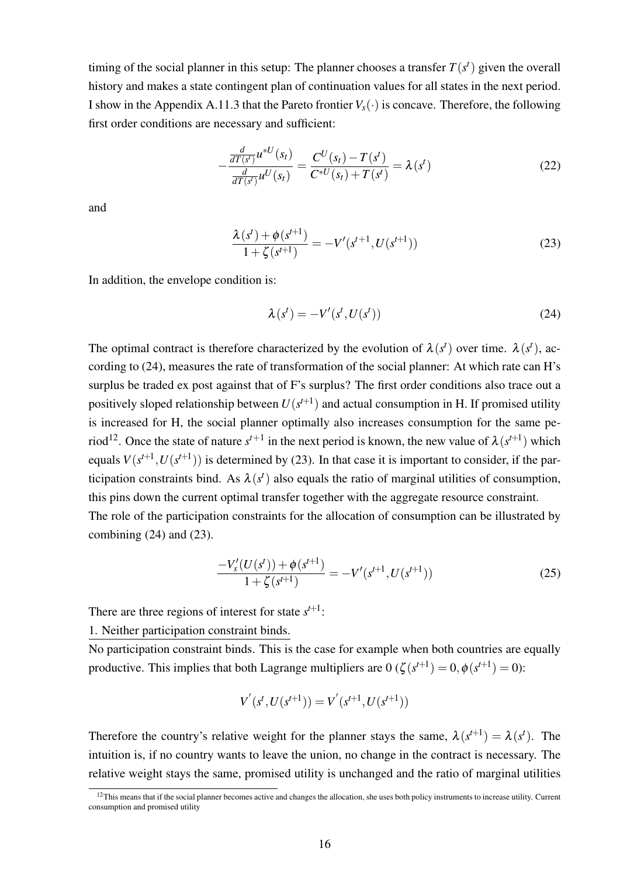timing of the social planner in this setup: The planner chooses a transfer  $T(s^t)$  given the overall history and makes a state contingent plan of continuation values for all states in the next period. I show in the Appendix [A.11.3](#page-71-1) that the Pareto frontier  $V_s(\cdot)$  is concave. Therefore, the following first order conditions are necessary and sufficient:

$$
-\frac{\frac{d}{dT(s^t)}u^{*U}(s_t)}{\frac{d}{dT(s^t)}u^{U}(s_t)} = \frac{C^U(s_t) - T(s^t)}{C^{*U}(s_t) + T(s^t)} = \lambda(s^t)
$$
\n(22)

and

$$
\frac{\lambda(s^t) + \phi(s^{t+1})}{1 + \zeta(s^{t+1})} = -V'(s^{t+1}, U(s^{t+1}))
$$
\n(23)

In addition, the envelope condition is:

<span id="page-18-3"></span><span id="page-18-2"></span><span id="page-18-0"></span>
$$
\lambda(s^t) = -V'(s^t, U(s^t))\tag{24}
$$

The optimal contract is therefore characterized by the evolution of  $\lambda(s^t)$  over time.  $\lambda(s^t)$ , according to [\(24\)](#page-18-0), measures the rate of transformation of the social planner: At which rate can H's surplus be traded ex post against that of F's surplus? The first order conditions also trace out a positively sloped relationship between  $U(s^{t+1})$  and actual consumption in H. If promised utility is increased for H, the social planner optimally also increases consumption for the same pe-riod<sup>[12](#page-18-1)</sup>. Once the state of nature  $s^{t+1}$  in the next period is known, the new value of  $\lambda(s^{t+1})$  which equals  $V(s^{t+1}, U(s^{t+1}))$  is determined by [\(23\)](#page-18-2). In that case it is important to consider, if the participation constraints bind. As  $\lambda(s^t)$  also equals the ratio of marginal utilities of consumption, this pins down the current optimal transfer together with the aggregate resource constraint.

The role of the participation constraints for the allocation of consumption can be illustrated by combining  $(24)$  and  $(23)$ .

$$
\frac{-V'_{s}(U(s^{t})) + \phi(s^{t+1})}{1 + \zeta(s^{t+1})} = -V'(s^{t+1}, U(s^{t+1}))\tag{25}
$$

There are three regions of interest for state  $s^{t+1}$ :

1. Neither participation constraint binds.

No participation constraint binds. This is the case for example when both countries are equally productive. This implies that both Lagrange multipliers are  $0 \left( \zeta(s^{t+1}) = 0, \phi(s^{t+1}) = 0 \right)$ :

$$
V^{'}(s^{t},U(s^{t+1}))=V^{'}(s^{t+1},U(s^{t+1}))
$$

Therefore the country's relative weight for the planner stays the same,  $\lambda(s^{t+1}) = \lambda(s^t)$ . The intuition is, if no country wants to leave the union, no change in the contract is necessary. The relative weight stays the same, promised utility is unchanged and the ratio of marginal utilities

<span id="page-18-1"></span><sup>&</sup>lt;sup>12</sup>This means that if the social planner becomes active and changes the allocation, she uses both policy instruments to increase utility. Current consumption and promised utility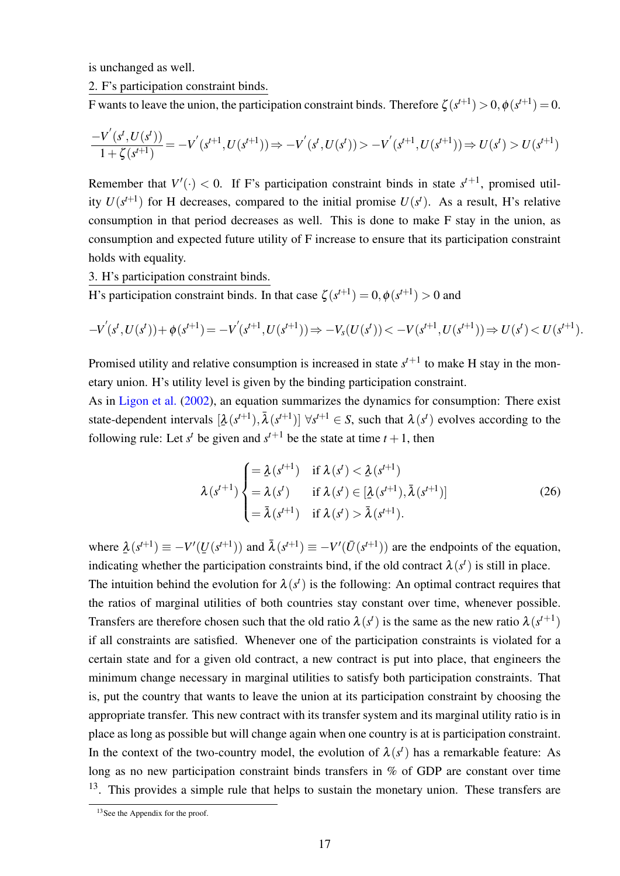is unchanged as well.

2. F's participation constraint binds.

F wants to leave the union, the participation constraint binds. Therefore  $\zeta(s^{t+1}) > 0$ ,  $\phi(s^{t+1}) = 0$ .

$$
\frac{-V^{'}(s^{t},U(s^{t}))}{1+\zeta(s^{t+1})}=-V^{'}(s^{t+1},U(s^{t+1}))\Rightarrow -V^{'}(s^{t},U(s^{t}))>-V^{'}(s^{t+1},U(s^{t+1}))\Rightarrow U(s^{t})>U(s^{t+1})
$$

Remember that  $V'(\cdot) < 0$ . If F's participation constraint binds in state  $s^{t+1}$ , promised utility  $U(s^{t+1})$  for H decreases, compared to the initial promise  $U(s^t)$ . As a result, H's relative consumption in that period decreases as well. This is done to make F stay in the union, as consumption and expected future utility of F increase to ensure that its participation constraint holds with equality.

3. H's participation constraint binds.

H's participation constraint binds. In that case  $\zeta(s^{t+1}) = 0$ ,  $\phi(s^{t+1}) > 0$  and

$$
-V^{'}(s^{t}, U(s^{t})) + \phi(s^{t+1}) = -V^{'}(s^{t+1}, U(s^{t+1})) \Rightarrow -V_{s}(U(s^{t})) < -V(s^{t+1}, U(s^{t+1})) \Rightarrow U(s^{t}) < U(s^{t+1}).
$$

Promised utility and relative consumption is increased in state  $s^{t+1}$  to make H stay in the monetary union. H's utility level is given by the binding participation constraint.

As in [Ligon et al.](#page-37-12) [\(2002\)](#page-37-12), an equation summarizes the dynamics for consumption: There exist state-dependent intervals  $[\lambda(s^{t+1}), \bar{\lambda}(s^{t+1})] \,\forall s^{t+1} \in S$ , such that  $\lambda(s^t)$  evolves according to the ¯ following rule: Let  $s^t$  be given and  $s^{t+1}$  be the state at time  $t + 1$ , then

<span id="page-19-1"></span>
$$
\lambda(s^{t+1}) \begin{cases}\n= \frac{\lambda(s^{t+1})}{\lambda(s^t)} & \text{if } \lambda(s^t) < \frac{\lambda(s^{t+1})}{\lambda(s^t)} \\
= \lambda(s^t) & \text{if } \lambda(s^t) \in [\frac{\lambda(s^{t+1}), \bar{\lambda}(s^{t+1})]}{s^t} \\
= \bar{\lambda}(s^{t+1}) & \text{if } \lambda(s^t) > \bar{\lambda}(s^{t+1}).\n\end{cases} \tag{26}
$$

where  $\lambda(s^{t+1}) \equiv -V'(U(s^{t+1}))$  and  $\overline{\lambda}(s^{t+1}) \equiv -V'(\overline{U}(s^{t+1}))$  are the endpoints of the equation, ¯ ¯ indicating whether the participation constraints bind, if the old contract  $\lambda(s^t)$  is still in place.

The intuition behind the evolution for  $\lambda(s^t)$  is the following: An optimal contract requires that the ratios of marginal utilities of both countries stay constant over time, whenever possible. Transfers are therefore chosen such that the old ratio  $\lambda(s^t)$  is the same as the new ratio  $\lambda(s^{t+1})$ if all constraints are satisfied. Whenever one of the participation constraints is violated for a certain state and for a given old contract, a new contract is put into place, that engineers the minimum change necessary in marginal utilities to satisfy both participation constraints. That is, put the country that wants to leave the union at its participation constraint by choosing the appropriate transfer. This new contract with its transfer system and its marginal utility ratio is in place as long as possible but will change again when one country is at is participation constraint. In the context of the two-country model, the evolution of  $\lambda(s^t)$  has a remarkable feature: As long as no new participation constraint binds transfers in % of GDP are constant over time  $13$ . This provides a simple rule that helps to sustain the monetary union. These transfers are

<span id="page-19-0"></span><sup>&</sup>lt;sup>13</sup>See the Appendix for the proof.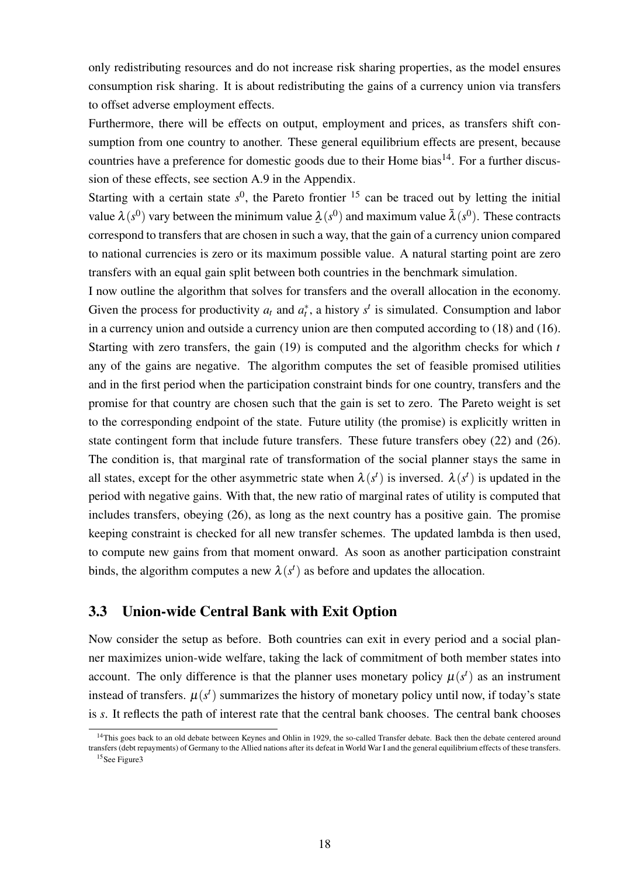only redistributing resources and do not increase risk sharing properties, as the model ensures consumption risk sharing. It is about redistributing the gains of a currency union via transfers to offset adverse employment effects.

Furthermore, there will be effects on output, employment and prices, as transfers shift consumption from one country to another. These general equilibrium effects are present, because countries have a preference for domestic goods due to their Home bias<sup>[14](#page-20-0)</sup>. For a further discussion of these effects, see section [A.9](#page-64-0) in the Appendix.

Starting with a certain state  $s^0$ , the Pareto frontier  $15$  can be traced out by letting the initial value  $\lambda(s^0)$  vary between the minimum value  $\underline{\lambda}(s^0)$  and maximum value  $\bar{\lambda}(s^0)$ . These contracts ¯ correspond to transfers that are chosen in such a way, that the gain of a currency union compared to national currencies is zero or its maximum possible value. A natural starting point are zero transfers with an equal gain split between both countries in the benchmark simulation.

I now outline the algorithm that solves for transfers and the overall allocation in the economy. Given the process for productivity  $a_t$  and  $a_t^*$ , a history  $s^t$  is simulated. Consumption and labor in a currency union and outside a currency union are then computed according to [\(18\)](#page-14-1) and [\(16\)](#page-13-0). Starting with zero transfers, the gain [\(19\)](#page-16-0) is computed and the algorithm checks for which *t* any of the gains are negative. The algorithm computes the set of feasible promised utilities and in the first period when the participation constraint binds for one country, transfers and the promise for that country are chosen such that the gain is set to zero. The Pareto weight is set to the corresponding endpoint of the state. Future utility (the promise) is explicitly written in state contingent form that include future transfers. These future transfers obey [\(22\)](#page-18-3) and [\(26\)](#page-19-1). The condition is, that marginal rate of transformation of the social planner stays the same in all states, except for the other asymmetric state when  $\lambda(s^t)$  is inversed.  $\lambda(s^t)$  is updated in the period with negative gains. With that, the new ratio of marginal rates of utility is computed that includes transfers, obeying [\(26\)](#page-19-1), as long as the next country has a positive gain. The promise keeping constraint is checked for all new transfer schemes. The updated lambda is then used, to compute new gains from that moment onward. As soon as another participation constraint binds, the algorithm computes a new  $\lambda(s^t)$  as before and updates the allocation.

#### 3.3 Union-wide Central Bank with Exit Option

Now consider the setup as before. Both countries can exit in every period and a social planner maximizes union-wide welfare, taking the lack of commitment of both member states into account. The only difference is that the planner uses monetary policy  $\mu(s^t)$  as an instrument instead of transfers.  $\mu(s^t)$  summarizes the history of monetary policy until now, if today's state is *s*. It reflects the path of interest rate that the central bank chooses. The central bank chooses

<span id="page-20-1"></span><span id="page-20-0"></span><sup>&</sup>lt;sup>14</sup>This goes back to an old debate between Keynes and Ohlin in 1929, the so-called Transfer debate. Back then the debate centered around transfers (debt repayments) of Germany to the Allied nations after its defeat in World War I and the general equilibrium effects of these transfers. <sup>15</sup>See Figur[e3](#page-75-0)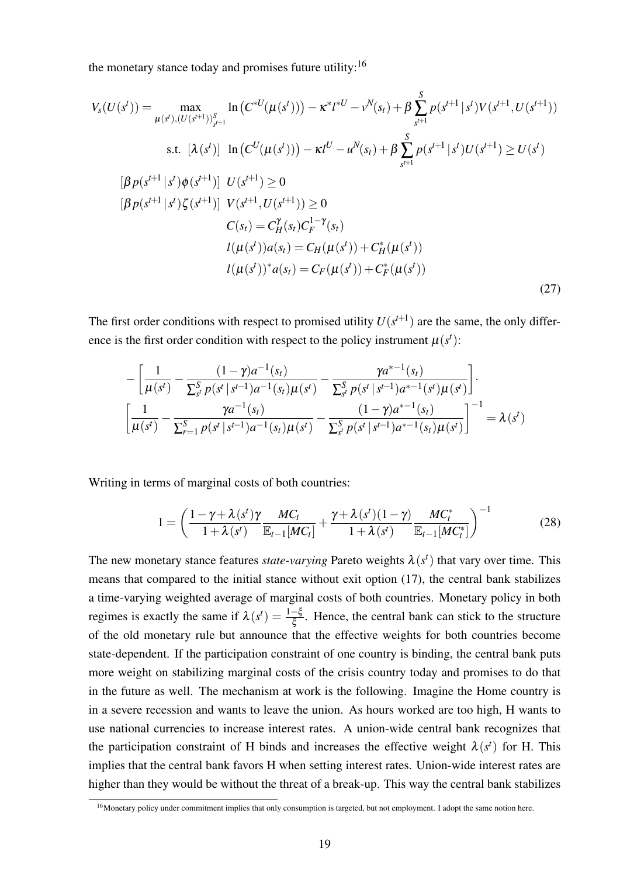the monetary stance today and promises future utility: $16$ 

$$
V_{s}(U(s^{t})) = \max_{\mu(s^{t}), (U(s^{t+1}))_{s^{t+1}}^{S}} \ln(C^{*U}(\mu(s^{t}))) - \kappa^{*}l^{*U} - \nu^{N}(s_{t}) + \beta \sum_{s^{t+1}}^{S} p(s^{t+1} | s^{t}) V(s^{t+1}, U(s^{t+1}))
$$
  
s.t.  $[\lambda(s^{t})] \ln(C^{U}(\mu(s^{t}))) - \kappa l^{U} - u^{N}(s_{t}) + \beta \sum_{s^{t+1}}^{S} p(s^{t+1} | s^{t}) U(s^{t+1}) \ge U(s^{t})$   

$$
[\beta p(s^{t+1} | s^{t}) \phi(s^{t+1})] U(s^{t+1}) \ge 0
$$
  

$$
[\beta p(s^{t+1} | s^{t}) \zeta(s^{t+1})] V(s^{t+1}, U(s^{t+1})) \ge 0
$$
  

$$
C(s_{t}) = C_{H}^{Y}(s_{t}) C_{F}^{1-\gamma}(s_{t})
$$
  

$$
l(\mu(s^{t})) a(s_{t}) = C_{H}(\mu(s^{t})) + C_{H}^{*}(\mu(s^{t}))
$$
  

$$
l(\mu(s^{t}))^{*} a(s_{t}) = C_{F}(\mu(s^{t})) + C_{F}^{*}(\mu(s^{t}))
$$
  
(27)

The first order conditions with respect to promised utility  $U(s^{t+1})$  are the same, the only difference is the first order condition with respect to the policy instrument  $\mu(s^t)$ :

$$
-\left[\frac{1}{\mu(s^t)}-\frac{(1-\gamma)a^{-1}(s_t)}{\sum_{s^t}^S p(s^t \mid s^{t-1})a^{-1}(s_t)\mu(s^t)}-\frac{\gamma a^{t-1}(s_t)}{\sum_{s^t}^S p(s^t \mid s^{t-1})a^{t-1}(s^t)\mu(s^t)}\right].
$$
  

$$
\left[\frac{1}{\mu(s^t)}-\frac{\gamma a^{-1}(s_t)}{\sum_{r=1}^S p(s^t \mid s^{t-1})a^{-1}(s_t)\mu(s^t)}-\frac{(1-\gamma)a^{t-1}(s_t)}{\sum_{s^t}^S p(s^t \mid s^{t-1})a^{t-1}(s_t)\mu(s^t)}\right]^{-1}=\lambda(s^t)
$$

Writing in terms of marginal costs of both countries:

$$
1 = \left(\frac{1-\gamma+\lambda(s^t)\gamma}{1+\lambda(s^t)}\frac{MC_t}{\mathbb{E}_{t-1}[MC_t]} + \frac{\gamma+\lambda(s^t)(1-\gamma)}{1+\lambda(s^t)}\frac{MC_t^*}{\mathbb{E}_{t-1}[MC_t^*]}\right)^{-1}
$$
(28)

The new monetary stance features *state-varying* Pareto weights  $\lambda(s^t)$  that vary over time. This means that compared to the initial stance without exit option [\(17\)](#page-14-2), the central bank stabilizes a time-varying weighted average of marginal costs of both countries. Monetary policy in both regimes is exactly the same if  $\lambda(s^t) = \frac{1-\xi}{\xi}$ . Hence, the central bank can stick to the structure of the old monetary rule but announce that the effective weights for both countries become state-dependent. If the participation constraint of one country is binding, the central bank puts more weight on stabilizing marginal costs of the crisis country today and promises to do that in the future as well. The mechanism at work is the following. Imagine the Home country is in a severe recession and wants to leave the union. As hours worked are too high, H wants to use national currencies to increase interest rates. A union-wide central bank recognizes that the participation constraint of H binds and increases the effective weight  $\lambda(s^t)$  for H. This implies that the central bank favors H when setting interest rates. Union-wide interest rates are higher than they would be without the threat of a break-up. This way the central bank stabilizes

<span id="page-21-0"></span><sup>&</sup>lt;sup>16</sup>Monetary policy under commitment implies that only consumption is targeted, but not employment. I adopt the same notion here.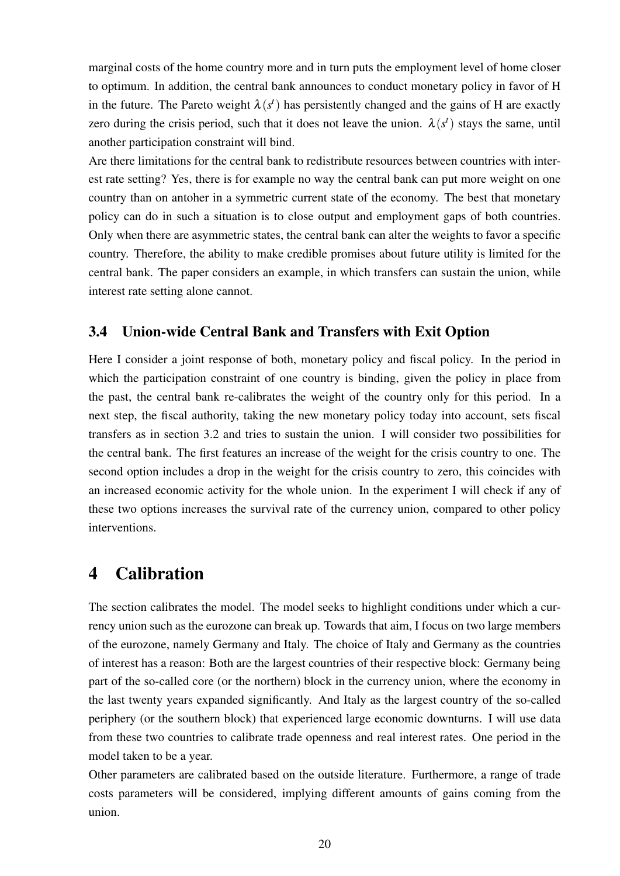marginal costs of the home country more and in turn puts the employment level of home closer to optimum. In addition, the central bank announces to conduct monetary policy in favor of H in the future. The Pareto weight  $\lambda(s^t)$  has persistently changed and the gains of H are exactly zero during the crisis period, such that it does not leave the union.  $\lambda(s^t)$  stays the same, until another participation constraint will bind.

Are there limitations for the central bank to redistribute resources between countries with interest rate setting? Yes, there is for example no way the central bank can put more weight on one country than on antoher in a symmetric current state of the economy. The best that monetary policy can do in such a situation is to close output and employment gaps of both countries. Only when there are asymmetric states, the central bank can alter the weights to favor a specific country. Therefore, the ability to make credible promises about future utility is limited for the central bank. The paper considers an example, in which transfers can sustain the union, while interest rate setting alone cannot.

### 3.4 Union-wide Central Bank and Transfers with Exit Option

Here I consider a joint response of both, monetary policy and fiscal policy. In the period in which the participation constraint of one country is binding, given the policy in place from the past, the central bank re-calibrates the weight of the country only for this period. In a next step, the fiscal authority, taking the new monetary policy today into account, sets fiscal transfers as in section [3.2](#page-16-1) and tries to sustain the union. I will consider two possibilities for the central bank. The first features an increase of the weight for the crisis country to one. The second option includes a drop in the weight for the crisis country to zero, this coincides with an increased economic activity for the whole union. In the experiment I will check if any of these two options increases the survival rate of the currency union, compared to other policy interventions.

### <span id="page-22-0"></span>4 Calibration

The section calibrates the model. The model seeks to highlight conditions under which a currency union such as the eurozone can break up. Towards that aim, I focus on two large members of the eurozone, namely Germany and Italy. The choice of Italy and Germany as the countries of interest has a reason: Both are the largest countries of their respective block: Germany being part of the so-called core (or the northern) block in the currency union, where the economy in the last twenty years expanded significantly. And Italy as the largest country of the so-called periphery (or the southern block) that experienced large economic downturns. I will use data from these two countries to calibrate trade openness and real interest rates. One period in the model taken to be a year.

Other parameters are calibrated based on the outside literature. Furthermore, a range of trade costs parameters will be considered, implying different amounts of gains coming from the union.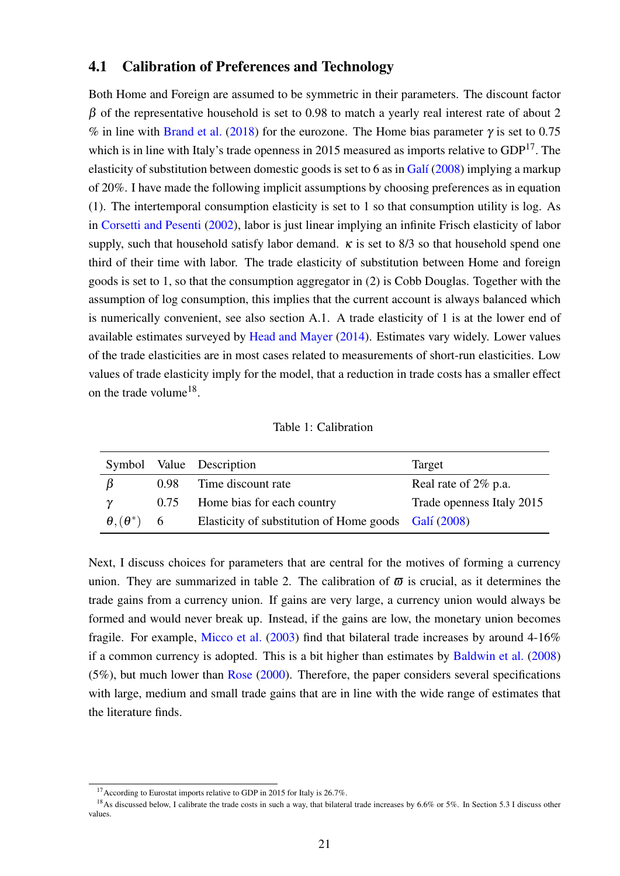### 4.1 Calibration of Preferences and Technology

Both Home and Foreign are assumed to be symmetric in their parameters. The discount factor  $β$  of the representative household is set to 0.98 to match a yearly real interest rate of about 2 % in line with [Brand et al.](#page-35-15) [\(2018\)](#page-35-15) for the eurozone. The Home bias parameter  $\gamma$  is set to 0.75 which is in line with Italy's trade openness in 2015 measured as imports relative to  $GDP<sup>17</sup>$  $GDP<sup>17</sup>$  $GDP<sup>17</sup>$ . The elasticity of substitution between domestic goods is set to 6 as in Galí  $(2008)$  implying a markup of 20%. I have made the following implicit assumptions by choosing preferences as in equation [\(1\)](#page-7-0). The intertemporal consumption elasticity is set to 1 so that consumption utility is log. As in [Corsetti and Pesenti](#page-36-1) [\(2002\)](#page-36-1), labor is just linear implying an infinite Frisch elasticity of labor supply, such that household satisfy labor demand.  $\kappa$  is set to 8/3 so that household spend one third of their time with labor. The trade elasticity of substitution between Home and foreign goods is set to 1, so that the consumption aggregator in [\(2\)](#page-7-1) is Cobb Douglas. Together with the assumption of log consumption, this implies that the current account is always balanced which is numerically convenient, see also section [A.1.](#page-39-0) A trade elasticity of 1 is at the lower end of available estimates surveyed by [Head and Mayer](#page-37-15) [\(2014\)](#page-37-15). Estimates vary widely. Lower values of the trade elasticities are in most cases related to measurements of short-run elasticities. Low values of trade elasticity imply for the model, that a reduction in trade costs has a smaller effect on the trade volume<sup>[18](#page-23-1)</sup>.

Table 1: Calibration

|                        |      | Symbol Value Description                             | Target                    |
|------------------------|------|------------------------------------------------------|---------------------------|
| B                      | 0.98 | Time discount rate                                   | Real rate of 2\% p.a.     |
| ν                      | 0.75 | Home bias for each country                           | Trade openness Italy 2015 |
| $\theta, (\theta^*)$ 6 |      | Elasticity of substitution of Home goods Galí (2008) |                           |

Next, I discuss choices for parameters that are central for the motives of forming a currency union. They are summarized in table 2. The calibration of  $\bar{\omega}$  is crucial, as it determines the trade gains from a currency union. If gains are very large, a currency union would always be formed and would never break up. Instead, if the gains are low, the monetary union becomes fragile. For example, [Micco et al.](#page-37-4) [\(2003\)](#page-37-4) find that bilateral trade increases by around 4-16% if a common currency is adopted. This is a bit higher than estimates by [Baldwin et al.](#page-35-5) [\(2008\)](#page-35-5) (5%), but much lower than [Rose](#page-38-2) [\(2000\)](#page-38-2). Therefore, the paper considers several specifications with large, medium and small trade gains that are in line with the wide range of estimates that the literature finds.

<span id="page-23-1"></span><span id="page-23-0"></span><sup>&</sup>lt;sup>17</sup> According to Eurostat imports relative to GDP in 2015 for Italy is 26.7%.

<sup>&</sup>lt;sup>18</sup>As discussed below, I calibrate the trade costs in such a way, that bilateral trade increases by 6.6% or 5%. In Section [5.3](#page-31-0) I discuss other values.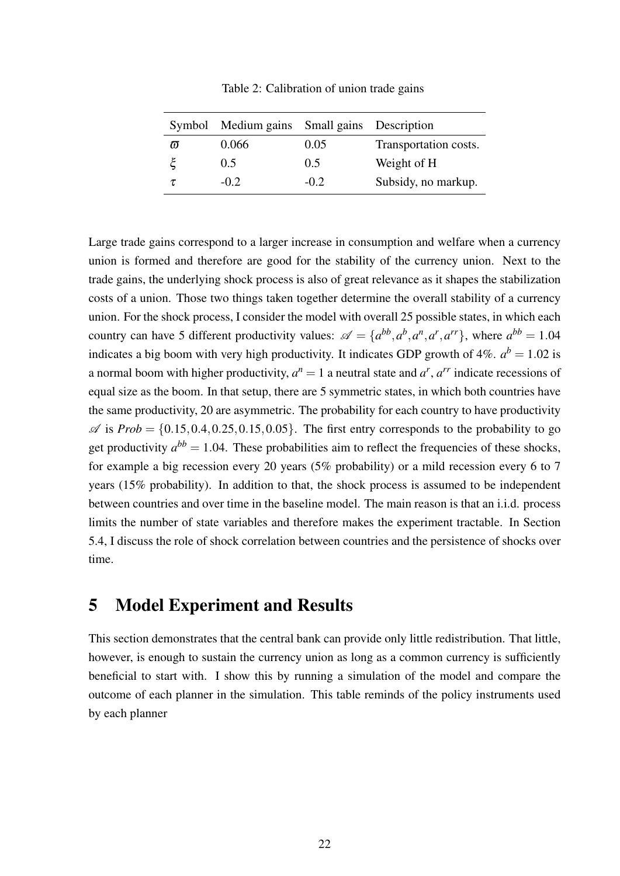|          | Symbol Medium gains Small gains Description |        |                       |
|----------|---------------------------------------------|--------|-----------------------|
| $\varpi$ | 0.066                                       | 0.05   | Transportation costs. |
|          | 0.5                                         | 0.5    | Weight of H           |
| τ        | $-0.2$                                      | $-0.2$ | Subsidy, no markup.   |

Table 2: Calibration of union trade gains

Large trade gains correspond to a larger increase in consumption and welfare when a currency union is formed and therefore are good for the stability of the currency union. Next to the trade gains, the underlying shock process is also of great relevance as it shapes the stabilization costs of a union. Those two things taken together determine the overall stability of a currency union. For the shock process, I consider the model with overall 25 possible states, in which each country can have 5 different productivity values:  $\mathscr{A} = \{a^{bb}, a^b, a^n, a^r, a^{rr}\}$ , where  $a^{bb} = 1.04$ indicates a big boom with very high productivity. It indicates GDP growth of  $4\%$ .  $a^b = 1.02$  is a normal boom with higher productivity,  $a^n = 1$  a neutral state and  $a^r$ ,  $a^{rr}$  indicate recessions of equal size as the boom. In that setup, there are 5 symmetric states, in which both countries have the same productivity, 20 are asymmetric. The probability for each country to have productivity  $\mathscr A$  is  $Prob = \{0.15, 0.4, 0.25, 0.15, 0.05\}$ . The first entry corresponds to the probability to go get productivity  $a^{bb} = 1.04$ . These probabilities aim to reflect the frequencies of these shocks, for example a big recession every 20 years (5% probability) or a mild recession every 6 to 7 years (15% probability). In addition to that, the shock process is assumed to be independent between countries and over time in the baseline model. The main reason is that an i.i.d. process limits the number of state variables and therefore makes the experiment tractable. In Section [5.4,](#page-31-1) I discuss the role of shock correlation between countries and the persistence of shocks over time.

# 5 Model Experiment and Results

This section demonstrates that the central bank can provide only little redistribution. That little, however, is enough to sustain the currency union as long as a common currency is sufficiently beneficial to start with. I show this by running a simulation of the model and compare the outcome of each planner in the simulation. This table reminds of the policy instruments used by each planner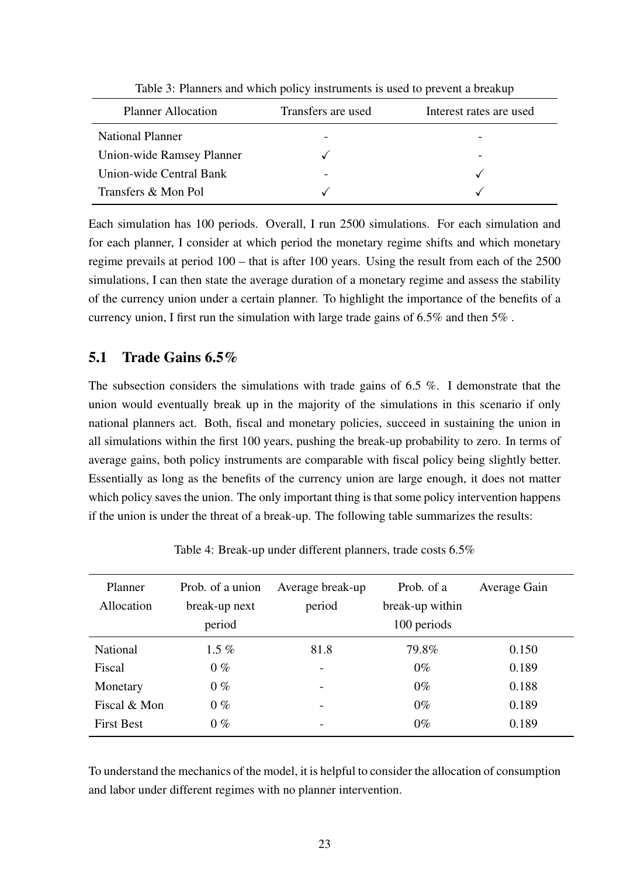| <b>Planner Allocation</b> | Transfers are used | Interest rates are used |
|---------------------------|--------------------|-------------------------|
| <b>National Planner</b>   |                    |                         |
| Union-wide Ramsey Planner |                    |                         |
| Union-wide Central Bank   |                    |                         |
| Transfers & Mon Pol       |                    |                         |

Table 3: Planners and which policy instruments is used to prevent a breakup

Each simulation has 100 periods. Overall, I run 2500 simulations. For each simulation and for each planner, I consider at which period the monetary regime shifts and which monetary regime prevails at period 100 – that is after 100 years. Using the result from each of the 2500 simulations, I can then state the average duration of a monetary regime and assess the stability of the currency union under a certain planner. To highlight the importance of the benefits of a currency union, I first run the simulation with large trade gains of 6.5% and then 5% .

### <span id="page-25-1"></span>5.1 Trade Gains 6.5%

The subsection considers the simulations with trade gains of  $6.5\%$ . I demonstrate that the union would eventually break up in the majority of the simulations in this scenario if only national planners act. Both, fiscal and monetary policies, succeed in sustaining the union in all simulations within the first 100 years, pushing the break-up probability to zero. In terms of average gains, both policy instruments are comparable with fiscal policy being slightly better. Essentially as long as the benefits of the currency union are large enough, it does not matter which policy saves the union. The only important thing is that some policy intervention happens if the union is under the threat of a break-up. The following table summarizes the results:

| Planner<br>Allocation | Prob. of a union<br>break-up next<br>period | Average break-up<br>period | Prob. of a<br>break-up within<br>100 periods | Average Gain |
|-----------------------|---------------------------------------------|----------------------------|----------------------------------------------|--------------|
| <b>National</b>       | 1.5 $%$                                     | 81.8                       | 79.8%                                        | 0.150        |
| Fiscal                | $0\%$                                       |                            | $0\%$                                        | 0.189        |
| Monetary              | $0\%$                                       |                            | $0\%$                                        | 0.188        |
| Fiscal & Mon          | $0\%$                                       |                            | $0\%$                                        | 0.189        |
| <b>First Best</b>     | $0\%$                                       |                            | $0\%$                                        | 0.189        |

<span id="page-25-0"></span>Table 4: Break-up under different planners, trade costs 6.5%

To understand the mechanics of the model, it is helpful to consider the allocation of consumption and labor under different regimes with no planner intervention.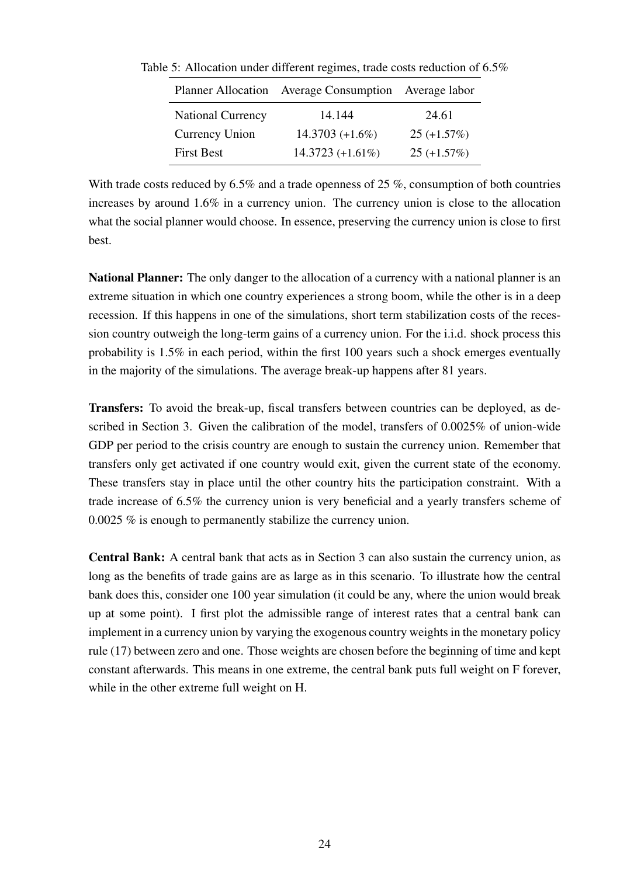|                          | Planner Allocation Average Consumption Average labor |               |  |
|--------------------------|------------------------------------------------------|---------------|--|
| <b>National Currency</b> | 14.144                                               | 24.61         |  |
| Currency Union           | $14.3703 (+1.6\%)$                                   | $25 (+1.57%)$ |  |
| <b>First Best</b>        | $14.3723 (+1.61\%)$                                  | $25 (+1.57%)$ |  |

Table 5: Allocation under different regimes, trade costs reduction of 6.5%

With trade costs reduced by 6.5% and a trade openness of 25%, consumption of both countries increases by around 1.6% in a currency union. The currency union is close to the allocation what the social planner would choose. In essence, preserving the currency union is close to first best.

National Planner: The only danger to the allocation of a currency with a national planner is an extreme situation in which one country experiences a strong boom, while the other is in a deep recession. If this happens in one of the simulations, short term stabilization costs of the recession country outweigh the long-term gains of a currency union. For the i.i.d. shock process this probability is 1.5% in each period, within the first 100 years such a shock emerges eventually in the majority of the simulations. The average break-up happens after 81 years.

Transfers: To avoid the break-up, fiscal transfers between countries can be deployed, as described in Section [3.](#page-15-0) Given the calibration of the model, transfers of 0.0025% of union-wide GDP per period to the crisis country are enough to sustain the currency union. Remember that transfers only get activated if one country would exit, given the current state of the economy. These transfers stay in place until the other country hits the participation constraint. With a trade increase of 6.5% the currency union is very beneficial and a yearly transfers scheme of 0.0025 % is enough to permanently stabilize the currency union.

Central Bank: A central bank that acts as in Section [3](#page-15-0) can also sustain the currency union, as long as the benefits of trade gains are as large as in this scenario. To illustrate how the central bank does this, consider one 100 year simulation (it could be any, where the union would break up at some point). I first plot the admissible range of interest rates that a central bank can implement in a currency union by varying the exogenous country weights in the monetary policy rule [\(17\)](#page-14-2) between zero and one. Those weights are chosen before the beginning of time and kept constant afterwards. This means in one extreme, the central bank puts full weight on F forever, while in the other extreme full weight on H.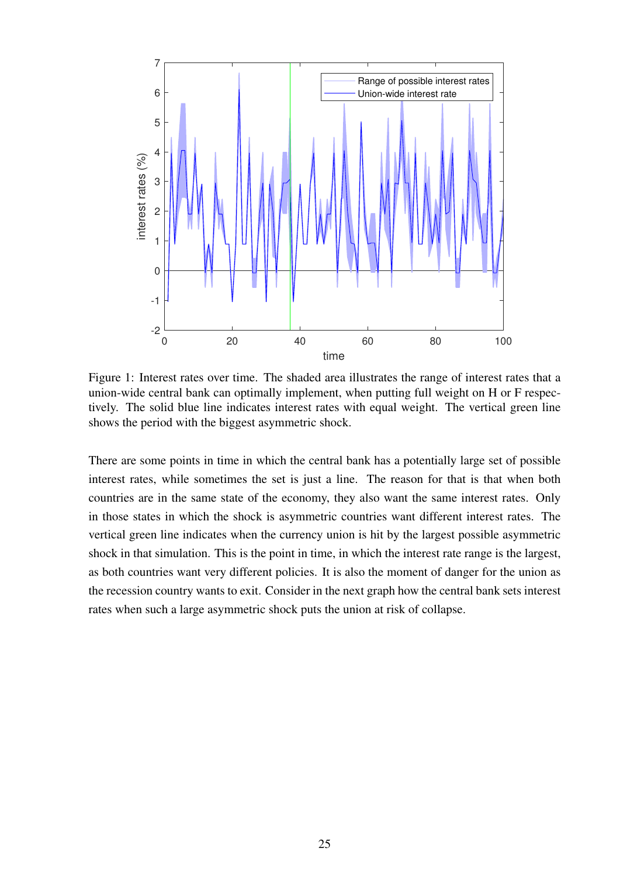<span id="page-27-0"></span>

Figure 1: Interest rates over time. The shaded area illustrates the range of interest rates that a union-wide central bank can optimally implement, when putting full weight on H or F respectively. The solid blue line indicates interest rates with equal weight. The vertical green line shows the period with the biggest asymmetric shock.

There are some points in time in which the central bank has a potentially large set of possible interest rates, while sometimes the set is just a line. The reason for that is that when both countries are in the same state of the economy, they also want the same interest rates. Only in those states in which the shock is asymmetric countries want different interest rates. The vertical green line indicates when the currency union is hit by the largest possible asymmetric shock in that simulation. This is the point in time, in which the interest rate range is the largest, as both countries want very different policies. It is also the moment of danger for the union as the recession country wants to exit. Consider in the next graph how the central bank sets interest rates when such a large asymmetric shock puts the union at risk of collapse.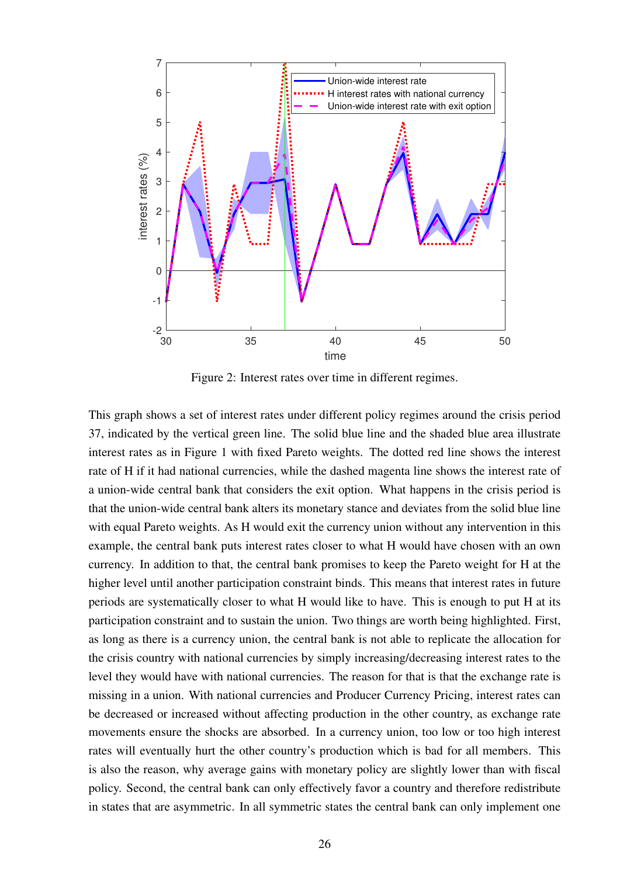

Figure 2: Interest rates over time in different regimes.

This graph shows a set of interest rates under different policy regimes around the crisis period 37, indicated by the vertical green line. The solid blue line and the shaded blue area illustrate interest rates as in Figure [1](#page-27-0) with fixed Pareto weights. The dotted red line shows the interest rate of H if it had national currencies, while the dashed magenta line shows the interest rate of a union-wide central bank that considers the exit option. What happens in the crisis period is that the union-wide central bank alters its monetary stance and deviates from the solid blue line with equal Pareto weights. As H would exit the currency union without any intervention in this example, the central bank puts interest rates closer to what H would have chosen with an own currency. In addition to that, the central bank promises to keep the Pareto weight for H at the higher level until another participation constraint binds. This means that interest rates in future periods are systematically closer to what H would like to have. This is enough to put H at its participation constraint and to sustain the union. Two things are worth being highlighted. First, as long as there is a currency union, the central bank is not able to replicate the allocation for the crisis country with national currencies by simply increasing/decreasing interest rates to the level they would have with national currencies. The reason for that is that the exchange rate is missing in a union. With national currencies and Producer Currency Pricing, interest rates can be decreased or increased without affecting production in the other country, as exchange rate movements ensure the shocks are absorbed. In a currency union, too low or too high interest rates will eventually hurt the other country's production which is bad for all members. This is also the reason, why average gains with monetary policy are slightly lower than with fiscal policy. Second, the central bank can only effectively favor a country and therefore redistribute in states that are asymmetric. In all symmetric states the central bank can only implement one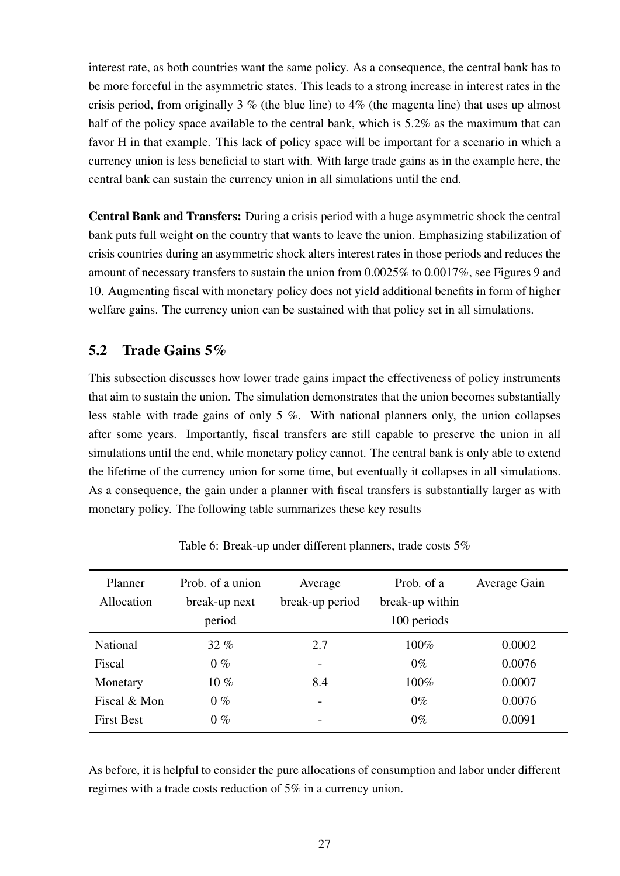interest rate, as both countries want the same policy. As a consequence, the central bank has to be more forceful in the asymmetric states. This leads to a strong increase in interest rates in the crisis period, from originally 3  $\%$  (the blue line) to 4 $\%$  (the magenta line) that uses up almost half of the policy space available to the central bank, which is 5.2% as the maximum that can favor H in that example. This lack of policy space will be important for a scenario in which a currency union is less beneficial to start with. With large trade gains as in the example here, the central bank can sustain the currency union in all simulations until the end.

Central Bank and Transfers: During a crisis period with a huge asymmetric shock the central bank puts full weight on the country that wants to leave the union. Emphasizing stabilization of crisis countries during an asymmetric shock alters interest rates in those periods and reduces the amount of necessary transfers to sustain the union from 0.0025% to 0.0017%, see Figures [9](#page-78-0) and [10.](#page-78-1) Augmenting fiscal with monetary policy does not yield additional benefits in form of higher welfare gains. The currency union can be sustained with that policy set in all simulations.

### <span id="page-29-1"></span>5.2 Trade Gains 5%

This subsection discusses how lower trade gains impact the effectiveness of policy instruments that aim to sustain the union. The simulation demonstrates that the union becomes substantially less stable with trade gains of only 5 %. With national planners only, the union collapses after some years. Importantly, fiscal transfers are still capable to preserve the union in all simulations until the end, while monetary policy cannot. The central bank is only able to extend the lifetime of the currency union for some time, but eventually it collapses in all simulations. As a consequence, the gain under a planner with fiscal transfers is substantially larger as with monetary policy. The following table summarizes these key results

| Planner           | Prob. of a union | Average         | Prob. of a      | Average Gain |
|-------------------|------------------|-----------------|-----------------|--------------|
| Allocation        | break-up next    | break-up period | break-up within |              |
|                   | period           |                 | 100 periods     |              |
| <b>National</b>   | $32\%$           | 2.7             | 100%            | 0.0002       |
| Fiscal            | $0\%$            | -               | $0\%$           | 0.0076       |
| Monetary          | $10\%$           | 8.4             | 100%            | 0.0007       |
| Fiscal & Mon      | $0\%$            |                 | $0\%$           | 0.0076       |
| <b>First Best</b> | $0\%$            | -               | $0\%$           | 0.0091       |

<span id="page-29-0"></span>Table 6: Break-up under different planners, trade costs 5%

As before, it is helpful to consider the pure allocations of consumption and labor under different regimes with a trade costs reduction of 5% in a currency union.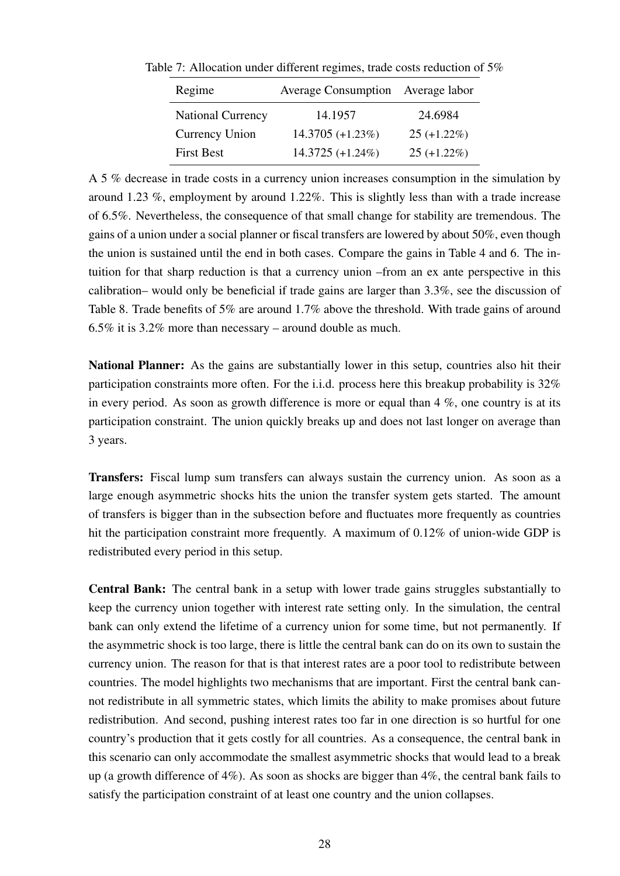| Regime                   | Average Consumption Average labor |                |  |
|--------------------------|-----------------------------------|----------------|--|
| <b>National Currency</b> | 14.1957                           | 24.6984        |  |
| <b>Currency Union</b>    | $14.3705 (+1.23\%)$               | $25 (+1.22\%)$ |  |
| <b>First Best</b>        | 14.3725 (+1.24%)                  | $25 (+1.22\%)$ |  |

Table 7: Allocation under different regimes, trade costs reduction of 5%

A 5 % decrease in trade costs in a currency union increases consumption in the simulation by around 1.23 %, employment by around 1.22%. This is slightly less than with a trade increase of 6.5%. Nevertheless, the consequence of that small change for stability are tremendous. The gains of a union under a social planner or fiscal transfers are lowered by about 50%, even though the union is sustained until the end in both cases. Compare the gains in Table [4](#page-25-0) and [6.](#page-29-0) The intuition for that sharp reduction is that a currency union –from an ex ante perspective in this calibration– would only be beneficial if trade gains are larger than 3.3%, see the discussion of Table [8.](#page-31-2) Trade benefits of 5% are around 1.7% above the threshold. With trade gains of around 6.5% it is 3.2% more than necessary – around double as much.

National Planner: As the gains are substantially lower in this setup, countries also hit their participation constraints more often. For the i.i.d. process here this breakup probability is 32% in every period. As soon as growth difference is more or equal than  $4\%$ , one country is at its participation constraint. The union quickly breaks up and does not last longer on average than 3 years.

Transfers: Fiscal lump sum transfers can always sustain the currency union. As soon as a large enough asymmetric shocks hits the union the transfer system gets started. The amount of transfers is bigger than in the subsection before and fluctuates more frequently as countries hit the participation constraint more frequently. A maximum of 0.12% of union-wide GDP is redistributed every period in this setup.

Central Bank: The central bank in a setup with lower trade gains struggles substantially to keep the currency union together with interest rate setting only. In the simulation, the central bank can only extend the lifetime of a currency union for some time, but not permanently. If the asymmetric shock is too large, there is little the central bank can do on its own to sustain the currency union. The reason for that is that interest rates are a poor tool to redistribute between countries. The model highlights two mechanisms that are important. First the central bank cannot redistribute in all symmetric states, which limits the ability to make promises about future redistribution. And second, pushing interest rates too far in one direction is so hurtful for one country's production that it gets costly for all countries. As a consequence, the central bank in this scenario can only accommodate the smallest asymmetric shocks that would lead to a break up (a growth difference of 4%). As soon as shocks are bigger than 4%, the central bank fails to satisfy the participation constraint of at least one country and the union collapses.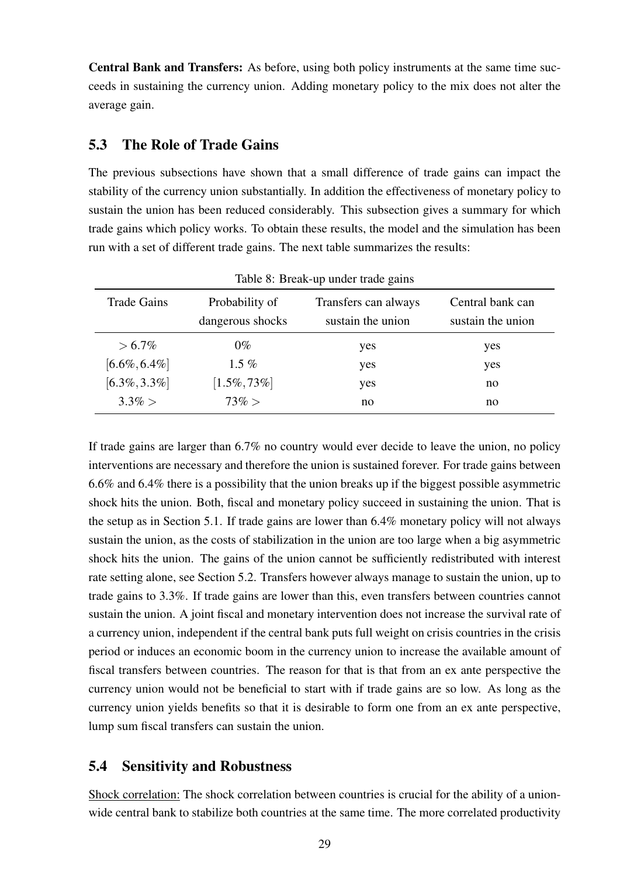Central Bank and Transfers: As before, using both policy instruments at the same time succeeds in sustaining the currency union. Adding monetary policy to the mix does not alter the average gain.

### <span id="page-31-0"></span>5.3 The Role of Trade Gains

The previous subsections have shown that a small difference of trade gains can impact the stability of the currency union substantially. In addition the effectiveness of monetary policy to sustain the union has been reduced considerably. This subsection gives a summary for which trade gains which policy works. To obtain these results, the model and the simulation has been run with a set of different trade gains. The next table summarizes the results:

| <b>Trade Gains</b> | Probability of<br>dangerous shocks | Transfers can always<br>sustain the union | Central bank can<br>sustain the union |  |
|--------------------|------------------------------------|-------------------------------------------|---------------------------------------|--|
| $> 6.7\%$          | $0\%$                              | yes                                       | yes                                   |  |
| $[6.6\%, 6.4\%]$   | 1.5 $%$                            | yes                                       | yes                                   |  |
| $[6.3\%, 3.3\%]$   | $[1.5\%, 73\%]$                    | yes                                       | no                                    |  |
| $3.3\% >$          | $73\% >$                           | no                                        | no                                    |  |

<span id="page-31-2"></span>Table 8: Break-up under trade gains

If trade gains are larger than 6.7% no country would ever decide to leave the union, no policy interventions are necessary and therefore the union is sustained forever. For trade gains between 6.6% and 6.4% there is a possibility that the union breaks up if the biggest possible asymmetric shock hits the union. Both, fiscal and monetary policy succeed in sustaining the union. That is the setup as in Section [5.1.](#page-25-1) If trade gains are lower than 6.4% monetary policy will not always sustain the union, as the costs of stabilization in the union are too large when a big asymmetric shock hits the union. The gains of the union cannot be sufficiently redistributed with interest rate setting alone, see Section [5.2.](#page-29-1) Transfers however always manage to sustain the union, up to trade gains to 3.3%. If trade gains are lower than this, even transfers between countries cannot sustain the union. A joint fiscal and monetary intervention does not increase the survival rate of a currency union, independent if the central bank puts full weight on crisis countries in the crisis period or induces an economic boom in the currency union to increase the available amount of fiscal transfers between countries. The reason for that is that from an ex ante perspective the currency union would not be beneficial to start with if trade gains are so low. As long as the currency union yields benefits so that it is desirable to form one from an ex ante perspective, lump sum fiscal transfers can sustain the union.

### <span id="page-31-1"></span>5.4 Sensitivity and Robustness

Shock correlation: The shock correlation between countries is crucial for the ability of a unionwide central bank to stabilize both countries at the same time. The more correlated productivity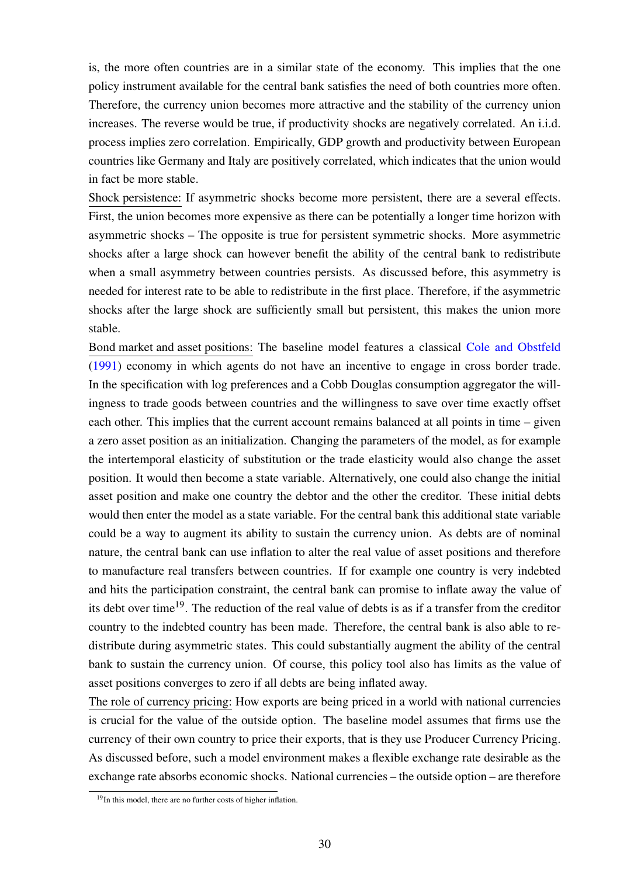is, the more often countries are in a similar state of the economy. This implies that the one policy instrument available for the central bank satisfies the need of both countries more often. Therefore, the currency union becomes more attractive and the stability of the currency union increases. The reverse would be true, if productivity shocks are negatively correlated. An i.i.d. process implies zero correlation. Empirically, GDP growth and productivity between European countries like Germany and Italy are positively correlated, which indicates that the union would in fact be more stable.

Shock persistence: If asymmetric shocks become more persistent, there are a several effects. First, the union becomes more expensive as there can be potentially a longer time horizon with asymmetric shocks – The opposite is true for persistent symmetric shocks. More asymmetric shocks after a large shock can however benefit the ability of the central bank to redistribute when a small asymmetry between countries persists. As discussed before, this asymmetry is needed for interest rate to be able to redistribute in the first place. Therefore, if the asymmetric shocks after the large shock are sufficiently small but persistent, this makes the union more stable.

Bond market and asset positions: The baseline model features a classical [Cole and Obstfeld](#page-35-12) [\(1991\)](#page-35-12) economy in which agents do not have an incentive to engage in cross border trade. In the specification with log preferences and a Cobb Douglas consumption aggregator the willingness to trade goods between countries and the willingness to save over time exactly offset each other. This implies that the current account remains balanced at all points in time – given a zero asset position as an initialization. Changing the parameters of the model, as for example the intertemporal elasticity of substitution or the trade elasticity would also change the asset position. It would then become a state variable. Alternatively, one could also change the initial asset position and make one country the debtor and the other the creditor. These initial debts would then enter the model as a state variable. For the central bank this additional state variable could be a way to augment its ability to sustain the currency union. As debts are of nominal nature, the central bank can use inflation to alter the real value of asset positions and therefore to manufacture real transfers between countries. If for example one country is very indebted and hits the participation constraint, the central bank can promise to inflate away the value of its debt over time<sup>[19](#page-32-0)</sup>. The reduction of the real value of debts is as if a transfer from the creditor country to the indebted country has been made. Therefore, the central bank is also able to redistribute during asymmetric states. This could substantially augment the ability of the central bank to sustain the currency union. Of course, this policy tool also has limits as the value of asset positions converges to zero if all debts are being inflated away.

The role of currency pricing: How exports are being priced in a world with national currencies is crucial for the value of the outside option. The baseline model assumes that firms use the currency of their own country to price their exports, that is they use Producer Currency Pricing. As discussed before, such a model environment makes a flexible exchange rate desirable as the exchange rate absorbs economic shocks. National currencies – the outside option – are therefore

<span id="page-32-0"></span><sup>&</sup>lt;sup>19</sup>In this model, there are no further costs of higher inflation.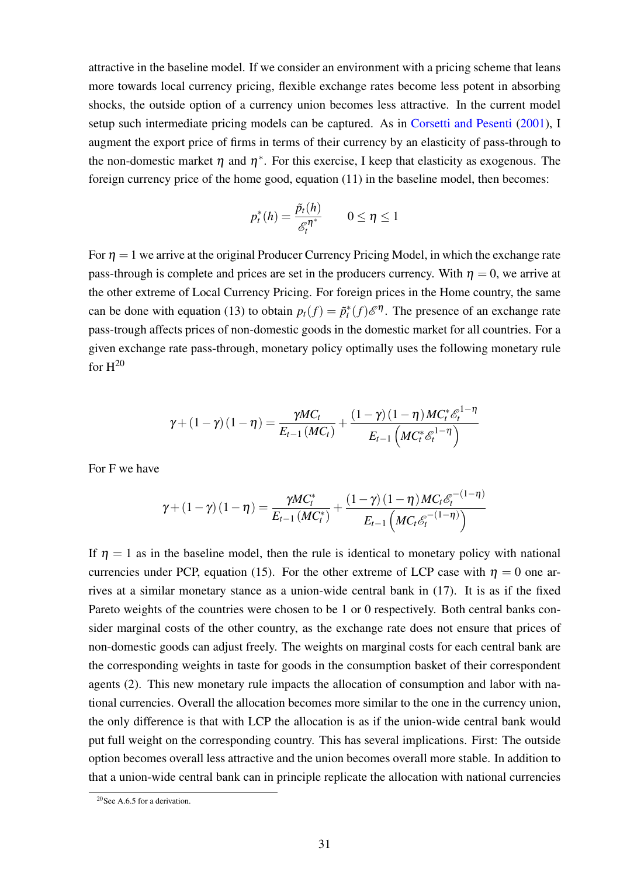attractive in the baseline model. If we consider an environment with a pricing scheme that leans more towards local currency pricing, flexible exchange rates become less potent in absorbing shocks, the outside option of a currency union becomes less attractive. In the current model setup such intermediate pricing models can be captured. As in [Corsetti and Pesenti](#page-36-15) [\(2001\)](#page-36-15), I augment the export price of firms in terms of their currency by an elasticity of pass-through to the non-domestic market  $\eta$  and  $\eta^*$ . For this exercise, I keep that elasticity as exogenous. The foreign currency price of the home good, equation [\(11\)](#page-10-1) in the baseline model, then becomes:

$$
p_t^*(h) = \frac{\tilde{p}_t(h)}{\mathscr{E}_t^{\eta^*}} \qquad 0 \le \eta \le 1
$$

For  $\eta = 1$  we arrive at the original Producer Currency Pricing Model, in which the exchange rate pass-through is complete and prices are set in the producers currency. With  $\eta = 0$ , we arrive at the other extreme of Local Currency Pricing. For foreign prices in the Home country, the same can be done with equation [\(13\)](#page-10-2) to obtain  $p_t(f) = \tilde{p}_t^*(f) \mathcal{E}^{\eta}$ . The presence of an exchange rate pass-trough affects prices of non-domestic goods in the domestic market for all countries. For a given exchange rate pass-through, monetary policy optimally uses the following monetary rule for  $H^{20}$  $H^{20}$  $H^{20}$ 

$$
\gamma + \left(1-\gamma\right)\left(1-\eta\right) = \frac{\gamma MC_t}{E_{t-1}\left(MC_t\right)} + \frac{\left(1-\gamma\right)\left(1-\eta\right)MC_t^*\mathcal{E}_t^{1-\eta}}{E_{t-1}\left(MC_t^*\mathcal{E}_t^{1-\eta}\right)}
$$

For F we have

$$
\gamma + \left(1 - \gamma\right)\left(1 - \eta\right) = \frac{\gamma MC_t^*}{E_{t-1}\left(MC_t^*\right)} + \frac{\left(1 - \gamma\right)\left(1 - \eta\right)MC_t\mathcal{E}_t^{-\left(1 - \eta\right)}}{E_{t-1}\left(MC_t\mathcal{E}_t^{-\left(1 - \eta\right)}\right)}
$$

If  $\eta = 1$  as in the baseline model, then the rule is identical to monetary policy with national currencies under PCP, equation [\(15\)](#page-12-2). For the other extreme of LCP case with  $\eta = 0$  one arrives at a similar monetary stance as a union-wide central bank in [\(17\)](#page-14-2). It is as if the fixed Pareto weights of the countries were chosen to be 1 or 0 respectively. Both central banks consider marginal costs of the other country, as the exchange rate does not ensure that prices of non-domestic goods can adjust freely. The weights on marginal costs for each central bank are the corresponding weights in taste for goods in the consumption basket of their correspondent agents [\(2\)](#page-7-1). This new monetary rule impacts the allocation of consumption and labor with national currencies. Overall the allocation becomes more similar to the one in the currency union, the only difference is that with LCP the allocation is as if the union-wide central bank would put full weight on the corresponding country. This has several implications. First: The outside option becomes overall less attractive and the union becomes overall more stable. In addition to that a union-wide central bank can in principle replicate the allocation with national currencies

<span id="page-33-0"></span><sup>20</sup>See [A.6.5](#page-59-0) for a derivation.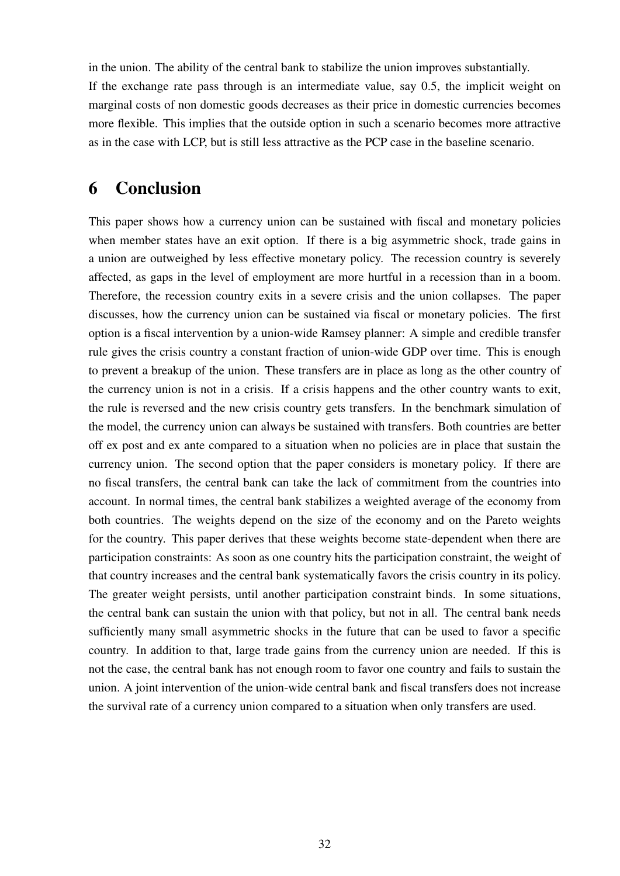in the union. The ability of the central bank to stabilize the union improves substantially. If the exchange rate pass through is an intermediate value, say 0.5, the implicit weight on marginal costs of non domestic goods decreases as their price in domestic currencies becomes more flexible. This implies that the outside option in such a scenario becomes more attractive as in the case with LCP, but is still less attractive as the PCP case in the baseline scenario.

## 6 Conclusion

This paper shows how a currency union can be sustained with fiscal and monetary policies when member states have an exit option. If there is a big asymmetric shock, trade gains in a union are outweighed by less effective monetary policy. The recession country is severely affected, as gaps in the level of employment are more hurtful in a recession than in a boom. Therefore, the recession country exits in a severe crisis and the union collapses. The paper discusses, how the currency union can be sustained via fiscal or monetary policies. The first option is a fiscal intervention by a union-wide Ramsey planner: A simple and credible transfer rule gives the crisis country a constant fraction of union-wide GDP over time. This is enough to prevent a breakup of the union. These transfers are in place as long as the other country of the currency union is not in a crisis. If a crisis happens and the other country wants to exit, the rule is reversed and the new crisis country gets transfers. In the benchmark simulation of the model, the currency union can always be sustained with transfers. Both countries are better off ex post and ex ante compared to a situation when no policies are in place that sustain the currency union. The second option that the paper considers is monetary policy. If there are no fiscal transfers, the central bank can take the lack of commitment from the countries into account. In normal times, the central bank stabilizes a weighted average of the economy from both countries. The weights depend on the size of the economy and on the Pareto weights for the country. This paper derives that these weights become state-dependent when there are participation constraints: As soon as one country hits the participation constraint, the weight of that country increases and the central bank systematically favors the crisis country in its policy. The greater weight persists, until another participation constraint binds. In some situations, the central bank can sustain the union with that policy, but not in all. The central bank needs sufficiently many small asymmetric shocks in the future that can be used to favor a specific country. In addition to that, large trade gains from the currency union are needed. If this is not the case, the central bank has not enough room to favor one country and fails to sustain the union. A joint intervention of the union-wide central bank and fiscal transfers does not increase the survival rate of a currency union compared to a situation when only transfers are used.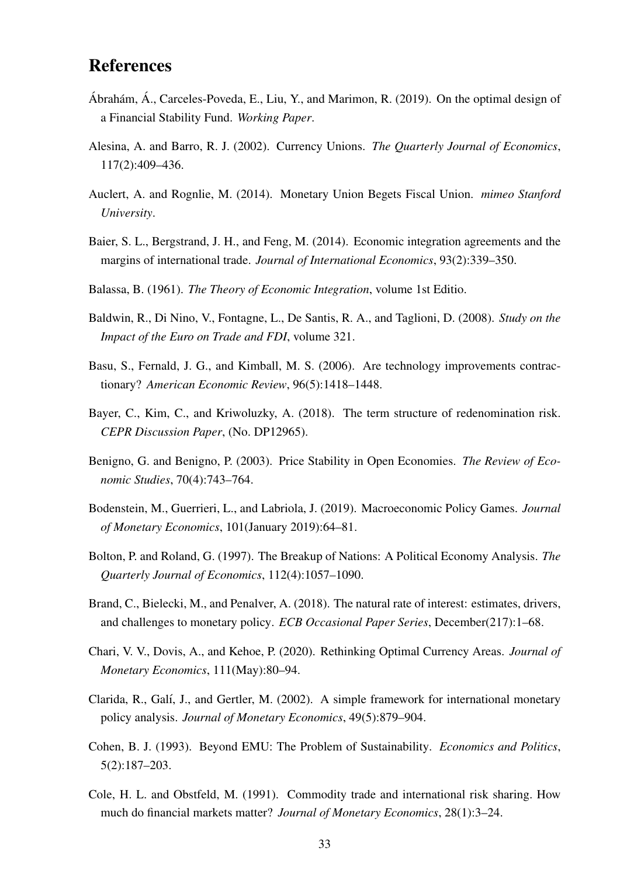# References

- <span id="page-35-13"></span>Ábrahám, Á., Carceles-Poveda, E., Liu, Y., and Marimon, R. (2019). On the optimal design of a Financial Stability Fund. *Working Paper*.
- <span id="page-35-4"></span>Alesina, A. and Barro, R. J. (2002). Currency Unions. *The Quarterly Journal of Economics*, 117(2):409–436.
- <span id="page-35-11"></span>Auclert, A. and Rognlie, M. (2014). Monetary Union Begets Fiscal Union. *mimeo Stanford University*.
- <span id="page-35-6"></span>Baier, S. L., Bergstrand, J. H., and Feng, M. (2014). Economic integration agreements and the margins of international trade. *Journal of International Economics*, 93(2):339–350.
- <span id="page-35-8"></span>Balassa, B. (1961). *The Theory of Economic Integration*, volume 1st Editio.
- <span id="page-35-5"></span>Baldwin, R., Di Nino, V., Fontagne, L., De Santis, R. A., and Taglioni, D. (2008). *Study on the Impact of the Euro on Trade and FDI*, volume 321.
- <span id="page-35-14"></span>Basu, S., Fernald, J. G., and Kimball, M. S. (2006). Are technology improvements contractionary? *American Economic Review*, 96(5):1418–1448.
- <span id="page-35-0"></span>Bayer, C., Kim, C., and Kriwoluzky, A. (2018). The term structure of redenomination risk. *CEPR Discussion Paper*, (No. DP12965).
- <span id="page-35-2"></span>Benigno, G. and Benigno, P. (2003). Price Stability in Open Economies. *The Review of Economic Studies*, 70(4):743–764.
- <span id="page-35-3"></span>Bodenstein, M., Guerrieri, L., and Labriola, J. (2019). Macroeconomic Policy Games. *Journal of Monetary Economics*, 101(January 2019):64–81.
- <span id="page-35-9"></span>Bolton, P. and Roland, G. (1997). The Breakup of Nations: A Political Economy Analysis. *The Quarterly Journal of Economics*, 112(4):1057–1090.
- <span id="page-35-15"></span>Brand, C., Bielecki, M., and Penalver, A. (2018). The natural rate of interest: estimates, drivers, and challenges to monetary policy. *ECB Occasional Paper Series*, December(217):1–68.
- <span id="page-35-7"></span>Chari, V. V., Dovis, A., and Kehoe, P. (2020). Rethinking Optimal Currency Areas. *Journal of Monetary Economics*, 111(May):80–94.
- <span id="page-35-1"></span>Clarida, R., Galí, J., and Gertler, M. (2002). A simple framework for international monetary policy analysis. *Journal of Monetary Economics*, 49(5):879–904.
- <span id="page-35-10"></span>Cohen, B. J. (1993). Beyond EMU: The Problem of Sustainability. *Economics and Politics*, 5(2):187–203.
- <span id="page-35-12"></span>Cole, H. L. and Obstfeld, M. (1991). Commodity trade and international risk sharing. How much do financial markets matter? *Journal of Monetary Economics*, 28(1):3–24.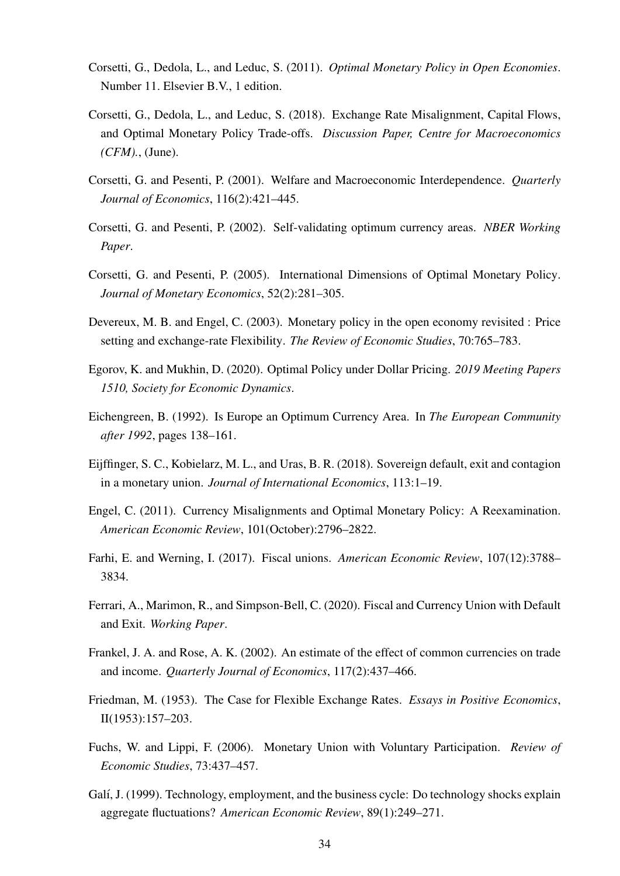- Corsetti, G., Dedola, L., and Leduc, S. (2011). *Optimal Monetary Policy in Open Economies*. Number 11. Elsevier B.V., 1 edition.
- Corsetti, G., Dedola, L., and Leduc, S. (2018). Exchange Rate Misalignment, Capital Flows, and Optimal Monetary Policy Trade-offs. *Discussion Paper, Centre for Macroeconomics (CFM).*, (June).
- <span id="page-36-0"></span>Corsetti, G. and Pesenti, P. (2001). Welfare and Macroeconomic Interdependence. *Quarterly Journal of Economics*, 116(2):421–445.
- <span id="page-36-1"></span>Corsetti, G. and Pesenti, P. (2002). Self-validating optimum currency areas. *NBER Working Paper*.
- <span id="page-36-2"></span>Corsetti, G. and Pesenti, P. (2005). International Dimensions of Optimal Monetary Policy. *Journal of Monetary Economics*, 52(2):281–305.
- Devereux, M. B. and Engel, C. (2003). Monetary policy in the open economy revisited : Price setting and exchange-rate Flexibility. *The Review of Economic Studies*, 70:765–783.
- Egorov, K. and Mukhin, D. (2020). Optimal Policy under Dollar Pricing. *2019 Meeting Papers 1510, Society for Economic Dynamics*.
- Eichengreen, B. (1992). Is Europe an Optimum Currency Area. In *The European Community after 1992*, pages 138–161.
- Eijffinger, S. C., Kobielarz, M. L., and Uras, B. R. (2018). Sovereign default, exit and contagion in a monetary union. *Journal of International Economics*, 113:1–19.
- Engel, C. (2011). Currency Misalignments and Optimal Monetary Policy: A Reexamination. *American Economic Review*, 101(October):2796–2822.
- Farhi, E. and Werning, I. (2017). Fiscal unions. *American Economic Review*, 107(12):3788– 3834.
- Ferrari, A., Marimon, R., and Simpson-Bell, C. (2020). Fiscal and Currency Union with Default and Exit. *Working Paper*.
- Frankel, J. A. and Rose, A. K. (2002). An estimate of the effect of common currencies on trade and income. *Quarterly Journal of Economics*, 117(2):437–466.
- Friedman, M. (1953). The Case for Flexible Exchange Rates. *Essays in Positive Economics*, II(1953):157–203.
- Fuchs, W. and Lippi, F. (2006). Monetary Union with Voluntary Participation. *Review of Economic Studies*, 73:437–457.
- Galí, J. (1999). Technology, employment, and the business cycle: Do technology shocks explain aggregate fluctuations? *American Economic Review*, 89(1):249–271.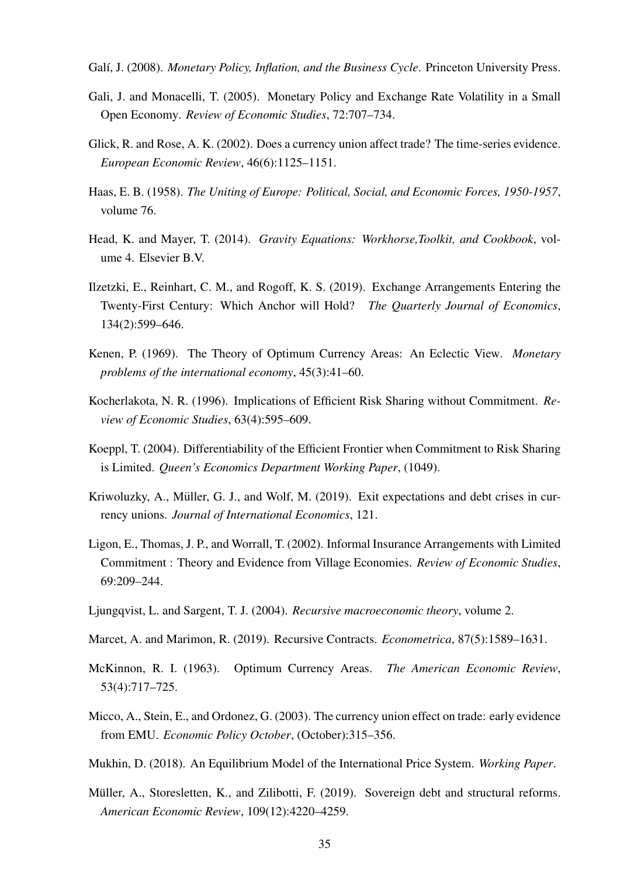- Galí, J. (2008). *Monetary Policy, Inflation, and the Business Cycle*. Princeton University Press.
- Gali, J. and Monacelli, T. (2005). Monetary Policy and Exchange Rate Volatility in a Small Open Economy. *Review of Economic Studies*, 72:707–734.
- Glick, R. and Rose, A. K. (2002). Does a currency union affect trade? The time-series evidence. *European Economic Review*, 46(6):1125–1151.
- Haas, E. B. (1958). *The Uniting of Europe: Political, Social, and Economic Forces, 1950-1957*, volume 76.
- Head, K. and Mayer, T. (2014). *Gravity Equations: Workhorse,Toolkit, and Cookbook*, volume 4. Elsevier B.V.
- Ilzetzki, E., Reinhart, C. M., and Rogoff, K. S. (2019). Exchange Arrangements Entering the Twenty-First Century: Which Anchor will Hold? *The Quarterly Journal of Economics*, 134(2):599–646.
- Kenen, P. (1969). The Theory of Optimum Currency Areas: An Eclectic View. *Monetary problems of the international economy*, 45(3):41–60.
- Kocherlakota, N. R. (1996). Implications of Efficient Risk Sharing without Commitment. *Review of Economic Studies*, 63(4):595–609.
- Koeppl, T. (2004). Differentiability of the Efficient Frontier when Commitment to Risk Sharing is Limited. *Queen's Economics Department Working Paper*, (1049).
- Kriwoluzky, A., Müller, G. J., and Wolf, M. (2019). Exit expectations and debt crises in currency unions. *Journal of International Economics*, 121.
- <span id="page-37-0"></span>Ligon, E., Thomas, J. P., and Worrall, T. (2002). Informal Insurance Arrangements with Limited Commitment : Theory and Evidence from Village Economies. *Review of Economic Studies*, 69:209–244.
- Ljungqvist, L. and Sargent, T. J. (2004). *Recursive macroeconomic theory*, volume 2.
- Marcet, A. and Marimon, R. (2019). Recursive Contracts. *Econometrica*, 87(5):1589–1631.
- McKinnon, R. I. (1963). Optimum Currency Areas. *The American Economic Review*, 53(4):717–725.
- Micco, A., Stein, E., and Ordonez, G. (2003). The currency union effect on trade: early evidence from EMU. *Economic Policy October*, (October):315–356.
- Mukhin, D. (2018). An Equilibrium Model of the International Price System. *Working Paper*.
- Müller, A., Storesletten, K., and Zilibotti, F. (2019). Sovereign debt and structural reforms. *American Economic Review*, 109(12):4220–4259.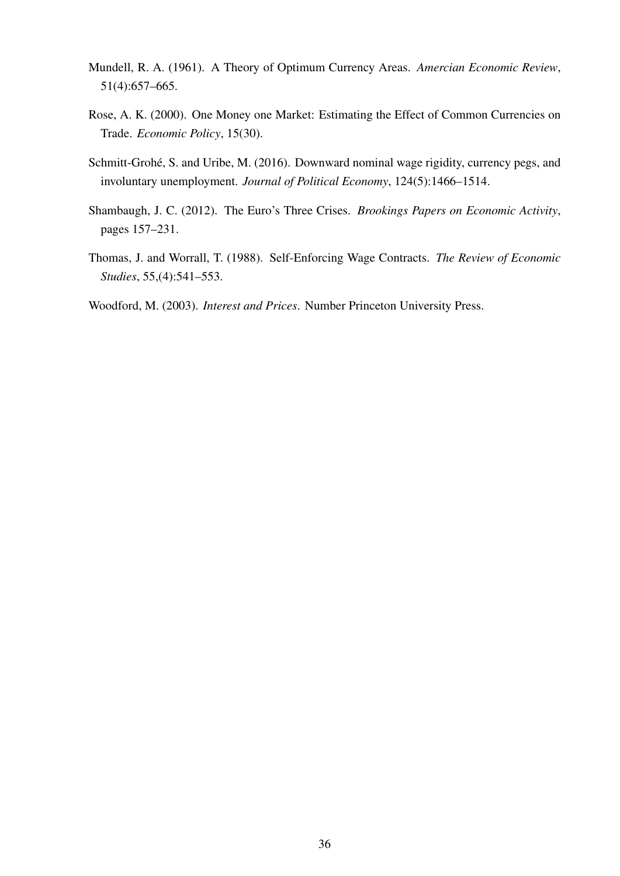- Mundell, R. A. (1961). A Theory of Optimum Currency Areas. *Amercian Economic Review*, 51(4):657–665.
- Rose, A. K. (2000). One Money one Market: Estimating the Effect of Common Currencies on Trade. *Economic Policy*, 15(30).
- Schmitt-Grohé, S. and Uribe, M. (2016). Downward nominal wage rigidity, currency pegs, and involuntary unemployment. *Journal of Political Economy*, 124(5):1466–1514.
- Shambaugh, J. C. (2012). The Euro's Three Crises. *Brookings Papers on Economic Activity*, pages 157–231.
- <span id="page-38-0"></span>Thomas, J. and Worrall, T. (1988). Self-Enforcing Wage Contracts. *The Review of Economic Studies*, 55,(4):541–553.

Woodford, M. (2003). *Interest and Prices*. Number Princeton University Press.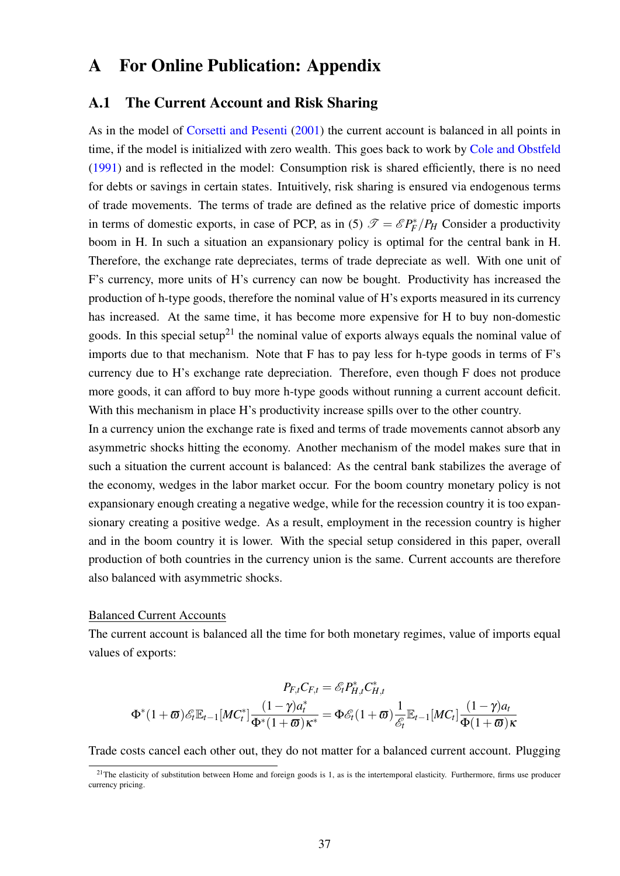## A For Online Publication: Appendix

### A.1 The Current Account and Risk Sharing

As in the model of [Corsetti and Pesenti](#page-36-0) [\(2001\)](#page-36-0) the current account is balanced in all points in time, if the model is initialized with zero wealth. This goes back to work by [Cole and Obstfeld](#page-35-0) [\(1991\)](#page-35-0) and is reflected in the model: Consumption risk is shared efficiently, there is no need for debts or savings in certain states. Intuitively, risk sharing is ensured via endogenous terms of trade movements. The terms of trade are defined as the relative price of domestic imports in terms of domestic exports, in case of PCP, as in [\(5\)](#page-8-0)  $\mathcal{T} = \mathcal{E} P_F^* / P_H$  Consider a productivity boom in H. In such a situation an expansionary policy is optimal for the central bank in H. Therefore, the exchange rate depreciates, terms of trade depreciate as well. With one unit of F's currency, more units of H's currency can now be bought. Productivity has increased the production of h-type goods, therefore the nominal value of H's exports measured in its currency has increased. At the same time, it has become more expensive for H to buy non-domestic goods. In this special setup<sup>[21](#page-39-0)</sup> the nominal value of exports always equals the nominal value of imports due to that mechanism. Note that F has to pay less for h-type goods in terms of F's currency due to H's exchange rate depreciation. Therefore, even though F does not produce more goods, it can afford to buy more h-type goods without running a current account deficit. With this mechanism in place H's productivity increase spills over to the other country.

In a currency union the exchange rate is fixed and terms of trade movements cannot absorb any asymmetric shocks hitting the economy. Another mechanism of the model makes sure that in such a situation the current account is balanced: As the central bank stabilizes the average of the economy, wedges in the labor market occur. For the boom country monetary policy is not expansionary enough creating a negative wedge, while for the recession country it is too expansionary creating a positive wedge. As a result, employment in the recession country is higher and in the boom country it is lower. With the special setup considered in this paper, overall production of both countries in the currency union is the same. Current accounts are therefore also balanced with asymmetric shocks.

#### Balanced Current Accounts

The current account is balanced all the time for both monetary regimes, value of imports equal values of exports:

$$
P_{F,t}C_{F,t} = \mathscr{E}_t P_{H,t}^* C_{H,t}^*
$$

$$
\Phi^*(1+\varpi)\mathscr{E}_t \mathbb{E}_{t-1}[MC_t^*]\frac{(1-\gamma)a_t^*}{\Phi^*(1+\varpi)\kappa^*} = \Phi \mathscr{E}_t(1+\varpi)\frac{1}{\mathscr{E}_t}\mathbb{E}_{t-1}[MC_t]\frac{(1-\gamma)a_t}{\Phi(1+\varpi)\kappa}
$$

Trade costs cancel each other out, they do not matter for a balanced current account. Plugging

<span id="page-39-0"></span> $21$ The elasticity of substitution between Home and foreign goods is 1, as is the intertemporal elasticity. Furthermore, firms use producer currency pricing.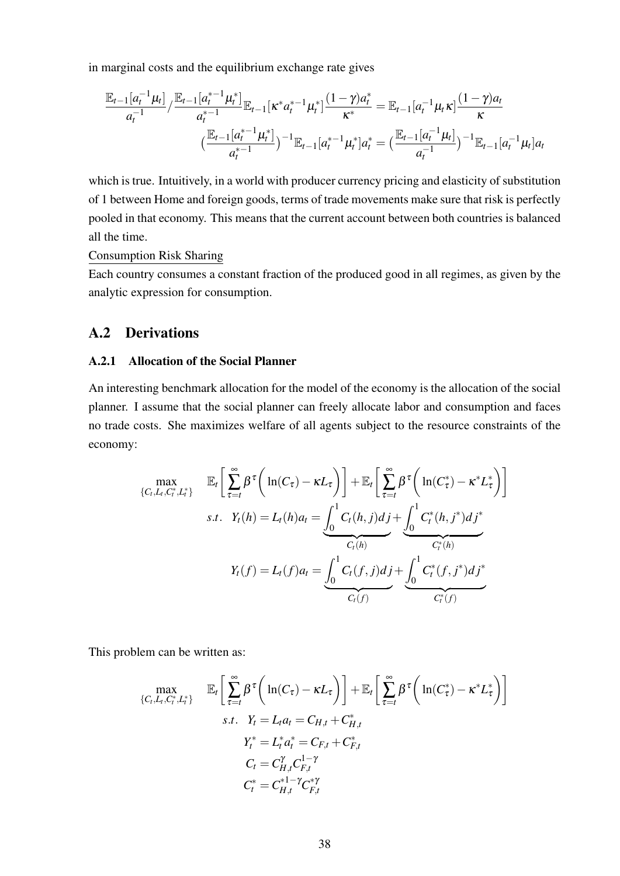in marginal costs and the equilibrium exchange rate gives

$$
\frac{\mathbb{E}_{t-1}[a_t^{-1}\mu_t]}{a_t^{-1}} / \frac{\mathbb{E}_{t-1}[a_t^{*-1}\mu_t^*]}{a_t^{*-1}} \mathbb{E}_{t-1}[\kappa^* a_t^{*-1}\mu_t^*] \frac{(1-\gamma)a_t}{\kappa^*} = \mathbb{E}_{t-1}[a_t^{-1}\mu_t \kappa] \frac{(1-\gamma)a_t}{\kappa}
$$
\n
$$
\left(\frac{\mathbb{E}_{t-1}[a_t^{*-1}\mu_t^*]}{a_t^{*-1}}\right)^{-1} \mathbb{E}_{t-1}[a_t^{*-1}\mu_t^*]a_t^* = \left(\frac{\mathbb{E}_{t-1}[a_t^{-1}\mu_t]}{a_t^{-1}}\right)^{-1} \mathbb{E}_{t-1}[a_t^{-1}\mu_t]a_t
$$

which is true. Intuitively, in a world with producer currency pricing and elasticity of substitution of 1 between Home and foreign goods, terms of trade movements make sure that risk is perfectly pooled in that economy. This means that the current account between both countries is balanced all the time.

Consumption Risk Sharing

Each country consumes a constant fraction of the produced good in all regimes, as given by the analytic expression for consumption.

### A.2 Derivations

#### A.2.1 Allocation of the Social Planner

An interesting benchmark allocation for the model of the economy is the allocation of the social planner. I assume that the social planner can freely allocate labor and consumption and faces no trade costs. She maximizes welfare of all agents subject to the resource constraints of the economy:

$$
\max_{\{C_t, L_t, C_t^*, L_t^*\}} \mathbb{E}_t \bigg[ \sum_{\tau=t}^{\infty} \beta^{\tau} \bigg( \ln(C_{\tau}) - \kappa L_{\tau} \bigg) \bigg] + \mathbb{E}_t \bigg[ \sum_{\tau=t}^{\infty} \beta^{\tau} \bigg( \ln(C_{\tau}^*) - \kappa^* L_{\tau}^* \bigg) \bigg]
$$
  
s.t.  $Y_t(h) = L_t(h)a_t = \underbrace{\int_0^1 C_t(h, j) d_j}_{C_t(h)} + \underbrace{\int_0^1 C_t^*(h, j^*) d_j^*}_{C_t^*(h)}$   
 $Y_t(f) = L_t(f)a_t = \underbrace{\int_0^1 C_t(f, j) d_j + \int_0^1 C_t^*(f, j^*) d_j^*}_{C_t(f)}.$ 

This problem can be written as:

$$
\max_{\{C_t, L_t, C_t^*, L_t^*\}} \mathbb{E}_t \bigg[ \sum_{\tau=t}^{\infty} \beta^{\tau} \bigg( \ln(C_{\tau}) - \kappa L_{\tau} \bigg) \bigg] + \mathbb{E}_t \bigg[ \sum_{\tau=t}^{\infty} \beta^{\tau} \bigg( \ln(C_t^*) - \kappa^* L_{\tau}^* \bigg) \bigg]
$$
  
s.t.  $Y_t = L_t a_t = C_{H,t} + C_{H,t}^*$   
 $Y_t^* = L_t^* a_t^* = C_{F,t} + C_{F,t}^*$   
 $C_t = C_{H,t}^{\gamma} C_{F,t}^{1-\gamma}$   
 $C_t^* = C_{H,t}^{*1-\gamma} C_{F,t}^{*\gamma}$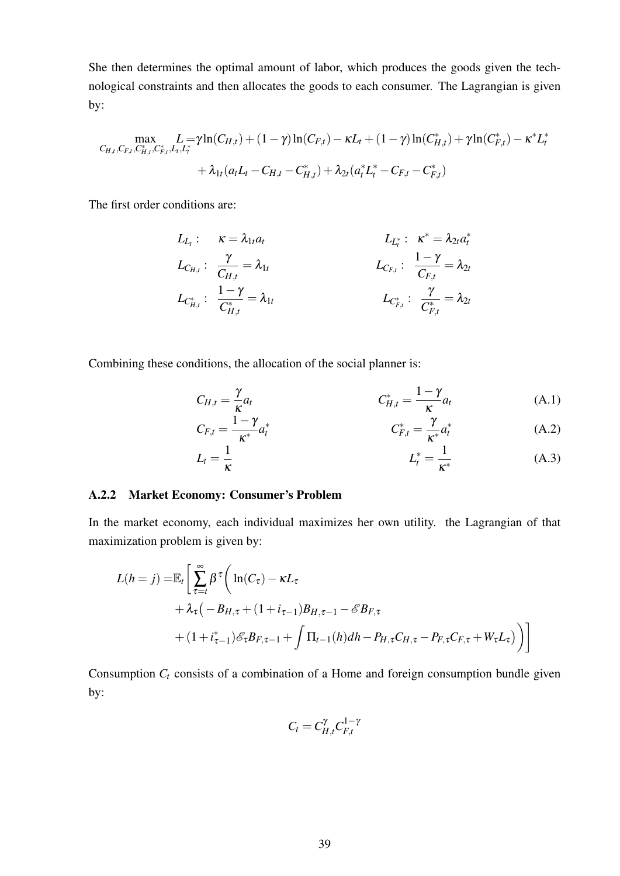She then determines the optimal amount of labor, which produces the goods given the technological constraints and then allocates the goods to each consumer. The Lagrangian is given by:

$$
\max_{C_{H,t}, C_{F,t}, C_{H,t}^*, C_{F,t}^*, L_t, L_t^*} L = \gamma \ln(C_{H,t}) + (1 - \gamma) \ln(C_{F,t}) - \kappa L_t + (1 - \gamma) \ln(C_{H,t}^*) + \gamma \ln(C_{F,t}^*) - \kappa^* L_t^*
$$
  
+  $\lambda_{1t} (a_t L_t - C_{H,t} - C_{H,t}^*) + \lambda_{2t} (a_t^* L_t^* - C_{F,t} - C_{F,t}^*)$ 

The first order conditions are:

$$
L_{L_t}: \t\kappa = \lambda_{1t} a_t \t L_{L_t^*}: \t\kappa^* = \lambda_{2t} a_t^*
$$
  
\n
$$
L_{C_{H,t}}: \t\frac{\gamma}{C_{H,t}} = \lambda_{1t} \t L_{C_{F,t}^*}: \t\frac{1-\gamma}{C_{F,t}} = \lambda_{2t} \t L_{C_{H,t}^*}: \t\frac{\gamma}{C_{F,t}^*} = \lambda_{2t}
$$
  
\n
$$
L_{C_{H,t}^*}: \t\frac{\gamma}{C_{H,t}^*} = \lambda_{1t} \t L_{C_{F,t}^*}: \t\frac{\gamma}{C_{F,t}^*} = \lambda_{2t}
$$

Combining these conditions, the allocation of the social planner is:

$$
C_{H,t} = \frac{\gamma}{\kappa} a_t \qquad C_{H,t}^* = \frac{1 - \gamma}{\kappa} a_t \qquad (A.1)
$$

$$
C_{F,t} = \frac{1 - \gamma}{\kappa^*} a_t^* \qquad C_{F,t}^* = \frac{\gamma}{\kappa^*} a_t^* \qquad (A.2)
$$

$$
L_t = \frac{1}{\kappa} \tag{A.3}
$$

#### A.2.2 Market Economy: Consumer's Problem

In the market economy, each individual maximizes her own utility. the Lagrangian of that maximization problem is given by:

$$
L(h = j) = \mathbb{E}_{t} \left[ \sum_{\tau=t}^{\infty} \beta^{\tau} \left( \ln(C_{\tau}) - \kappa L_{\tau} + \lambda_{\tau} (-B_{H,\tau} + (1 + i_{\tau-1}) B_{H,\tau-1} - \mathscr{E} B_{F,\tau} + (1 + i_{\tau-1}^*) \mathscr{E}_{\tau} B_{F,\tau-1} + \int \Pi_{t-1}(h) dh - P_{H,\tau} C_{H,\tau} - P_{F,\tau} C_{F,\tau} + W_{\tau} L_{\tau} \right) \right]
$$

Consumption  $C_t$  consists of a combination of a Home and foreign consumption bundle given by:

$$
C_t=C_{H,t}^{\gamma}C_{F,t}^{1-\gamma}
$$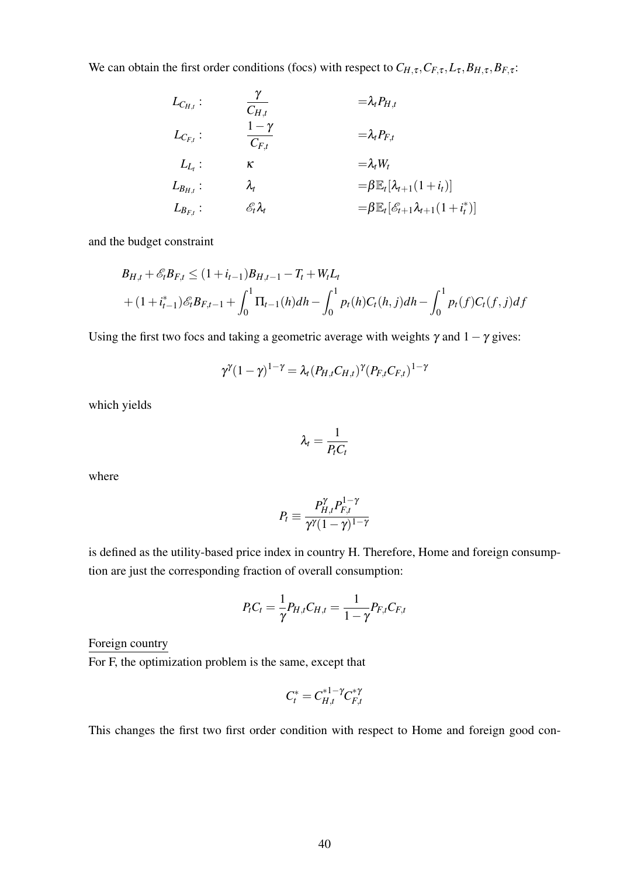We can obtain the first order conditions (focs) with respect to  $C_{H,\tau}$ ,  $C_{F,\tau}$ ,  $L_{\tau}$ ,  $B_{H,\tau}$ ,  $B_{F,\tau}$ :

$$
L_{C_{H,t}}: \t\frac{\gamma}{C_{H,t}} = \lambda_t P_{H,t}
$$
  
\n
$$
L_{C_{F,t}}: \t\frac{1-\gamma}{C_{F,t}} = \lambda_t P_{F,t}
$$
  
\n
$$
L_{L_t}: \t\kappa = \lambda_t W_t
$$
  
\n
$$
L_{B_{H,t}}: \t\lambda_t = \beta \mathbb{E}_t [\lambda_{t+1}(1+i_t)]
$$
  
\n
$$
L_{B_{F,t}}: \t\epsilon_t \lambda_t = \beta \mathbb{E}_t [\epsilon_{t+1} \lambda_{t+1}(1+i_t^*)]
$$

and the budget constraint

$$
B_{H,t} + \mathcal{E}_t B_{F,t} \le (1 + i_{t-1}) B_{H,t-1} - T_t + W_t L_t
$$
  
+  $(1 + i_{t-1}^*) \mathcal{E}_t B_{F,t-1} + \int_0^1 \Pi_{t-1}(h) dh - \int_0^1 p_t(h) C_t(h, j) dh - \int_0^1 p_t(f) C_t(f, j) df$ 

Using the first two focs and taking a geometric average with weights  $\gamma$  and  $1-\gamma$  gives:

$$
\gamma^{\gamma}(1-\gamma)^{1-\gamma} = \lambda_t (P_{H,t} C_{H,t})^{\gamma} (P_{F,t} C_{F,t})^{1-\gamma}
$$

which yields

$$
\lambda_t = \frac{1}{P_t C_t}
$$

where

$$
P_t \equiv \frac{P_{H,t}^{\gamma} P_{F,t}^{1-\gamma}}{\gamma^{\gamma} (1-\gamma)^{1-\gamma}}
$$

is defined as the utility-based price index in country H. Therefore, Home and foreign consumption are just the corresponding fraction of overall consumption:

$$
P_{t}C_{t} = \frac{1}{\gamma}P_{H,t}C_{H,t} = \frac{1}{1-\gamma}P_{F,t}C_{F,t}
$$

Foreign country

For F, the optimization problem is the same, except that

$$
C_t^* = C_{H,t}^{*1-\gamma} C_{F,t}^{*\gamma}
$$

This changes the first two first order condition with respect to Home and foreign good con-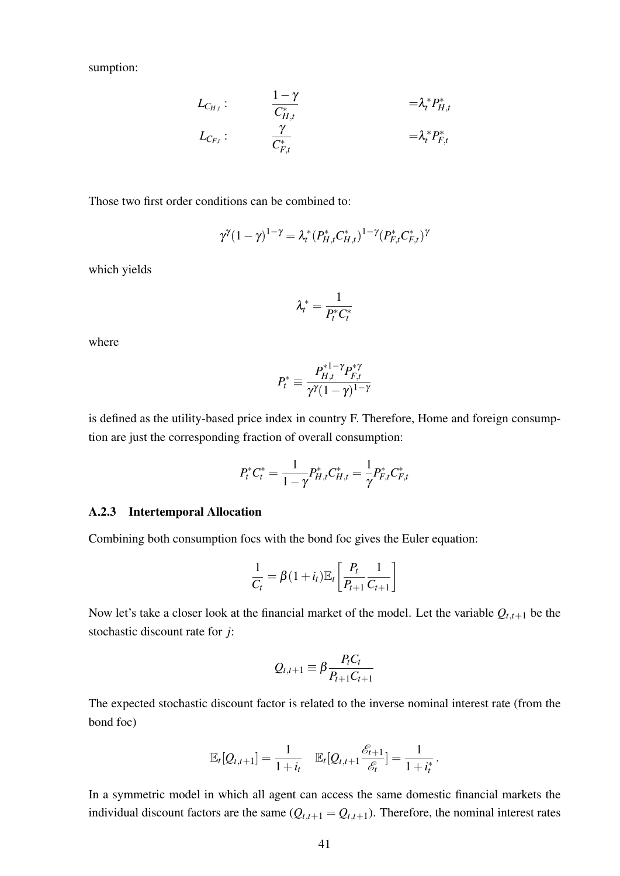sumption:

$$
L_{C_{H,t}}: \qquad \qquad \frac{1-\gamma}{C_{H,t}^*} \qquad \qquad = \lambda_t^* P_{H,t}^* \\ L_{C_{F,t}}: \qquad \qquad \frac{\gamma}{C_{F,t}^*} \qquad \qquad = \lambda_t^* P_{F,t}^*
$$

Those two first order conditions can be combined to:

$$
\gamma^{\gamma}(1-\gamma)^{1-\gamma} = \lambda_t^*(P_{H,t}^* C_{H,t}^*)^{1-\gamma}(P_{F,t}^* C_{F,t}^*)^{\gamma}
$$

which yields

$$
\lambda_t^* = \frac{1}{P_t^* C_t^*}
$$

where

$$
P_t^* \equiv \frac{P_{H,t}^{*1-\gamma} P_{F,t}^{*\gamma}}{\gamma^{\gamma}(1-\gamma)^{1-\gamma}}
$$

is defined as the utility-based price index in country F. Therefore, Home and foreign consumption are just the corresponding fraction of overall consumption:

$$
P_t^*C_t^* = \frac{1}{1-\gamma}P_{H,t}^*C_{H,t}^* = \frac{1}{\gamma}P_{F,t}^*C_{F,t}^*
$$

#### A.2.3 Intertemporal Allocation

Combining both consumption focs with the bond foc gives the Euler equation:

$$
\frac{1}{C_t} = \beta(1+i_t)\mathbb{E}_t\left[\frac{P_t}{P_{t+1}}\frac{1}{C_{t+1}}\right]
$$

Now let's take a closer look at the financial market of the model. Let the variable  $Q_{t,t+1}$  be the stochastic discount rate for *j*:

$$
Q_{t,t+1} \equiv \beta \frac{P_t C_t}{P_{t+1} C_{t+1}}
$$

The expected stochastic discount factor is related to the inverse nominal interest rate (from the bond foc)

$$
\mathbb{E}_{t}[Q_{t,t+1}] = \frac{1}{1+i_{t}} \quad \mathbb{E}_{t}[Q_{t,t+1} \frac{\mathscr{E}_{t+1}}{\mathscr{E}_{t}}] = \frac{1}{1+i_{t}^{*}}.
$$

In a symmetric model in which all agent can access the same domestic financial markets the individual discount factors are the same  $(Q_{t,t+1} = Q_{t,t+1})$ . Therefore, the nominal interest rates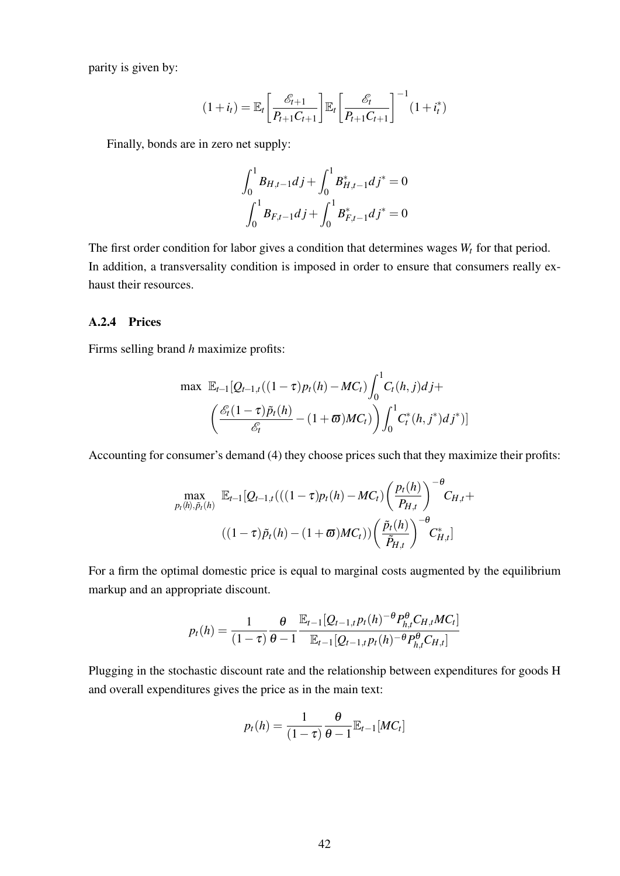parity is given by:

$$
(1+i_t) = \mathbb{E}_t \left[ \frac{\mathcal{E}_{t+1}}{P_{t+1} C_{t+1}} \right] \mathbb{E}_t \left[ \frac{\mathcal{E}_t}{P_{t+1} C_{t+1}} \right]^{-1} (1+i_t^*)
$$

Finally, bonds are in zero net supply:

$$
\int_0^1 B_{H,t-1} dj + \int_0^1 B_{H,t-1}^* dj^* = 0
$$
  

$$
\int_0^1 B_{F,t-1} dj + \int_0^1 B_{F,t-1}^* dj^* = 0
$$

The first order condition for labor gives a condition that determines wages *W<sup>t</sup>* for that period. In addition, a transversality condition is imposed in order to ensure that consumers really exhaust their resources.

#### A.2.4 Prices

Firms selling brand *h* maximize profits:

$$
\max \mathbb{E}_{t-1} [Q_{t-1,t}((1-\tau)p_t(h) - MC_t) \int_0^1 C_t(h,j) \, d\,j +
$$
\n
$$
\left( \frac{\mathscr{E}_t(1-\tau)\tilde{p}_t(h)}{\mathscr{E}_t} - (1+\varpi)MC_t) \right) \int_0^1 C_t^*(h,j^*) \, d\,j^*)]
$$

Accounting for consumer's demand [\(4\)](#page-8-1) they choose prices such that they maximize their profits:

$$
\max_{p_t(h), \tilde{p}_t(h)} \mathbb{E}_{t-1}[Q_{t-1,t}(((1-\tau)p_t(h)-MC_t) \left(\frac{p_t(h)}{P_{H,t}}\right)^{-\theta} C_{H,t} +
$$

$$
((1-\tau)\tilde{p}_t(h) - (1+\varpi)MC_t)) \left(\frac{\tilde{p}_t(h)}{\tilde{P}_{H,t}}\right)^{-\theta} C_{H,t}^*]
$$

For a firm the optimal domestic price is equal to marginal costs augmented by the equilibrium markup and an appropriate discount.

$$
p_t(h) = \frac{1}{(1-\tau)} \frac{\theta}{\theta-1} \frac{\mathbb{E}_{t-1} [Q_{t-1,t} p_t(h)^{-\theta} P_{h,t}^{\theta} C_{H,t} M C_t]}{\mathbb{E}_{t-1} [Q_{t-1,t} p_t(h)^{-\theta} P_{h,t}^{\theta} C_{H,t}]}
$$

Plugging in the stochastic discount rate and the relationship between expenditures for goods H and overall expenditures gives the price as in the main text:

$$
p_t(h) = \frac{1}{(1-\tau)} \frac{\theta}{\theta-1} \mathbb{E}_{t-1}[MC_t]
$$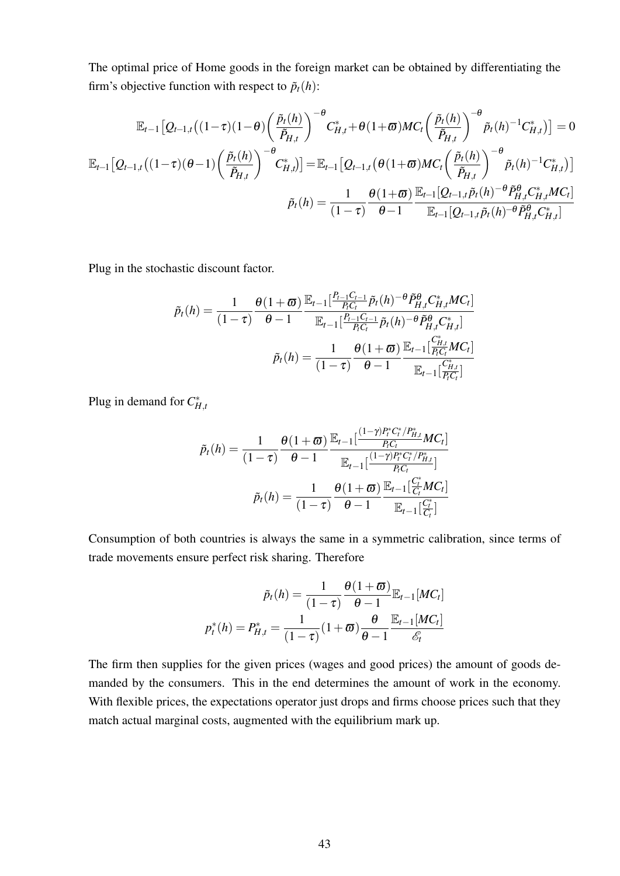The optimal price of Home goods in the foreign market can be obtained by differentiating the firm's objective function with respect to  $\tilde{p}_t(h)$ :

$$
\mathbb{E}_{t-1}\left[Q_{t-1,t}\left((1-\tau)(1-\theta)\left(\frac{\tilde{p}_t(h)}{\tilde{P}_{H,t}}\right)^{-\theta}C_{H,t}^* + \theta(1+\varpi)MC_t\left(\frac{\tilde{p}_t(h)}{\tilde{P}_{H,t}}\right)^{-\theta}\tilde{p}_t(h)^{-1}C_{H,t}^*\right)\right] = 0
$$
\n
$$
\mathbb{E}_{t-1}\left[Q_{t-1,t}\left((1-\tau)(\theta-1)\left(\frac{\tilde{p}_t(h)}{\tilde{P}_{H,t}}\right)^{-\theta}C_{H,t}^*\right)\right] = \mathbb{E}_{t-1}\left[Q_{t-1,t}\left(\theta(1+\varpi)MC_t\left(\frac{\tilde{p}_t(h)}{\tilde{P}_{H,t}}\right)^{-\theta}\tilde{p}_t(h)^{-1}C_{H,t}^*\right)\right]
$$
\n
$$
\tilde{p}_t(h) = \frac{1}{(1-\tau)}\frac{\theta(1+\varpi)}{\theta-1}\frac{\mathbb{E}_{t-1}[Q_{t-1,t}\tilde{p}_t(h)^{-\theta}\tilde{P}_{H,t}^{\theta}C_{H,t}^*MC_t]}{\mathbb{E}_{t-1}[Q_{t-1,t}\tilde{p}_t(h)^{-\theta}\tilde{P}_{H,t}^{\theta}C_{H,t}^*]}
$$

Plug in the stochastic discount factor.

$$
\tilde{p}_t(h) = \frac{1}{(1-\tau)} \frac{\theta(1+\varpi)}{\theta-1} \frac{\mathbb{E}_{t-1}[\frac{P_{t-1}C_{t-1}}{P_{t}C_{t}} \tilde{p}_t(h)^{-\theta} \tilde{P}_{H,t}^{\theta} C_{H,t}^* MC_t]}{\mathbb{E}_{t-1}[\frac{P_{t-1}C_{t-1}}{P_{t}C_{t}} \tilde{p}_t(h)^{-\theta} \tilde{P}_{H,t}^{\theta} C_{H,t}^*]} \n\tilde{p}_t(h) = \frac{1}{(1-\tau)} \frac{\theta(1+\varpi)}{\theta-1} \frac{\mathbb{E}_{t-1}[\frac{C_{H,t}^*}{P_{t}C_{t}} MC_t]}{\mathbb{E}_{t-1}[\frac{C_{H,t}^*}{P_{t}C_{t}}]}
$$

Plug in demand for  $C_{H,t}^*$ 

$$
\tilde{p}_t(h) = \frac{1}{(1-\tau)} \frac{\theta(1+\varpi)}{\theta-1} \frac{\mathbb{E}_{t-1}[\frac{(1-\gamma)P_t^*C_t^*/P_{H,t}^*}{P_tC_t}MC_t]}{\mathbb{E}_{t-1}[\frac{(1-\gamma)P_t^*C_t^*/P_{H,t}^*}{P_tC_t}]}
$$
\n
$$
\tilde{p}_t(h) = \frac{1}{(1-\tau)} \frac{\theta(1+\varpi)}{\theta-1} \frac{\mathbb{E}_{t-1}[\frac{C_t^*}{C_t}MC_t]}{\mathbb{E}_{t-1}[\frac{C_t^*}{C_t}]}
$$

Consumption of both countries is always the same in a symmetric calibration, since terms of trade movements ensure perfect risk sharing. Therefore

$$
\tilde{p}_t(h) = \frac{1}{(1-\tau)} \frac{\theta(1+\varpi)}{\theta-1} \mathbb{E}_{t-1}[MC_t]
$$
\n
$$
p_t^*(h) = P_{H,t}^* = \frac{1}{(1-\tau)} (1+\varpi) \frac{\theta}{\theta-1} \frac{\mathbb{E}_{t-1}[MC_t]}{\mathscr{E}_t}
$$

The firm then supplies for the given prices (wages and good prices) the amount of goods demanded by the consumers. This in the end determines the amount of work in the economy. With flexible prices, the expectations operator just drops and firms choose prices such that they match actual marginal costs, augmented with the equilibrium mark up.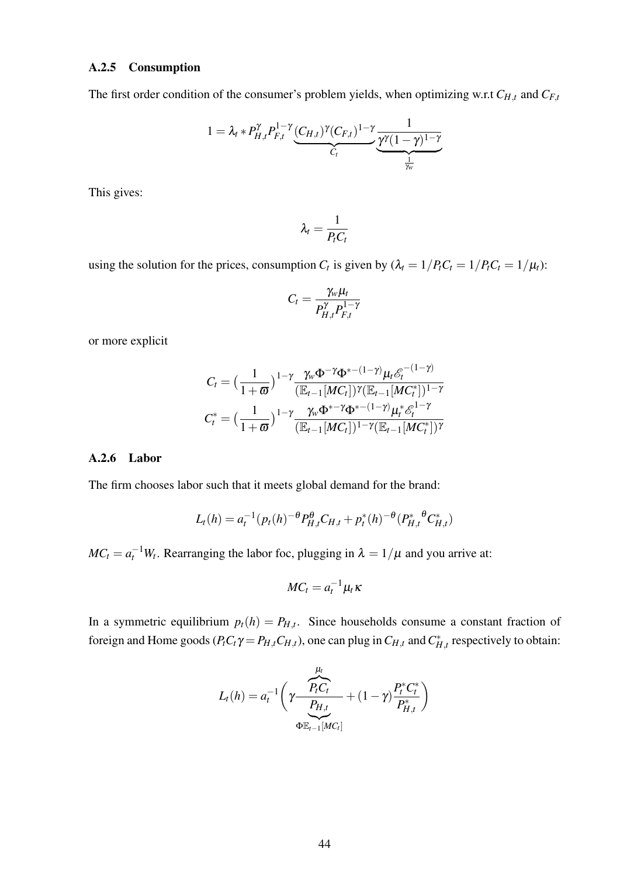#### A.2.5 Consumption

The first order condition of the consumer's problem yields, when optimizing w.r.t  $C_{H,t}$  and  $C_{F,t}$ 

$$
1 = \lambda_t * P_{H,t}^{\gamma} P_{F,t}^{1-\gamma} \underbrace{(C_{H,t})^{\gamma} (C_{F,t})^{1-\gamma}}_{C_t} \underbrace{\frac{1}{\gamma^{\gamma} (1-\gamma)^{1-\gamma}}}{\frac{1}{\frac{1}{\gamma_w}}}
$$

This gives:

$$
\lambda_t = \frac{1}{P_t C_t}
$$

using the solution for the prices, consumption  $C_t$  is given by  $(\lambda_t = 1/P_t C_t = 1/P_t C_t = 1/\mu_t)$ :

$$
C_t = \frac{\gamma_w \mu_t}{P_{H,t}^{\gamma} P_{F,t}^{1-\gamma}}
$$

or more explicit

$$
C_t = \left(\frac{1}{1+\varpi}\right)^{1-\gamma} \frac{\gamma_w \Phi^{-\gamma} \Phi^{*- (1-\gamma)} \mu_t \mathscr{E}_t^{-(1-\gamma)}}{(\mathbb{E}_{t-1}[MC_t])^{\gamma} (\mathbb{E}_{t-1}[MC_t^*)^{1-\gamma}} C_t^* = \left(\frac{1}{1+\varpi}\right)^{1-\gamma} \frac{\gamma_w \Phi^{*- \gamma} \Phi^{*- (1-\gamma)} \mu_t^* \mathscr{E}_t^{1-\gamma}}{(\mathbb{E}_{t-1}[MC_t])^{1-\gamma} (\mathbb{E}_{t-1}[MC_t^*)^{\gamma}}
$$

#### A.2.6 Labor

The firm chooses labor such that it meets global demand for the brand:

$$
L_t(h) = a_t^{-1} (p_t(h)^{-\theta} P_{H,t}^{\theta} C_{H,t} + p_t^*(h)^{-\theta} (P_{H,t}^* {\theta} C_{H,t}^*)
$$

 $MC_t = a_t^{-1}W_t$ . Rearranging the labor foc, plugging in  $\lambda = 1/\mu$  and you arrive at:

$$
MC_t = a_t^{-1} \mu_t \kappa
$$

In a symmetric equilibrium  $p_t(h) = P_{H,t}$ . Since households consume a constant fraction of foreign and Home goods  $(P_t C_t \gamma = P_{H,t} C_{H,t})$ , one can plug in  $C_{H,t}$  and  $C_{H,t}^*$  respectively to obtain:

$$
L_t(h) = a_t^{-1} \left( \gamma \frac{P_t C_t}{P_{H,t}} + (1 - \gamma) \frac{P_t^* C_t^*}{P_{H,t}^*} \right)
$$
  

$$
\Phi_{E_{t-1}[MC_t]}^{E_{t-1}[MC_t]}
$$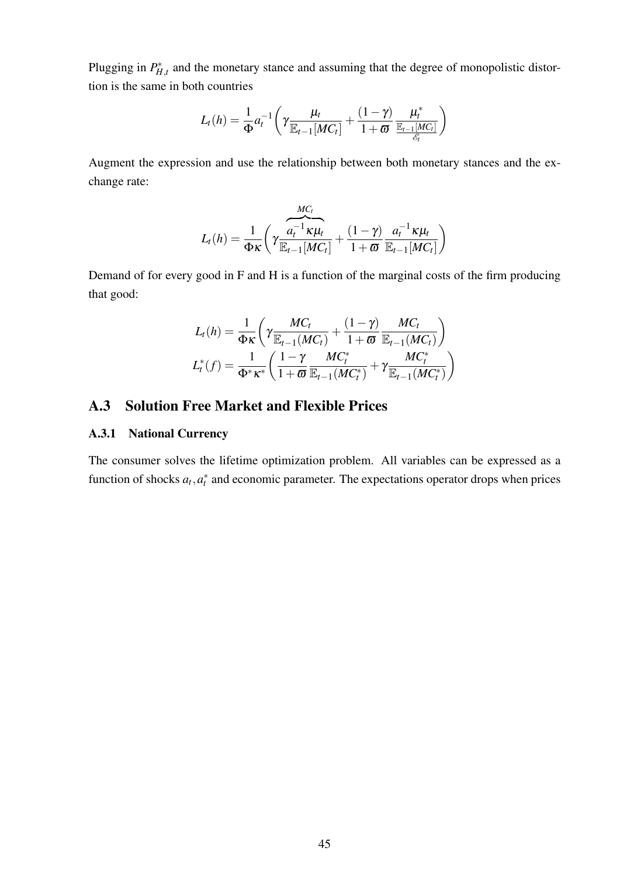Plugging in  $P_{H,t}^*$  and the monetary stance and assuming that the degree of monopolistic distortion is the same in both countries

$$
L_t(h) = \frac{1}{\Phi} a_t^{-1} \left( \gamma \frac{\mu_t}{\mathbb{E}_{t-1}[MC_t]} + \frac{(1-\gamma)}{1+\varpi} \frac{\mu_t^*}{\frac{\mathbb{E}_{t-1}[MC_t]}{\mathscr{E}_t}} \right)
$$

Augment the expression and use the relationship between both monetary stances and the exchange rate:

$$
L_t(h) = \frac{1}{\Phi \kappa} \left( \gamma \frac{\overbrace{a_t^{-1} \kappa \mu_t}^{MC_t}}{\mathbb{E}_{t-1}[MC_t]} + \frac{(1-\gamma)}{1+\varpi} \frac{\overbrace{a_t^{-1} \kappa \mu_t}^{C_t}}{\mathbb{E}_{t-1}[MC_t]} \right)
$$

Demand of for every good in F and H is a function of the marginal costs of the firm producing that good:

$$
L_t(h) = \frac{1}{\Phi_K} \left( \gamma \frac{MC_t}{\mathbb{E}_{t-1}(MC_t)} + \frac{(1-\gamma)}{1+\varpi} \frac{MC_t}{\mathbb{E}_{t-1}(MC_t)} \right)
$$
  

$$
L_t^*(f) = \frac{1}{\Phi^* \kappa^*} \left( \frac{1-\gamma}{1+\varpi} \frac{MC_t^*}{\mathbb{E}_{t-1}(MC_t^*)} + \gamma \frac{MC_t^*}{\mathbb{E}_{t-1}(MC_t^*)} \right)
$$

## A.3 Solution Free Market and Flexible Prices

#### A.3.1 National Currency

The consumer solves the lifetime optimization problem. All variables can be expressed as a function of shocks  $a_t$ ,  $a_t^*$  and economic parameter. The expectations operator drops when prices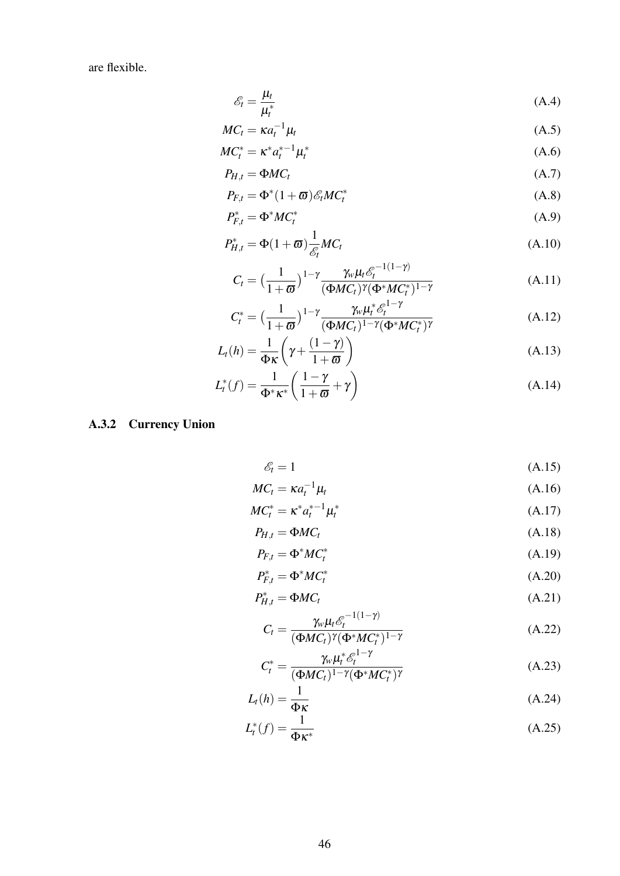are flexible.

$$
\mathcal{E}_t = \frac{\mu_t}{\mu_t^*} \tag{A.4}
$$

$$
MC_t = \kappa a_t^{-1} \mu_t \tag{A.5}
$$

$$
MC_t^* = \kappa^* a_t^{*-1} \mu_t^* \tag{A.6}
$$

$$
P_{H,t} = \Phi M C_t \tag{A.7}
$$

$$
P_{F,t} = \Phi^*(1+\varpi)\mathscr{E}_t M C_t^* \tag{A.8}
$$

$$
P_{F,t}^* = \Phi^* M C_t^* \tag{A.9}
$$

$$
P_{H,t}^* = \Phi(1+\varpi)\frac{1}{\mathcal{E}_t}MC_t
$$
\n(A.10)

$$
C_t = \left(\frac{1}{1+\varpi}\right)^{1-\gamma} \frac{\gamma_w \mu_t \mathscr{E}_t^{-1(1-\gamma)}}{(\Phi MC_t)^{\gamma}(\Phi^*MC_t^*)^{1-\gamma}}
$$
(A.11)

$$
C_t^* = \left(\frac{1}{1+\varpi}\right)^{1-\gamma} \frac{\gamma_w \mu_t^* \mathscr{E}_t^{1-\gamma}}{(\Phi MC_t)^{1-\gamma}(\Phi^*MC_t^*)^{\gamma}}
$$
(A.12)

$$
L_t(h) = \frac{1}{\Phi \kappa} \left( \gamma + \frac{(1 - \gamma)}{1 + \varpi} \right) \tag{A.13}
$$

$$
L_t^*(f) = \frac{1}{\Phi^* \kappa^*} \left( \frac{1 - \gamma}{1 + \varpi} + \gamma \right) \tag{A.14}
$$

# A.3.2 Currency Union

$$
\mathscr{E}_t = 1 \tag{A.15}
$$

$$
MC_t = \kappa a_t^{-1} \mu_t \tag{A.16}
$$

$$
MC_t^* = \kappa^* a_t^{*-1} \mu_t^* \tag{A.17}
$$

$$
P_{H,t} = \Phi M C_t \tag{A.18}
$$

$$
P_{F,t} = \Phi^* M C_t^* \tag{A.19}
$$

$$
P_{F,t}^* = \Phi^* M C_t^* \tag{A.20}
$$

$$
P_{H,t}^* = \Phi M C_t \tag{A.21}
$$

$$
C_t = \frac{\gamma_w \mu_t \mathcal{E}_t^{-1(1-\gamma)}}{(\Phi M C_t)^{\gamma} (\Phi^* M C_t^*)^{1-\gamma}}
$$
(A.22)

$$
C_t^* = \frac{\gamma_w \mu_t^* \mathcal{E}_t^{1-\gamma}}{(\Phi MC_t)^{1-\gamma} (\Phi^*MC_t^*)^{\gamma}}
$$
(A.23)

$$
L_t(h) = \frac{1}{\Phi \kappa} \tag{A.24}
$$

$$
L_t^*(f) = \frac{1}{\Phi \kappa^*} \tag{A.25}
$$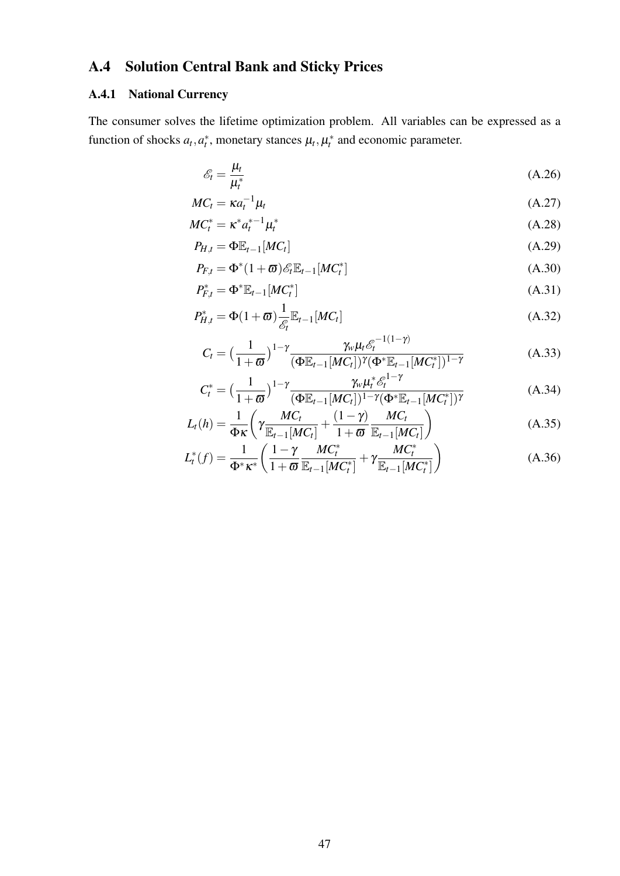# A.4 Solution Central Bank and Sticky Prices

## A.4.1 National Currency

The consumer solves the lifetime optimization problem. All variables can be expressed as a function of shocks  $a_t$ ,  $a_t^*$ , monetary stances  $\mu_t$ ,  $\mu_t^*$  and economic parameter.

$$
\mathcal{E}_t = \frac{\mu_t}{\mu_t^*} \tag{A.26}
$$

$$
MC_t = \kappa a_t^{-1} \mu_t \tag{A.27}
$$

$$
MC_t^* = \kappa^* a_t^{*-1} \mu_t^* \tag{A.28}
$$

$$
P_{H,t} = \Phi \mathbb{E}_{t-1}[MC_t] \tag{A.29}
$$

$$
P_{F,t} = \Phi^*(1+\varpi)\mathscr{E}_t \mathbb{E}_{t-1}[MC_t^*]
$$
\n(A.30)

$$
P_{F,t}^* = \Phi^* \mathbb{E}_{t-1}[MC_t^*]
$$
\n(A.31)

$$
P_{H,t}^* = \Phi(1+\varpi) \frac{1}{\mathcal{E}_t} \mathbb{E}_{t-1}[MC_t]
$$
\n(A.32)

$$
C_t = \left(\frac{1}{1+\varpi}\right)^{1-\gamma} \frac{\gamma_w \mu_t \mathcal{E}_t^{-1(1-\gamma)}}{(\Phi \mathbb{E}_{t-1}[MC_t])^{\gamma} (\Phi^* \mathbb{E}_{t-1}[MC_t^*)^{1-\gamma}}
$$
(A.33)

$$
C_t^* = \left(\frac{1}{1+\varpi}\right)^{1-\gamma} \frac{\gamma_w \mu_t^* \mathcal{E}_t^{1-\gamma}}{(\Phi \mathbb{E}_{t-1}[MC_t])^{1-\gamma}(\Phi^* \mathbb{E}_{t-1}[MC_t^*)^{\gamma}} \tag{A.34}
$$

$$
L_t(h) = \frac{1}{\Phi_K} \left( \gamma \frac{MC_t}{\mathbb{E}_{t-1}[MC_t]} + \frac{(1-\gamma)}{1+\varpi} \frac{MC_t}{\mathbb{E}_{t-1}[MC_t]} \right)
$$
(A.35)

$$
L_t^*(f) = \frac{1}{\Phi^* \kappa^*} \left( \frac{1 - \gamma}{1 + \varpi} \frac{MC_t^*}{\mathbb{E}_{t-1}[MC_t^*]} + \gamma \frac{MC_t^*}{\mathbb{E}_{t-1}[MC_t^*]} \right)
$$
(A.36)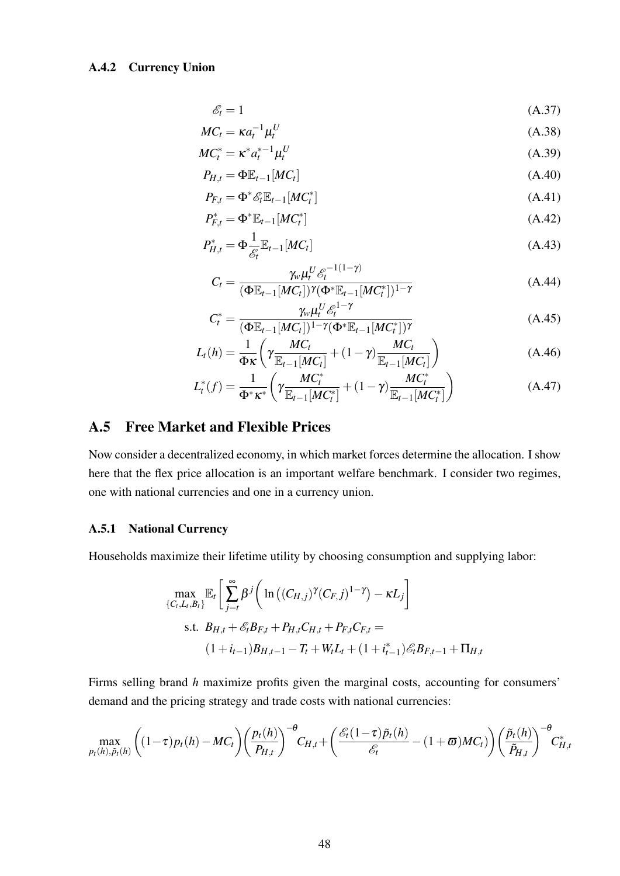#### A.4.2 Currency Union

$$
\mathcal{E}_t = 1 \tag{A.37}
$$

$$
MC_t = \kappa a_t^{-1} \mu_t^U \tag{A.38}
$$

$$
MC_t^* = \kappa^* a_t^{*-1} \mu_t^U \tag{A.39}
$$

$$
P_{H,t} = \Phi \mathbb{E}_{t-1}[MC_t] \tag{A.40}
$$

$$
P_{F,t} = \Phi^* \mathcal{E}_t \mathbb{E}_{t-1} [MC_t^*]
$$
\n(A.41)

$$
P_{F,t}^* = \Phi^* \mathbb{E}_{t-1}[MC_t^*]
$$
\n
$$
(A.42)
$$

$$
P_{H,t}^* = \Phi \frac{1}{\mathcal{E}_t} \mathbb{E}_{t-1}[MC_t]
$$
\n(A.43)

$$
C_{t} = \frac{\gamma_{w} \mu_{t}^{U} \mathcal{E}_{t}^{-1(1-\gamma)}}{(\Phi \mathbb{E}_{t-1}[MC_{t}])^{\gamma} (\Phi^{*} \mathbb{E}_{t-1}[MC_{t}^{*}])^{1-\gamma}}
$$
(A.44)

$$
C_t^* = \frac{\gamma_w \mu_t^U \mathcal{E}_t^{1-\gamma}}{(\Phi \mathbb{E}_{t-1}[MC_t])^{1-\gamma}(\Phi^* \mathbb{E}_{t-1}[MC_t^*])^{\gamma}}
$$
(A.45)

$$
L_t(h) = \frac{1}{\Phi \kappa} \left( \gamma \frac{M C_t}{\mathbb{E}_{t-1}[M C_t]} + (1 - \gamma) \frac{M C_t}{\mathbb{E}_{t-1}[M C_t]} \right) \tag{A.46}
$$

$$
L_t^*(f) = \frac{1}{\Phi^* \kappa^*} \left( \gamma \frac{MC_t^*}{\mathbb{E}_{t-1}[MC_t^*]} + (1 - \gamma) \frac{MC_t^*}{\mathbb{E}_{t-1}[MC_t^*]} \right)
$$
(A.47)

## A.5 Free Market and Flexible Prices

Now consider a decentralized economy, in which market forces determine the allocation. I show here that the flex price allocation is an important welfare benchmark. I consider two regimes, one with national currencies and one in a currency union.

#### A.5.1 National Currency

Households maximize their lifetime utility by choosing consumption and supplying labor:

$$
\max_{\{C_t, L_t, B_t\}} \mathbb{E}_t \left[ \sum_{j=t}^{\infty} \beta^j \left( \ln \left( (C_{H,j})^{\gamma} (C_{F,j})^{1-\gamma} \right) - \kappa L_j \right] \right]
$$
  
s.t.  $B_{H,t} + \mathcal{E}_t B_{F,t} + P_{H,t} C_{H,t} + P_{F,t} C_{F,t} =$   

$$
(1 + i_{t-1}) B_{H,t-1} - T_t + W_t L_t + (1 + i_{t-1}) \mathcal{E}_t B_{F,t-1} + \Pi_{H,t}
$$

Firms selling brand *h* maximize profits given the marginal costs, accounting for consumers' demand and the pricing strategy and trade costs with national currencies:

$$
\max_{p_t(h),\tilde{p}_t(h)} \left( (1-\tau)p_t(h) - MC_t \right) \left( \frac{p_t(h)}{P_{H,t}} \right)^{-\theta} C_{H,t} + \left( \frac{\mathcal{E}_t(1-\tau)\tilde{p}_t(h)}{\mathcal{E}_t} - (1+\varpi)MC_t) \right) \left( \frac{\tilde{p}_t(h)}{\tilde{P}_{H,t}} \right)^{-\theta} C_{H,t}^*
$$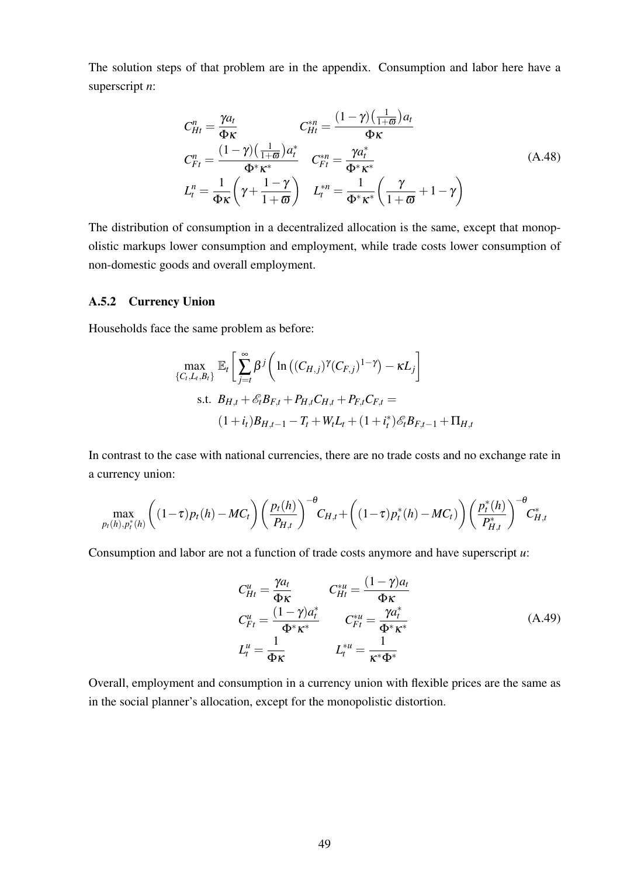The solution steps of that problem are in the appendix. Consumption and labor here have a superscript *n*:

$$
C_{Ht}^{n} = \frac{\gamma a_{t}}{\Phi \kappa} \qquad C_{Ht}^{*n} = \frac{(1 - \gamma) \left(\frac{1}{1 + \varpi}\right) a_{t}}{\Phi \kappa}
$$
  
\n
$$
C_{Ft}^{n} = \frac{(1 - \gamma) \left(\frac{1}{1 + \varpi}\right) a_{t}^{*}}{\Phi^{*} \kappa^{*}} \qquad C_{Ft}^{*n} = \frac{\gamma a_{t}^{*}}{\Phi^{*} \kappa^{*}}
$$
  
\n
$$
L_{t}^{n} = \frac{1}{\Phi \kappa} \left(\gamma + \frac{1 - \gamma}{1 + \varpi}\right) \qquad L_{t}^{*n} = \frac{1}{\Phi^{*} \kappa^{*}} \left(\frac{\gamma}{1 + \varpi} + 1 - \gamma\right)
$$
\n(A.48)

The distribution of consumption in a decentralized allocation is the same, except that monopolistic markups lower consumption and employment, while trade costs lower consumption of non-domestic goods and overall employment.

#### A.5.2 Currency Union

Households face the same problem as before:

$$
\max_{\{C_t, L_t, B_t\}} \mathbb{E}_t \left[ \sum_{j=t}^{\infty} \beta^j \left( \ln \left( (C_{H,j})^{\gamma} (C_{F,j})^{1-\gamma} \right) - \kappa L_j \right] \right]
$$
  
s.t.  $B_{H,t} + \mathcal{E}_t B_{F,t} + P_{H,t} C_{H,t} + P_{F,t} C_{F,t} =$   

$$
(1 + i_t) B_{H,t-1} - T_t + W_t L_t + (1 + i_t^*) \mathcal{E}_t B_{F,t-1} + \Pi_{H,t}
$$

In contrast to the case with national currencies, there are no trade costs and no exchange rate in a currency union:

$$
\max_{p_t(h), p_t^*(h)} \left( (1-\tau) p_t(h) - MC_t \right) \left( \frac{p_t(h)}{P_{H,t}} \right)^{-\theta} C_{H,t} + \left( (1-\tau) p_t^*(h) - MC_t \right) \left( \frac{p_t^*(h)}{P_{H,t}^*} \right)^{-\theta} C_{H,t}^*
$$

Consumption and labor are not a function of trade costs anymore and have superscript *u*:

$$
C_{Ht}^{u} = \frac{\gamma a_t}{\Phi \kappa} \qquad C_{Ht}^{*u} = \frac{(1 - \gamma)a_t}{\Phi \kappa}
$$
  
\n
$$
C_{Ft}^{u} = \frac{(1 - \gamma)a_t^{*}}{\Phi^{*}\kappa^{*}} \qquad C_{Ft}^{*u} = \frac{\gamma a_t^{*}}{\Phi^{*}\kappa^{*}}
$$
  
\n
$$
L_t^{u} = \frac{1}{\Phi \kappa} \qquad L_t^{*u} = \frac{1}{\kappa^{*}\Phi^{*}}
$$
\n(A.49)

Overall, employment and consumption in a currency union with flexible prices are the same as in the social planner's allocation, except for the monopolistic distortion.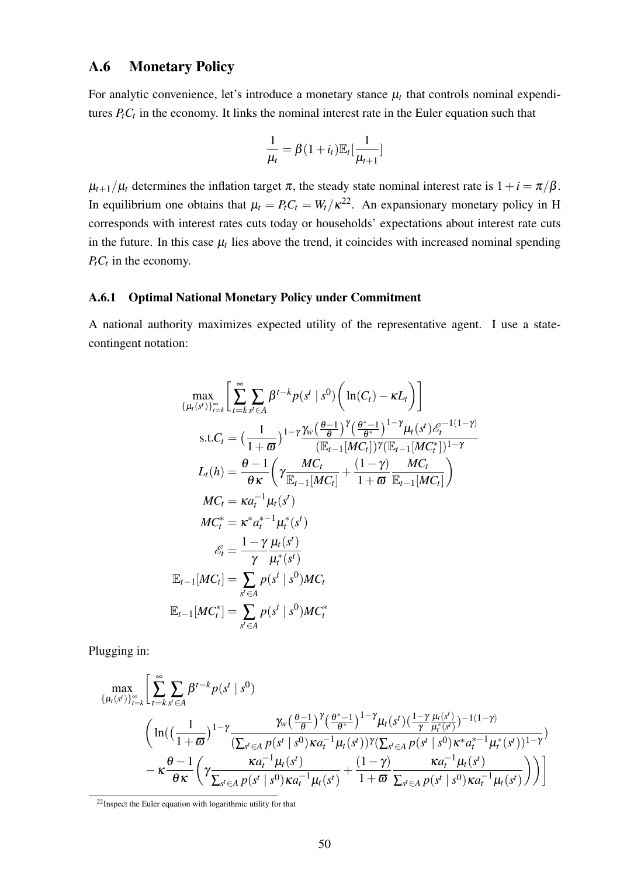## A.6 Monetary Policy

For analytic convenience, let's introduce a monetary stance  $\mu_t$  that controls nominal expenditures *PtC<sup>t</sup>* in the economy. It links the nominal interest rate in the Euler equation such that

$$
\frac{1}{\mu_t} = \beta(1+i_t)\mathbb{E}_t[\frac{1}{\mu_{t+1}}]
$$

 $\mu_{t+1}/\mu_t$  determines the inflation target  $\pi$ , the steady state nominal interest rate is  $1+i = \pi/\beta$ . In equilibrium one obtains that  $\mu_t = P_t C_t = W_t / \kappa^{22}$  $\mu_t = P_t C_t = W_t / \kappa^{22}$  $\mu_t = P_t C_t = W_t / \kappa^{22}$ . An expansionary monetary policy in H corresponds with interest rates cuts today or households' expectations about interest rate cuts in the future. In this case  $\mu_t$  lies above the trend, it coincides with increased nominal spending  $P_t C_t$  in the economy.

#### A.6.1 Optimal National Monetary Policy under Commitment

A national authority maximizes expected utility of the representative agent. I use a statecontingent notation:

$$
\max_{\{\mu_t(s^t)\}_{t=k}^{\infty}} \left[ \sum_{t=k}^{\infty} \sum_{s^t \in A} \beta^{t-k} p(s^t \mid s^0) \left( \ln(C_t) - \kappa L_t \right) \right]
$$
\n
$$
\text{s.t.} C_t = \left( \frac{1}{1+\varpi} \right)^{1-\gamma} \frac{\gamma_w \left( \frac{\theta-1}{\theta} \right)^{\gamma} \left( \frac{\theta^* - 1}{\theta^*} \right)^{1-\gamma} \mu_t(s^t) \mathcal{E}_t^{-1(1-\gamma)}}{\left( \mathbb{E}_{t-1} [MC_t] \right)^{\gamma} \left( \mathbb{E}_{t-1} [MC_t^*] \right)^{1-\gamma}}
$$
\n
$$
L_t(h) = \frac{\theta - 1}{\theta \kappa} \left( \gamma \frac{MC_t}{\mathbb{E}_{t-1} [MC_t]} + \frac{(1-\gamma)}{1+\varpi} \frac{MC_t}{\mathbb{E}_{t-1} [MC_t]} \right)
$$
\n
$$
MC_t = \kappa a_t^{-1} \mu_t(s^t)
$$
\n
$$
MC_t^* = \kappa^* a_t^{*-1} \mu_t^*(s^t)
$$
\n
$$
\mathcal{E}_t = \frac{1-\gamma}{\gamma} \frac{\mu_t(s^t)}{\mu_t^*(s^t)}
$$
\n
$$
\mathbb{E}_{t-1} [MC_t] = \sum_{s^t \in A} p(s^t \mid s^0) MC_t
$$
\n
$$
\mathbb{E}_{t-1} [MC_t^*] = \sum_{s^t \in A} p(s^t \mid s^0) MC_t^*
$$

Plugging in:

$$
\max_{\{\mu_t(s^t)\}_{t=k}^{\infty}} \left[ \sum_{t=k}^{\infty} \sum_{s^t \in A} \beta^{t-k} p(s^t \mid s^0) \right]
$$
\n
$$
\left( \ln\left( \left( \frac{1}{1+\varpi} \right)^{1-\gamma} \frac{\gamma_w \left( \frac{\theta-1}{\theta} \right)^{\gamma} \left( \frac{\theta^* - 1}{\theta^*} \right)^{1-\gamma} \mu_t(s^t) \left( \frac{1-\gamma}{\gamma} \frac{\mu_t(s^t)}{\mu_t^*(s^t)} \right)^{-1(1-\gamma)}}{(\sum_{s^t \in A} p(s^t \mid s^0) \kappa a_t^{-1} \mu_t(s^t))^{\gamma} (\sum_{s^t \in A} p(s^t \mid s^0) \kappa^* a_t^{*-1} \mu_t^*(s^t))^{1-\gamma}} - \kappa \frac{\theta-1}{\theta \kappa} \left( \gamma \frac{\kappa a_t^{-1} \mu_t(s^t)}{\sum_{s^t \in A} p(s^t \mid s^0) \kappa a_t^{-1} \mu_t(s^t)} + \frac{(1-\gamma)}{1+\varpi} \frac{\kappa a_t^{-1} \mu_t(s^t)}{\sum_{s^t \in A} p(s^t \mid s^0) \kappa a_t^{-1} \mu_t(s^t)} \right) \right) \right]
$$

<span id="page-52-0"></span><sup>&</sup>lt;sup>22</sup> Inspect the Euler equation with logarithmic utility for that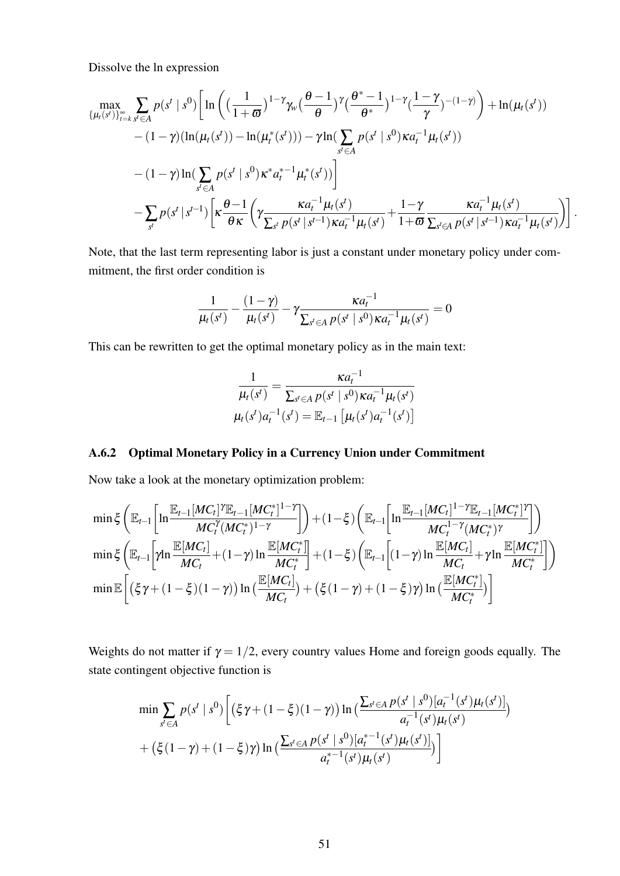Dissolve the ln expression

$$
\max_{\{\mu_t(s^t)\}_{t=k}^{\infty} \sum_{s^t \in A} p(s^t \mid s^0) \left[ \ln \left( \left( \frac{1}{1+\varpi} \right)^{1-\gamma} \gamma_w \left( \frac{\theta-1}{\theta} \right)^{\gamma} \left( \frac{\theta^* - 1}{\theta^*} \right)^{1-\gamma} \left( \frac{1-\gamma}{\gamma} \right)^{-(1-\gamma)} \right) + \ln(\mu_t(s^t)) - (1-\gamma) (\ln(\mu_t(s^t)) - \ln(\mu_t^*(s^t))) - \gamma \ln(\sum_{s^t \in A} p(s^t \mid s^0) \kappa a_t^{-1} \mu_t(s^t)) - (1-\gamma) \ln(\sum_{s^t \in A} p(s^t \mid s^0) \kappa^* a_t^{*-1} \mu_t^*(s^t)) \right] - \sum_{s^t} p(s^t \mid s^{t-1}) \left[ \kappa \frac{\theta-1}{\theta \kappa} \left( \gamma \frac{\kappa a_t^{-1} \mu_t(s^t)}{\sum_{s^t} p(s^t \mid s^{t-1}) \kappa a_t^{-1} \mu_t(s^t)} + \frac{1-\gamma}{1+\varpi} \frac{\kappa a_t^{-1} \mu_t(s^t)}{\sum_{s^t \in A} p(s^t \mid s^{t-1}) \kappa a_t^{-1} \mu_t(s^t)} \right) \right].
$$

Note, that the last term representing labor is just a constant under monetary policy under commitment, the first order condition is

$$
\frac{1}{\mu_t(s^t)} - \frac{(1-\gamma)}{\mu_t(s^t)} - \gamma \frac{\kappa a_t^{-1}}{\sum_{s^t \in A} p(s^t \mid s^0) \kappa a_t^{-1} \mu_t(s^t)} = 0
$$

This can be rewritten to get the optimal monetary policy as in the main text:

$$
\frac{1}{\mu_t(s^t)} = \frac{\kappa a_t^{-1}}{\sum_{s^t \in A} p(s^t \mid s^0) \kappa a_t^{-1} \mu_t(s^t)}
$$

$$
\mu_t(s^t) a_t^{-1}(s^t) = \mathbb{E}_{t-1} \left[ \mu_t(s^t) a_t^{-1}(s^t) \right]
$$

## A.6.2 Optimal Monetary Policy in a Currency Union under Commitment

Now take a look at the monetary optimization problem:

$$
\min \xi \left( \mathbb{E}_{t-1} \left[ \ln \frac{\mathbb{E}_{t-1} [MC_t]^{\gamma} \mathbb{E}_{t-1} [MC_t^*]^{1-\gamma}}{MC_t^{\gamma} (MC_t^*)^{1-\gamma}} \right] \right) + (1-\xi) \left( \mathbb{E}_{t-1} \left[ \ln \frac{\mathbb{E}_{t-1} [MC_t]^{1-\gamma} \mathbb{E}_{t-1} [MC_t^*]^{\gamma}}{MC_t^{1-\gamma} (MC_t^*)^{\gamma}} \right] \right)
$$
\n
$$
\min \xi \left( \mathbb{E}_{t-1} \left[ \gamma \ln \frac{\mathbb{E} [MC_t]}{MC_t} + (1-\gamma) \ln \frac{\mathbb{E} [MC_t^*]}{MC_t^*} \right] + (1-\xi) \left( \mathbb{E}_{t-1} \left[ (1-\gamma) \ln \frac{\mathbb{E} [MC_t]}{MC_t} + \gamma \ln \frac{\mathbb{E} [MC_t^*]}{MC_t^*} \right] \right)
$$
\n
$$
\min \mathbb{E} \left[ \left( \xi \gamma + (1-\xi)(1-\gamma) \right) \ln \left( \frac{\mathbb{E} [MC_t]}{MC_t} \right) + \left( \xi (1-\gamma) + (1-\xi)\gamma \right) \ln \left( \frac{\mathbb{E} [MC_t^*]}{MC_t^*} \right) \right]
$$

Weights do not matter if  $\gamma = 1/2$ , every country values Home and foreign goods equally. The state contingent objective function is

$$
\min \sum_{s' \in A} p(s^t \mid s^0) \Big[ \left( \xi \gamma + (1 - \xi)(1 - \gamma) \right) \ln \left( \frac{\sum_{s' \in A} p(s^t \mid s^0) [a_t^{-1}(s^t) \mu_t(s^t)]}{a_t^{-1}(s^t) \mu_t(s^t)} \right) + \left( \xi (1 - \gamma) + (1 - \xi) \gamma \right) \ln \left( \frac{\sum_{s' \in A} p(s^t \mid s^0) [a_t^{* - 1}(s^t) \mu_t(s^t)]}{a_t^{* - 1}(s^t) \mu_t(s^t)} \right) \Big]
$$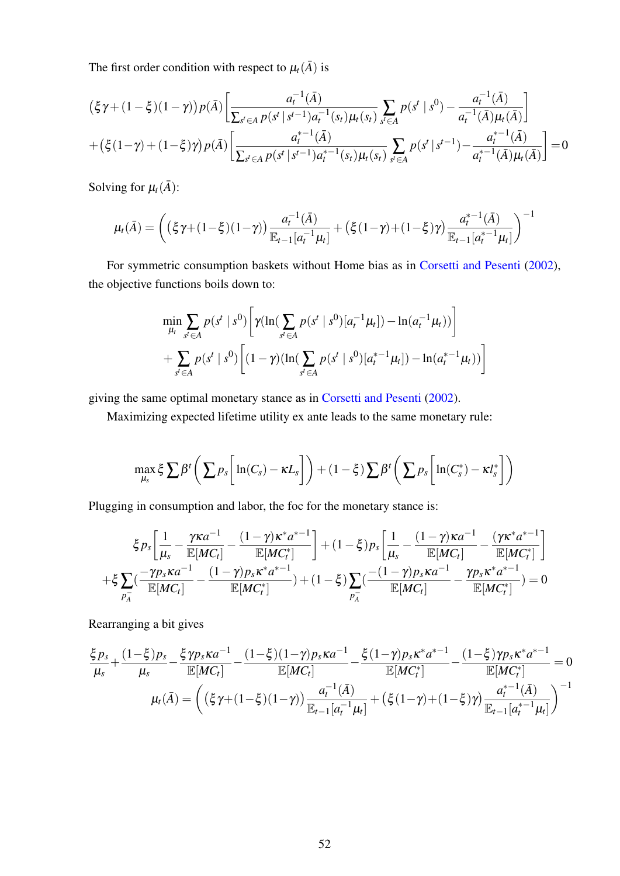The first order condition with respect to  $\mu_t(\bar{A})$  is

$$
(\xi \gamma + (1 - \xi)(1 - \gamma))p(\bar{A}) \left[ \frac{a_t^{-1}(\bar{A})}{\sum_{s' \in A} p(s' | s^{t-1}) a_t^{-1}(s_t) \mu_t(s_t)} \sum_{s' \in A} p(s' | s^0) - \frac{a_t^{-1}(\bar{A})}{a_t^{-1}(\bar{A}) \mu_t(\bar{A})} \right] + (\xi (1 - \gamma) + (1 - \xi)\gamma)p(\bar{A}) \left[ \frac{a_t^{*-1}(\bar{A})}{\sum_{s' \in A} p(s' | s^{t-1}) a_t^{*-1}(s_t) \mu_t(s_t)} \sum_{s' \in A} p(s' | s^{t-1}) - \frac{a_t^{*-1}(\bar{A})}{a_t^{*-1}(\bar{A}) \mu_t(\bar{A})} \right] = 0
$$

Solving for  $\mu_t(\bar{A})$ :

$$
\mu_t(\bar{A}) = \left( \left( \xi \gamma + (1 - \xi)(1 - \gamma) \right) \frac{a_t^{-1}(\bar{A})}{\mathbb{E}_{t-1}[a_t^{-1} \mu_t]} + \left( \xi (1 - \gamma) + (1 - \xi) \gamma \right) \frac{a_t^{*-1}(\bar{A})}{\mathbb{E}_{t-1}[a_t^{*-1} \mu_t]} \right)^{-1}
$$

For symmetric consumption baskets without Home bias as in [Corsetti and Pesenti](#page-36-1) [\(2002\)](#page-36-1), the objective functions boils down to:

$$
\min_{\mu_t} \sum_{s' \in A} p(s^t \mid s^0) \left[ \gamma (\ln(\sum_{s' \in A} p(s^t \mid s^0) [a_t^{-1} \mu_t]) - \ln(a_t^{-1} \mu_t)) \right] + \sum_{s' \in A} p(s^t \mid s^0) \left[ (1 - \gamma) (\ln(\sum_{s' \in A} p(s^t \mid s^0) [a_t^{*-1} \mu_t]) - \ln(a_t^{*-1} \mu_t)) \right]
$$

giving the same optimal monetary stance as in [Corsetti and Pesenti](#page-36-1) [\(2002\)](#page-36-1).

Maximizing expected lifetime utility ex ante leads to the same monetary rule:

$$
\max_{\mu_s} \xi \sum \beta^t \left( \sum p_s \left[ \ln(C_s) - \kappa L_s \right] \right) + (1 - \xi) \sum \beta^t \left( \sum p_s \left[ \ln(C_s^*) - \kappa l_s^* \right] \right)
$$

Plugging in consumption and labor, the foc for the monetary stance is:

$$
\xi p_s \left[ \frac{1}{\mu_s} - \frac{\gamma \kappa a^{-1}}{\mathbb{E}[MC_t]} - \frac{(1-\gamma)\kappa^* a^{*-1}}{\mathbb{E}[MC_t^*]} \right] + (1-\xi) p_s \left[ \frac{1}{\mu_s} - \frac{(1-\gamma)\kappa a^{-1}}{\mathbb{E}[MC_t]} - \frac{(\gamma \kappa^* a^{*-1})}{\mathbb{E}[MC_t]} \right]
$$

$$
+ \xi \sum_{p_A^-} \left( \frac{-\gamma p_s \kappa a^{-1}}{\mathbb{E}[MC_t]} - \frac{(1-\gamma)p_s \kappa^* a^{*-1}}{\mathbb{E}[MC_t^*]} \right) + (1-\xi) \sum_{p_A^-} \left( \frac{-(1-\gamma)p_s \kappa a^{-1}}{\mathbb{E}[MC_t]} - \frac{\gamma p_s \kappa^* a^{*-1}}{\mathbb{E}[MC_t^*]} \right) = 0
$$

Rearranging a bit gives

$$
\frac{\xi p_s}{\mu_s} + \frac{(1-\xi)p_s}{\mu_s} - \frac{\xi \gamma p_s \kappa a^{-1}}{\mathbb{E}[MC_t]} - \frac{(1-\xi)(1-\gamma)p_s \kappa a^{-1}}{\mathbb{E}[MC_t]} - \frac{\xi (1-\gamma)p_s \kappa^* a^{*-1}}{\mathbb{E}[MC_t^*]} - \frac{(1-\xi)\gamma p_s \kappa^* a^{*-1}}{\mathbb{E}[MC_t^*]} = 0
$$
  

$$
\mu_t(\bar{A}) = \left( \left( \xi \gamma + (1-\xi)(1-\gamma) \right) \frac{a_t^{-1}(\bar{A})}{\mathbb{E}_{t-1}[a_t^{-1}\mu_t]} + \left( \xi (1-\gamma) + (1-\xi)\gamma \right) \frac{a_t^{*-1}(\bar{A})}{\mathbb{E}_{t-1}[a_t^{*-1}\mu_t]} \right)^{-1}
$$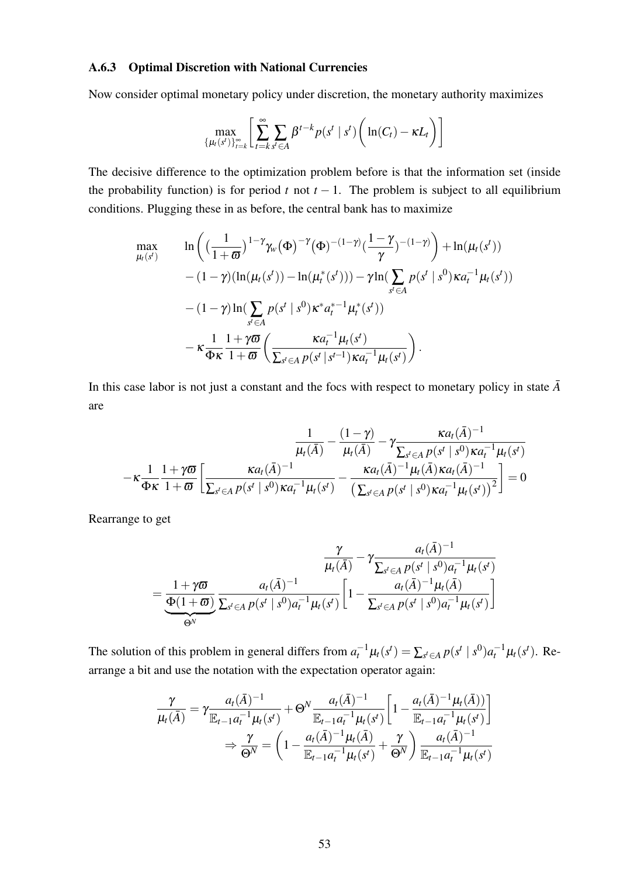#### A.6.3 Optimal Discretion with National Currencies

Now consider optimal monetary policy under discretion, the monetary authority maximizes

$$
\max_{\{\mu_t(s^t)\}_{t=k}^{\infty}} \left[ \sum_{t=k}^{\infty} \sum_{s^t \in A} \beta^{t-k} p(s^t \mid s^t) \left( \ln(C_t) - \kappa L_t \right) \right]
$$

The decisive difference to the optimization problem before is that the information set (inside the probability function) is for period  $t$  not  $t - 1$ . The problem is subject to all equilibrium conditions. Plugging these in as before, the central bank has to maximize

$$
\max_{\mu_{t}(s^{t})} \ln \left( \left( \frac{1}{1+\varpi} \right)^{1-\gamma} \gamma_{w}(\Phi)^{-\gamma}(\Phi)^{-(1-\gamma)}(\frac{1-\gamma}{\gamma})^{-(1-\gamma)} \right) + \ln(\mu_{t}(s^{t})) \n- (1-\gamma)(\ln(\mu_{t}(s^{t})) - \ln(\mu_{t}^{*}(s^{t}))) - \gamma \ln(\sum_{s^{t} \in A} p(s^{t} | s^{0}) \kappa a_{t}^{-1} \mu_{t}(s^{t})) \n- (1-\gamma)\ln(\sum_{s^{t} \in A} p(s^{t} | s^{0}) \kappa^{*} a_{t}^{*-1} \mu_{t}^{*}(s^{t})) \n- \kappa \frac{1}{\Phi \kappa} \frac{1+\gamma \varpi}{1+\varpi} \left( \frac{\kappa a_{t}^{-1} \mu_{t}(s^{t})}{\sum_{s^{t} \in A} p(s^{t} | s^{t-1}) \kappa a_{t}^{-1} \mu_{t}(s^{t})} \right).
$$

In this case labor is not just a constant and the focs with respect to monetary policy in state  $\bar{A}$ are

$$
\frac{1}{\mu_t(\bar{A})} - \frac{(1-\gamma)}{\mu_t(\bar{A})} - \gamma \frac{\kappa a_t(\bar{A})^{-1}}{\sum_{s' \in A} p(s' \mid s^0) \kappa a_t^{-1} \mu_t(s')}\n- \kappa \frac{1}{\Phi \kappa} \frac{1 + \gamma \varpi}{1 + \varpi} \left[ \frac{\kappa a_t(\bar{A})^{-1}}{\sum_{s' \in A} p(s' \mid s^0) \kappa a_t^{-1} \mu_t(s') } - \frac{\kappa a_t(\bar{A})^{-1} \mu_t(\bar{A}) \kappa a_t(\bar{A})^{-1}}{\left( \sum_{s' \in A} p(s' \mid s^0) \kappa a_t^{-1} \mu_t(s') \right)^2} \right] = 0
$$

Rearrange to get

$$
\frac{\gamma}{\mu_t(\bar{A})} - \gamma \frac{a_t(\bar{A})^{-1}}{\sum_{s' \in A} p(s^t \mid s^0) a_t^{-1} \mu_t(s^t)}
$$
\n
$$
= \underbrace{\frac{1 + \gamma \varpi}{\Phi(1 + \varpi)}}_{\Theta^N} \frac{a_t(\bar{A})^{-1}}{\sum_{s' \in A} p(s^t \mid s^0) a_t^{-1} \mu_t(s^t)} \left[1 - \frac{a_t(\bar{A})^{-1} \mu_t(\bar{A})}{\sum_{s' \in A} p(s^t \mid s^0) a_t^{-1} \mu_t(s^t)}\right]
$$

The solution of this problem in general differs from  $a_t^{-1}\mu_t(s^t) = \sum_{s^t \in A} p(s^t | s^0) a_t^{-1}\mu_t(s^t)$ . Rearrange a bit and use the notation with the expectation operator again:

$$
\frac{\gamma}{\mu_t(\bar{A})} = \gamma \frac{a_t(\bar{A})^{-1}}{\mathbb{E}_{t-1} a_t^{-1} \mu_t(s^t)} + \Theta^N \frac{a_t(\bar{A})^{-1}}{\mathbb{E}_{t-1} a_t^{-1} \mu_t(s^t)} \left[ 1 - \frac{a_t(\bar{A})^{-1} \mu_t(\bar{A})}{\mathbb{E}_{t-1} a_t^{-1} \mu_t(s^t)} \right]
$$
\n
$$
\Rightarrow \frac{\gamma}{\Theta^N} = \left( 1 - \frac{a_t(\bar{A})^{-1} \mu_t(\bar{A})}{\mathbb{E}_{t-1} a_t^{-1} \mu_t(s^t)} + \frac{\gamma}{\Theta^N} \right) \frac{a_t(\bar{A})^{-1}}{\mathbb{E}_{t-1} a_t^{-1} \mu_t(s^t)}
$$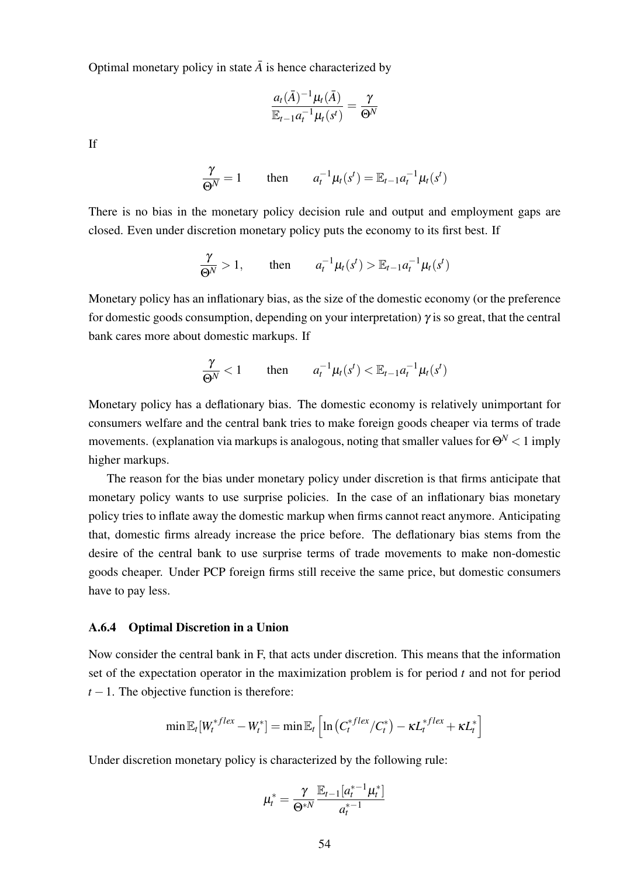Optimal monetary policy in state  $\overline{A}$  is hence characterized by

$$
\frac{a_t(\bar{A})^{-1}\mu_t(\bar{A})}{\mathbb{E}_{t-1}a_t^{-1}\mu_t(s^t)}=\frac{\gamma}{\Theta^N}
$$

If

$$
\frac{\gamma}{\Theta^N} = 1 \quad \text{then} \quad a_t^{-1} \mu_t(s^t) = \mathbb{E}_{t-1} a_t^{-1} \mu_t(s^t)
$$

There is no bias in the monetary policy decision rule and output and employment gaps are closed. Even under discretion monetary policy puts the economy to its first best. If

$$
\frac{\gamma}{\Theta^N} > 1, \quad \text{then} \quad a_t^{-1} \mu_t(s^t) > \mathbb{E}_{t-1} a_t^{-1} \mu_t(s^t)
$$

Monetary policy has an inflationary bias, as the size of the domestic economy (or the preference for domestic goods consumption, depending on your interpretation)  $\gamma$  is so great, that the central bank cares more about domestic markups. If

$$
\frac{\gamma}{\Theta^N} < 1 \qquad \text{then} \qquad a_t^{-1} \mu_t(s^t) < \mathbb{E}_{t-1} a_t^{-1} \mu_t(s^t)
$$

Monetary policy has a deflationary bias. The domestic economy is relatively unimportant for consumers welfare and the central bank tries to make foreign goods cheaper via terms of trade movements. (explanation via markups is analogous, noting that smaller values for Θ*<sup>N</sup>* < 1 imply higher markups.

The reason for the bias under monetary policy under discretion is that firms anticipate that monetary policy wants to use surprise policies. In the case of an inflationary bias monetary policy tries to inflate away the domestic markup when firms cannot react anymore. Anticipating that, domestic firms already increase the price before. The deflationary bias stems from the desire of the central bank to use surprise terms of trade movements to make non-domestic goods cheaper. Under PCP foreign firms still receive the same price, but domestic consumers have to pay less.

#### A.6.4 Optimal Discretion in a Union

Now consider the central bank in F, that acts under discretion. This means that the information set of the expectation operator in the maximization problem is for period *t* and not for period  $t-1$ . The objective function is therefore:

$$
\min \mathbb{E}_{t}[W_t^{*flex} - W_t^*] = \min \mathbb{E}_{t}\left[\ln\left(C_t^{*flex}/C_t^*\right) - \kappa L_t^{*flex} + \kappa L_t^*\right]
$$

Under discretion monetary policy is characterized by the following rule:

$$
\mu_t^* = \frac{\gamma}{\Theta^{*N}} \frac{\mathbb{E}_{t-1} [a_t^{*-1} \mu_t^*]}{a_t^{*-1}}
$$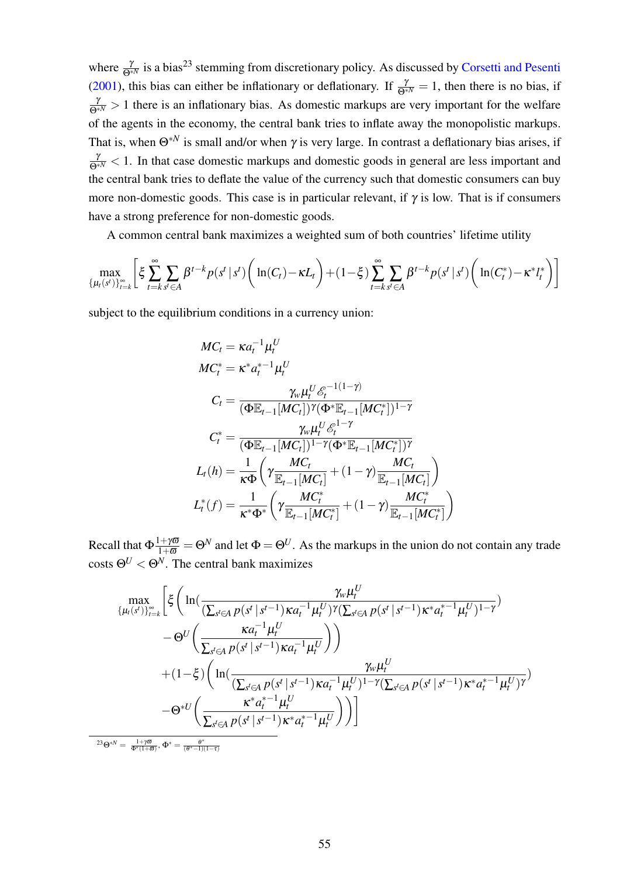where  $\frac{\gamma}{\Theta^{*N}}$  is a bias<sup>[23](#page-57-0)</sup> stemming from discretionary policy. As discussed by [Corsetti and Pesenti](#page-36-0) [\(2001\)](#page-36-0), this bias can either be inflationary or deflationary. If  $\frac{\gamma}{\Theta^{*N}} = 1$ , then there is no bias, if  $\frac{\gamma}{\Theta^{*N}} > 1$  there is an inflationary bias. As domestic markups are very important for the welfare of the agents in the economy, the central bank tries to inflate away the monopolistic markups. That is, when  $\Theta^{*N}$  is small and/or when  $\gamma$  is very large. In contrast a deflationary bias arises, if  $\frac{\gamma}{\Theta^{*N}}$  < 1. In that case domestic markups and domestic goods in general are less important and the central bank tries to deflate the value of the currency such that domestic consumers can buy more non-domestic goods. This case is in particular relevant, if  $\gamma$  is low. That is if consumers have a strong preference for non-domestic goods.

A common central bank maximizes a weighted sum of both countries' lifetime utility

$$
\max_{\{\mu_t(s^t)\}_{t=k}^{\infty}} \left[ \xi \sum_{t=k}^{\infty} \sum_{s^t \in A} \beta^{t-k} p(s^t \mid s^t) \left( \ln(C_t) - \kappa L_t \right) + (1-\xi) \sum_{t=k}^{\infty} \sum_{s^t \in A} \beta^{t-k} p(s^t \mid s^t) \left( \ln(C_t^*) - \kappa^* l_t^* \right) \right]
$$

subject to the equilibrium conditions in a currency union:

<span id="page-57-0"></span><sup>23</sup>Θ∗*<sup>N</sup>* =

$$
MC_t = \kappa a_t^{-1} \mu_t^U
$$
  
\n
$$
MC_t^* = \kappa^* a_t^{*-1} \mu_t^U
$$
  
\n
$$
C_t = \frac{\gamma_w \mu_t^U \mathcal{E}_t^{-1(1-\gamma)}}{(\Phi \mathbb{E}_{t-1}[MC_t])^{\gamma} (\Phi^* \mathbb{E}_{t-1}[MC_t^*)^{1-\gamma}}
$$
  
\n
$$
C_t^* = \frac{\gamma_w \mu_t^U \mathcal{E}_t^{1-\gamma}}{(\Phi \mathbb{E}_{t-1}[MC_t])^{1-\gamma} (\Phi^* \mathbb{E}_{t-1}[MC_t^*)^{\gamma}}
$$
  
\n
$$
L_t(h) = \frac{1}{\kappa \Phi} \left( \gamma \frac{MC_t}{\mathbb{E}_{t-1}[MC_t]} + (1-\gamma) \frac{MC_t}{\mathbb{E}_{t-1}[MC_t]} \right)
$$
  
\n
$$
L_t^*(f) = \frac{1}{\kappa^* \Phi^*} \left( \gamma \frac{MC_t^*}{\mathbb{E}_{t-1}[MC_t^*]} + (1-\gamma) \frac{MC_t^*}{\mathbb{E}_{t-1}[MC_t^*]} \right)
$$

Recall that  $\Phi \frac{1+\gamma\omega}{1+\omega} = \Theta^N$  and let  $\Phi = \Theta^U$ . As the markups in the union do not contain any trade costs  $\Theta^U < \Theta^N$ . The central bank maximizes

$$
\begin{split} \max_{\{\mu_{t}(s^{t})\}_{t=k}^{\infty}} & \Bigg[ \xi \Bigg( \ln (\frac{\gamma_{w} \mu_{t}^{U}}{(\sum_{s^{t} \in A} p(s^{t} \mid s^{t-1}) \kappa a_{t}^{-1} \mu_{t}^{U})^{\gamma} (\sum_{s^{t} \in A} p(s^{t} \mid s^{t-1}) \kappa^{*} a_{t}^{*-1} \mu_{t}^{U})^{1-\gamma}}) \\ & - \Theta^{U} \Bigg( \frac{\kappa a_{t}^{-1} \mu_{t}^{U}}{\sum_{s^{t} \in A} p(s^{t} \mid s^{t-1}) \kappa a_{t}^{-1} \mu_{t}^{U}} \Bigg) \Bigg) \\ & + (1-\xi) \Bigg( \ln (\frac{\gamma_{w} \mu_{t}^{U}}{(\sum_{s^{t} \in A} p(s^{t} \mid s^{t-1}) \kappa a_{t}^{-1} \mu_{t}^{U})^{1-\gamma} (\sum_{s^{t} \in A} p(s^{t} \mid s^{t-1}) \kappa^{*} a_{t}^{*-1} \mu_{t}^{U})^{\gamma}}) \\ & - \Theta^{*U} \Bigg( \frac{\kappa^{*} a_{t}^{* -1} \mu_{t}^{U}}{\sum_{s^{t} \in A} p(s^{t} \mid s^{t-1}) \kappa^{*} a_{t}^{*-1} \mu_{t}^{U}} \Bigg) \Bigg) \Bigg] \\ \end{split}
$$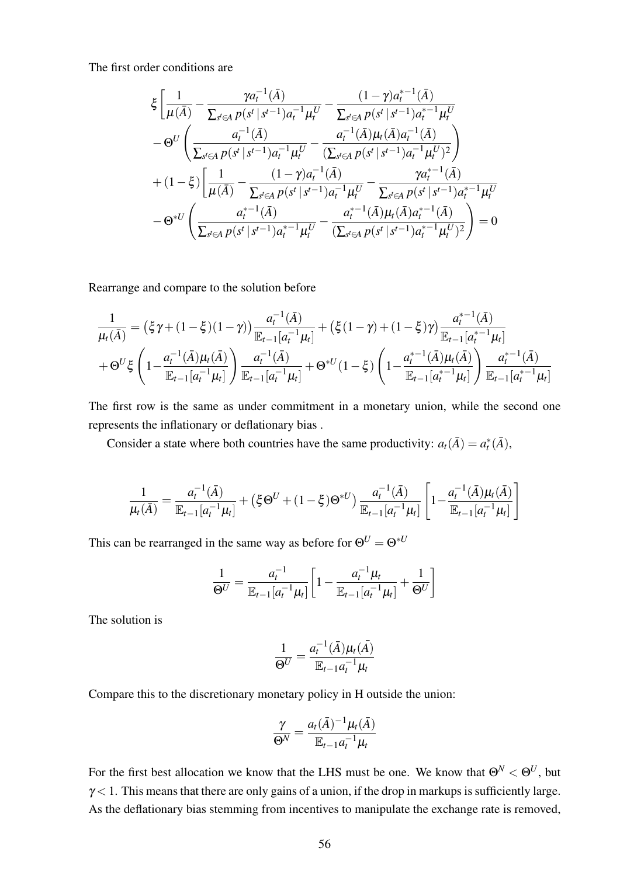The first order conditions are

$$
\xi \left[ \frac{1}{\mu(\bar{A})} - \frac{\gamma a_t^{-1}(\bar{A})}{\sum_{s' \in A} p(s^t \mid s^{t-1}) a_t^{-1} \mu_t^U} - \frac{(1-\gamma) a_t^{*-1}(\bar{A})}{\sum_{s' \in A} p(s^t \mid s^{t-1}) a_t^{*-1} \mu_t^U} - \Theta^U \left( \frac{a_t^{-1}(\bar{A})}{\sum_{s' \in A} p(s^t \mid s^{t-1}) a_t^{-1} \mu_t^U} - \frac{a_t^{-1}(\bar{A}) \mu_t(\bar{A}) a_t^{-1}(\bar{A})}{(\sum_{s' \in A} p(s^t \mid s^{t-1}) a_t^{-1} \mu_t^U)^2} \right) + (1-\xi) \left[ \frac{1}{\mu(\bar{A})} - \frac{(1-\gamma) a_t^{-1}(\bar{A})}{\sum_{s' \in A} p(s^t \mid s^{t-1}) a_t^{-1} \mu_t^U} - \frac{\gamma a_t^{*-1}(\bar{A})}{\sum_{s' \in A} p(s^t \mid s^{t-1}) a_t^{*-1} \mu_t^U} - \Theta^{*U} \left( \frac{a_t^{*-1}(\bar{A})}{\sum_{s' \in A} p(s^t \mid s^{t-1}) a_t^{*-1} \mu_t^U} - \frac{a_t^{*-1}(\bar{A}) \mu_t(\bar{A}) a_t^{*-1}(\bar{A})}{(\sum_{s' \in A} p(s^t \mid s^{t-1}) a_t^{*-1} \mu_t^U)^2} \right) = 0
$$

Rearrange and compare to the solution before

$$
\frac{1}{\mu_t(\bar{A})} = (\xi \gamma + (1 - \xi)(1 - \gamma)) \frac{a_t^{-1}(\bar{A})}{\mathbb{E}_{t-1}[a_t^{-1}\mu_t]} + (\xi(1 - \gamma) + (1 - \xi)\gamma) \frac{a_t^{*-1}(\bar{A})}{\mathbb{E}_{t-1}[a_t^{*-1}\mu_t]} \n+ \Theta^U \xi \left(1 - \frac{a_t^{-1}(\bar{A})\mu_t(\bar{A})}{\mathbb{E}_{t-1}[a_t^{-1}\mu_t]} \right) \frac{a_t^{-1}(\bar{A})}{\mathbb{E}_{t-1}[a_t^{-1}\mu_t]} + \Theta^{*U}(1 - \xi) \left(1 - \frac{a_t^{*-1}(\bar{A})\mu_t(\bar{A})}{\mathbb{E}_{t-1}[a_t^{*-1}\mu_t]} \right) \frac{a_t^{*-1}(\bar{A})}{\mathbb{E}_{t-1}[a_t^{*-1}\mu_t]}
$$

The first row is the same as under commitment in a monetary union, while the second one represents the inflationary or deflationary bias .

Consider a state where both countries have the same productivity:  $a_t(\overline{A}) = a_t^*(\overline{A})$ ,

$$
\frac{1}{\mu_t(\bar{A})} = \frac{a_t^{-1}(\bar{A})}{\mathbb{E}_{t-1}[a_t^{-1}\mu_t]} + (\xi \Theta^U + (1-\xi)\Theta^{*U}) \frac{a_t^{-1}(\bar{A})}{\mathbb{E}_{t-1}[a_t^{-1}\mu_t]} \left[1 - \frac{a_t^{-1}(\bar{A})\mu_t(\bar{A})}{\mathbb{E}_{t-1}[a_t^{-1}\mu_t]}\right]
$$

This can be rearranged in the same way as before for  $\Theta^U = \Theta^{*U}$ 

$$
\frac{1}{\Theta^U} = \frac{a_t^{-1}}{\mathbb{E}_{t-1}[a_t^{-1}\mu_t]} \left[1 - \frac{a_t^{-1}\mu_t}{\mathbb{E}_{t-1}[a_t^{-1}\mu_t]} + \frac{1}{\Theta^U}\right]
$$

The solution is

$$
\frac{1}{\Theta^U} = \frac{a_t^{-1}(\bar{A})\mu_t(\bar{A})}{\mathbb{E}_{t-1}a_t^{-1}\mu_t}
$$

Compare this to the discretionary monetary policy in H outside the union:

$$
\frac{\gamma}{\Theta^N} = \frac{a_t(\bar{A})^{-1}\mu_t(\bar{A})}{\mathbb{E}_{t-1}a_t^{-1}\mu_t}
$$

For the first best allocation we know that the LHS must be one. We know that  $\Theta^N < \Theta^U$ , but  $\gamma$  < 1. This means that there are only gains of a union, if the drop in markups is sufficiently large. As the deflationary bias stemming from incentives to manipulate the exchange rate is removed,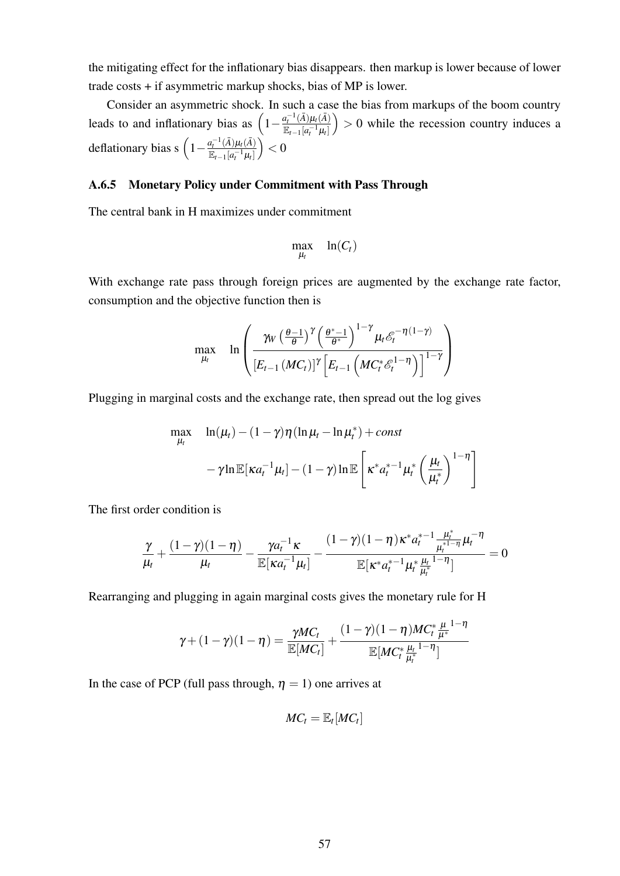the mitigating effect for the inflationary bias disappears. then markup is lower because of lower trade costs + if asymmetric markup shocks, bias of MP is lower.

Consider an asymmetric shock. In such a case the bias from markups of the boom country leads to and inflationary bias as  $\left(1 - \frac{a_t^{-1}(\bar{A})\mu_t(\bar{A})}{\bar{a}}\right)$  $\mathbb{E}_{t-1}[a_t^{-1}\mu_t]$  $\vert$  > 0 while the recession country induces a deflationary bias s  $\left(1 - \frac{a_t^{-1}(\bar{A})\mu_t(\bar{A})}{\sum_{k=1}^{\infty} a_k^{-1}(\bar{A})^2}\right)$  $\mathbb{E}_{t-1}[a_t^{-1}\mu_t]$  $\Big) < 0$ 

#### A.6.5 Monetary Policy under Commitment with Pass Through

The central bank in H maximizes under commitment

$$
\max_{\mu_t} \quad \ln(C_t)
$$

With exchange rate pass through foreign prices are augmented by the exchange rate factor, consumption and the objective function then is

$$
\max_{\mu_t} \quad \ln \left( \frac{\gamma_W \left( \frac{\theta - 1}{\theta} \right)^{\gamma} \left( \frac{\theta^* - 1}{\theta^*} \right)^{1 - \gamma} \mu_t \mathscr{E}_t^{-\eta(1 - \gamma)}}{\left[ E_{t-1} \left( M C_t^* \mathscr{E}_t^{1 - \eta} \right) \right]^{1 - \gamma}} \right)
$$

Plugging in marginal costs and the exchange rate, then spread out the log gives

$$
\max_{\mu_t} \quad \ln(\mu_t) - (1 - \gamma)\eta(\ln \mu_t - \ln \mu_t^*) + const
$$

$$
- \gamma \ln \mathbb{E}[\kappa a_t^{-1} \mu_t] - (1 - \gamma) \ln \mathbb{E}\left[\kappa^* a_t^{*-1} \mu_t^* \left(\frac{\mu_t}{\mu_t^*}\right)^{1-\eta}\right]
$$

The first order condition is

$$
\frac{\gamma}{\mu_t} + \frac{(1-\gamma)(1-\eta)}{\mu_t} - \frac{\gamma a_t^{-1} \kappa}{\mathbb{E}[\kappa a_t^{-1} \mu_t]} - \frac{(1-\gamma)(1-\eta) \kappa^* a_t^{*-1} \frac{\mu_t^*}{\mu_t^{*1-\eta}} \mu_t^{-\eta}}{\mathbb{E}[\kappa^* a_t^{*-1} \mu_t^* \frac{\mu_t}{\mu_t^{*1-\eta}}]} = 0
$$

Rearranging and plugging in again marginal costs gives the monetary rule for H

$$
\gamma + (1 - \gamma)(1 - \eta) = \frac{\gamma MC_t}{\mathbb{E}[MC_t]} + \frac{(1 - \gamma)(1 - \eta)MC_t^* \frac{\mu}{\mu^*}^{1 - \eta}}{\mathbb{E}[MC_t^* \frac{\mu_t}{\mu_t^*}^{1 - \eta}]}
$$

In the case of PCP (full pass through,  $\eta = 1$ ) one arrives at

$$
MC_t = \mathbb{E}_t [MC_t]
$$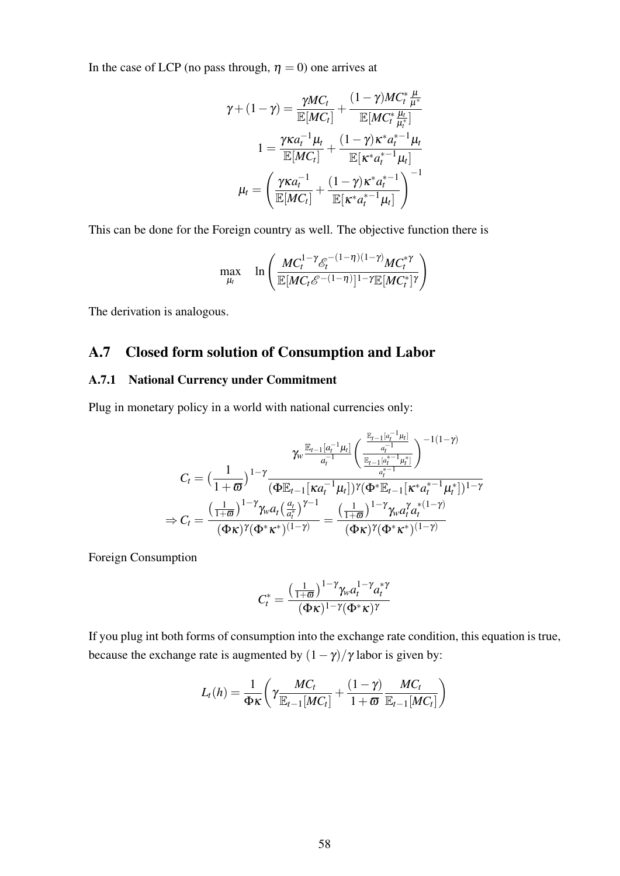In the case of LCP (no pass through,  $\eta = 0$ ) one arrives at

$$
\gamma + (1 - \gamma) = \frac{\gamma MC_t}{\mathbb{E}[MC_t]} + \frac{(1 - \gamma)MC_t^* \frac{\mu}{\mu^*}}{\mathbb{E}[MC_t^* \frac{\mu_t}{\mu^*}]} \n1 = \frac{\gamma \kappa a_t^{-1} \mu_t}{\mathbb{E}[MC_t]} + \frac{(1 - \gamma) \kappa^* a_t^{*-1} \mu_t}{\mathbb{E}[\kappa^* a_t^{*-1} \mu_t]} \n\mu_t = \left(\frac{\gamma \kappa a_t^{-1}}{\mathbb{E}[MC_t]} + \frac{(1 - \gamma) \kappa^* a_t^{*-1}}{\mathbb{E}[\kappa^* a_t^{*-1} \mu_t]}\right)^{-1}
$$

This can be done for the Foreign country as well. The objective function there is

$$
\max_{\mu_t} \quad \ln \left( \frac{MC_t^{1-\gamma} \mathcal{E}_t^{-(1-\eta)(1-\gamma)} MC_t^{*\gamma}}{\mathbb{E}[MC_t \mathcal{E}^{-(1-\eta)}]^{1-\gamma} \mathbb{E}[MC_t^*]^{\gamma}} \right)
$$

The derivation is analogous.

## A.7 Closed form solution of Consumption and Labor

#### A.7.1 National Currency under Commitment

Plug in monetary policy in a world with national currencies only:

$$
C_t = \left(\frac{1}{1+\varpi}\right)^{1-\gamma} \frac{\gamma_w \frac{\mathbb{E}_{t-1}[a_t^{-1}\mu_t]}{a_t^{-1}} \left(\frac{\frac{\mathbb{E}_{t-1}[a_t^{-1}\mu_t]}{a_t^{-1}}}{\frac{\mathbb{E}_{t-1}[a_t^{*-1}\mu_t]}{a_t^{*}}}\right)^{-1(1-\gamma)}}{(\Phi \mathbb{E}_{t-1}[\kappa a_t^{-1}\mu_t])^{\gamma}(\Phi^* \mathbb{E}_{t-1}[{\kappa^* a_t^{*-1}\mu_t}])^{1-\gamma}} \\ \Rightarrow C_t = \frac{\left(\frac{1}{1+\varpi}\right)^{1-\gamma} \gamma_w a_t \left(\frac{a_t}{a_t^*}\right)^{\gamma-1}}{(\Phi \kappa)^{\gamma}(\Phi^* \kappa^*)^{(1-\gamma)}} = \frac{\left(\frac{1}{1+\varpi}\right)^{1-\gamma} \gamma_w a_t^{\gamma} a_t^{*(1-\gamma)}}{(\Phi \kappa)^{\gamma}(\Phi^* \kappa^*)^{(1-\gamma)}}
$$

Foreign Consumption

$$
C_t^* = \frac{\left(\frac{1}{1+\overline{\omega}}\right)^{1-\gamma} \gamma_w a_t^{1-\gamma} a_t^{*\gamma}}{(\Phi \kappa)^{1-\gamma} (\Phi^* \kappa)^\gamma}
$$

If you plug int both forms of consumption into the exchange rate condition, this equation is true, because the exchange rate is augmented by  $(1 - \gamma)/\gamma$  labor is given by:

$$
L_t(h) = \frac{1}{\Phi \kappa} \left( \gamma \frac{MC_t}{\mathbb{E}_{t-1}[MC_t]} + \frac{(1-\gamma)}{1+\varpi} \frac{MC_t}{\mathbb{E}_{t-1}[MC_t]} \right)
$$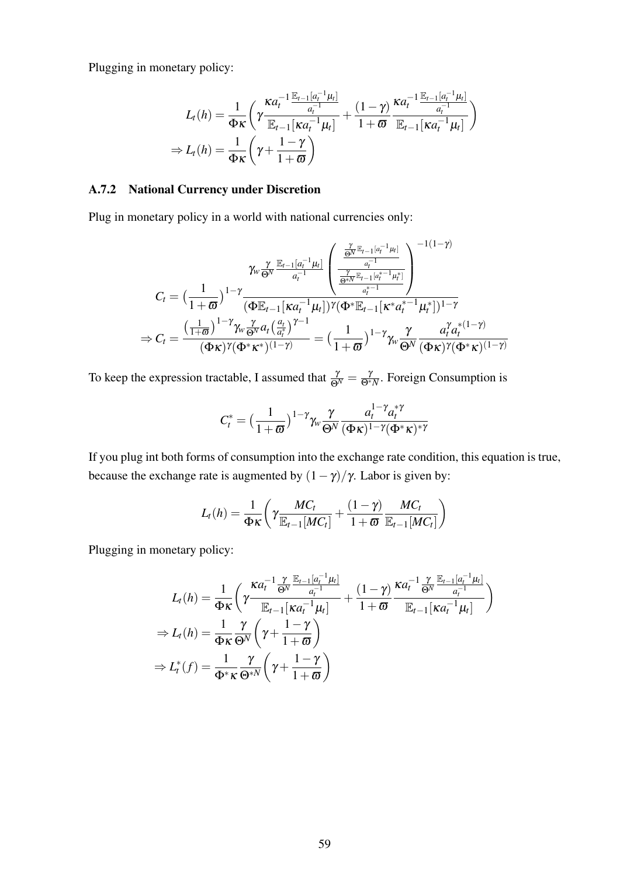Plugging in monetary policy:

$$
L_t(h) = \frac{1}{\Phi_K} \left( \gamma \frac{\kappa a_t^{-1} \frac{\mathbb{E}_{t-1}[a_t^{-1} \mu_t]}{a_t^{-1}}}{\mathbb{E}_{t-1}[\kappa a_t^{-1} \mu_t]} + \frac{(1-\gamma)}{1+\varpi} \frac{\kappa a_t^{-1} \frac{\mathbb{E}_{t-1}[a_t^{-1} \mu_t]}{a_t^{-1}}}{\mathbb{E}_{t-1}[\kappa a_t^{-1} \mu_t]} \right)
$$
  
\n
$$
\Rightarrow L_t(h) = \frac{1}{\Phi_K} \left( \gamma + \frac{1-\gamma}{1+\varpi} \right)
$$

## A.7.2 National Currency under Discretion

Plug in monetary policy in a world with national currencies only:

$$
C_t = \left(\frac{1}{1+\varpi}\right)^{1-\gamma} \frac{\gamma_w \frac{\gamma}{\Theta^N} \frac{\mathbb{E}_{t-1}[a_t^{-1}\mu_t]}{a_t^{-1}}}{\left(\Phi \mathbb{E}_{t-1}[\kappa a_t^{-1}\mu_t]\right)} \left(\frac{\frac{\gamma}{\Theta^N} \mathbb{E}_{t-1}[a_t^{*1}\mu_t]}{\frac{\gamma}{\Theta^N} \mathbb{E}_{t-1}[a_t^{*1}\mu_t^*]} \right)^{-1(1-\gamma)} \n\Rightarrow C_t = \frac{\left(\frac{1}{1+\varpi}\right)^{1-\gamma} \gamma_w \frac{\gamma}{\Theta^N} a_t \left(\frac{a_t}{a_t^*}\right)^{\gamma-1}}{\left(\Phi \kappa\right)^{\gamma} (\Phi^* \mathbb{E}_{t-1}[K^* a_t^{*1}\mu_t^*])^{1-\gamma}} = \left(\frac{1}{1+\varpi}\right)^{1-\gamma} \gamma_w \frac{\gamma}{\Theta^N} \frac{a_t^{\gamma} a_t^{\gamma}(1-\gamma)}{\left(\Phi \kappa\right)^{\gamma} (\Phi^* \kappa)^{(1-\gamma)}}
$$

To keep the expression tractable, I assumed that  $\frac{\gamma}{\Theta^N} = \frac{\gamma}{\Theta^* N}$ . Foreign Consumption is

$$
C_t^* = \left(\frac{1}{1+\varpi}\right)^{1-\gamma} \gamma_w \frac{\gamma}{\Theta^N} \frac{a_t^{1-\gamma} a_t^{*\gamma}}{(\Phi \kappa)^{1-\gamma} (\Phi^* \kappa)^{*\gamma}}
$$

If you plug int both forms of consumption into the exchange rate condition, this equation is true, because the exchange rate is augmented by  $(1 - \gamma)/\gamma$ . Labor is given by:

$$
L_t(h) = \frac{1}{\Phi K} \left( \gamma \frac{MC_t}{\mathbb{E}_{t-1}[MC_t]} + \frac{(1-\gamma)}{1+\varpi} \frac{MC_t}{\mathbb{E}_{t-1}[MC_t]} \right)
$$

Plugging in monetary policy:

$$
L_t(h) = \frac{1}{\Phi \kappa} \left( \gamma \frac{\kappa a_t^{-1} \frac{\gamma}{\Theta^N} \frac{\mathbb{E}_{t-1}[a_t^{-1} \mu_t]}{a_t^{-1}}}{\mathbb{E}_{t-1}[\kappa a_t^{-1} \mu_t]} + \frac{(1-\gamma)}{1+\varpi} \frac{\kappa a_t^{-1} \frac{\gamma}{\Theta^N} \frac{\mathbb{E}_{t-1}[a_t^{-1} \mu_t]}{a_t^{-1}}}{\mathbb{E}_{t-1}[\kappa a_t^{-1} \mu_t]} \right)
$$
  
\n
$$
\Rightarrow L_t(h) = \frac{1}{\Phi \kappa} \frac{\gamma}{\Theta^N} \left( \gamma + \frac{1-\gamma}{1+\varpi} \right)
$$
  
\n
$$
\Rightarrow L_t^*(f) = \frac{1}{\Phi^* \kappa} \frac{\gamma}{\Theta^{*N}} \left( \gamma + \frac{1-\gamma}{1+\varpi} \right)
$$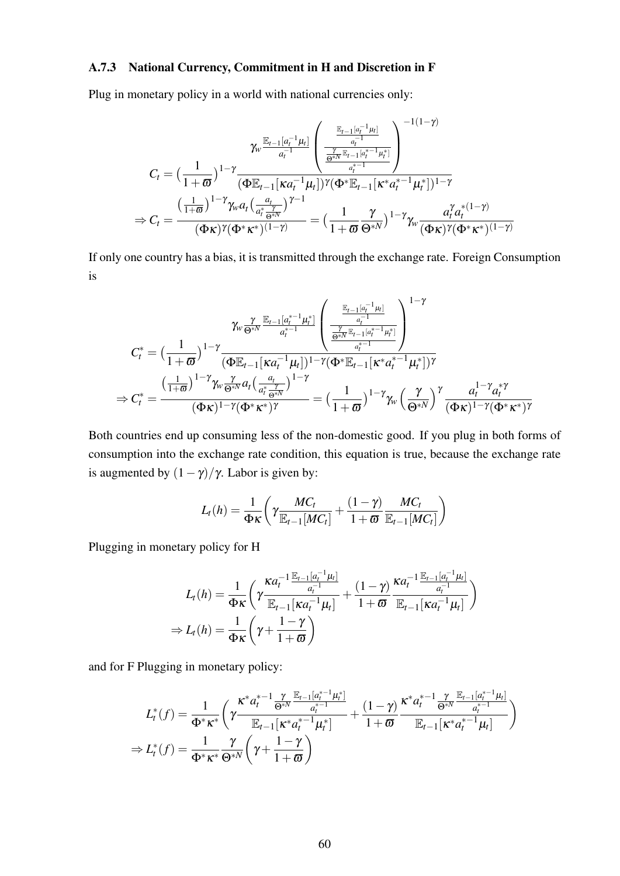#### A.7.3 National Currency, Commitment in H and Discretion in F

Plug in monetary policy in a world with national currencies only:

$$
C_{t} = \left(\frac{1}{1+\varpi}\right)^{1-\gamma} \frac{\gamma_{w} \frac{\mathbb{E}_{t-1}[a_{t}^{-1}\mu_{t}]}{a_{t}^{-1}} \left(\frac{\frac{\mathbb{E}_{t-1}[a_{t}^{-1}\mu_{t}]}{a_{t}^{-1}}}{\frac{\gamma}{\mathbb{B}^{*N}\mathbb{E}_{t-1}[a_{t}^{*}-1\mu_{t}^{*}]}{a_{t}^{*}-1}}\right)^{-1(1-\gamma)}}{\left(\Phi\mathbb{E}_{t-1}[\kappa a_{t}^{-1}\mu_{t}]\right)^{\gamma}(\Phi^{*}\mathbb{E}_{t-1}[\kappa^{*}a_{t}^{*}-1\mu_{t}^{*}])^{1-\gamma}}{\times}
$$
\n
$$
\Rightarrow C_{t} = \frac{\left(\frac{1}{1+\varpi}\right)^{1-\gamma}\gamma_{w}a_{t}\left(\frac{a_{t}}{a_{t}^{*}-\frac{\gamma}{\mathbb{B}^{*N}}}\right)^{\gamma-1}}{\left(\Phi\kappa\right)^{\gamma}\left(\Phi^{*}\kappa^{*}\right)^{(1-\gamma)}} = \left(\frac{1}{1+\varpi}\frac{\gamma}{\Theta^{*N}}\right)^{1-\gamma}\gamma_{w}\frac{a_{t}^{\gamma}a_{t}^{*}(1-\gamma)}{\left(\Phi\kappa\right)^{\gamma}\left(\Phi^{*}\kappa^{*}\right)^{(1-\gamma)}}
$$

If only one country has a bias, it is transmitted through the exchange rate. Foreign Consumption is

$$
C_t^* = \left(\frac{1}{1+\varpi}\right)^{1-\gamma} \frac{\gamma_w \frac{\gamma}{\varphi^{*N}} \frac{\mathbb{E}_{t-1}[a_t^{*-1}\mu_t^*]}{a_t^{*-1}}}{\left(\frac{\varphi^{*N}}{\varphi^{*N}}\right)^{1-\gamma}} \left(\frac{\frac{\mathbb{E}_{t-1}[a_t^{-1}\mu_t]}{a_t^{*-1}}}{\frac{\gamma}{\varphi^{*N}}\mathbb{E}_{t-1}[a_t^{*-1}\mu_t^*]} \right)^{1-\gamma}}{\left(\frac{1}{1+\varpi}\right)^{1-\gamma} \frac{\gamma_w \frac{\gamma}{\varphi^{*N}}a_t\left(\frac{a_t}{a_t^{*}\frac{\gamma}{\varphi^{*N}}}\right)^{1-\gamma}}{a_t^{*}-1-\gamma}} = \left(\frac{1}{1+\varpi}\right)^{1-\gamma} \gamma_w \left(\frac{\gamma}{\varphi^{*N}}\right)^{\gamma} \frac{a_t^{1-\gamma}a_t^{*}\gamma}{\left(\varphi^{*N}\right)^{1-\gamma} \left(\varphi^{*}K^{*}\right)^{\gamma}}} = \left(\frac{1}{1+\varpi}\right)^{1-\gamma} \gamma_w \left(\frac{\gamma}{\varphi^{*N}}\right)^{\gamma} \frac{a_t^{1-\gamma}a_t^{*}\gamma}{\left(\varphi^{*N}\right)^{1-\gamma} \left(\varphi^{*}K^{*}\right)^{\gamma}} = \left(\frac{1}{1+\varpi}\right)^{1-\gamma} \gamma_w \left(\frac{\gamma}{\varphi^{*N}}\right)^{\gamma} \frac{a_t^{1-\gamma}a_t^{*}\gamma}{\left(\varphi^{*N}\right)^{1-\gamma} \left(\varphi^{*}K^{*}\right)^{\gamma}}
$$

Both countries end up consuming less of the non-domestic good. If you plug in both forms of consumption into the exchange rate condition, this equation is true, because the exchange rate is augmented by  $(1 - \gamma)/\gamma$ . Labor is given by:

$$
L_t(h) = \frac{1}{\Phi \kappa} \left( \gamma \frac{MC_t}{\mathbb{E}_{t-1}[MC_t]} + \frac{(1-\gamma)}{1+\varpi} \frac{MC_t}{\mathbb{E}_{t-1}[MC_t]} \right)
$$

Plugging in monetary policy for H

$$
L_t(h) = \frac{1}{\Phi \kappa} \left( \gamma \frac{\kappa a_t^{-1} \frac{\mathbb{E}_{t-1}[a_t^{-1} \mu_t]}{a_t^{-1}}}{\mathbb{E}_{t-1}[\kappa a_t^{-1} \mu_t]} + \frac{(1-\gamma)}{1+\varpi} \frac{\kappa a_t^{-1} \frac{\mathbb{E}_{t-1}[a_t^{-1} \mu_t]}{a_t^{-1}}}{\mathbb{E}_{t-1}[\kappa a_t^{-1} \mu_t]} \right)
$$
  
\n
$$
\Rightarrow L_t(h) = \frac{1}{\Phi \kappa} \left( \gamma + \frac{1-\gamma}{1+\varpi} \right)
$$

and for F Plugging in monetary policy:

$$
L_t^*(f) = \frac{1}{\Phi^* \kappa^*} \left( \gamma \frac{\kappa^* a_t^{*-1} \frac{\gamma}{\Theta^* N} \frac{\mathbb{E}_{t-1} [a_t^{*-1} \mu_t^*]}{a_t^{*-1}}}{\mathbb{E}_{t-1} [\kappa^* a_t^{*-1} \mu_t^*]} + \frac{(1-\gamma)}{1+\varpi} \frac{\kappa^* a_t^{*-1} \frac{\gamma}{\Theta^* N} \frac{\mathbb{E}_{t-1} [a_t^{*-1} \mu_t]}{a_t^{*-1}}}{\mathbb{E}_{t-1} [\kappa^* a_t^{*-1} \mu_t]} \right)
$$
  
\n
$$
\Rightarrow L_t^*(f) = \frac{1}{\Phi^* \kappa^*} \frac{\gamma}{\Theta^* N} \left( \gamma + \frac{1-\gamma}{1+\varpi} \right)
$$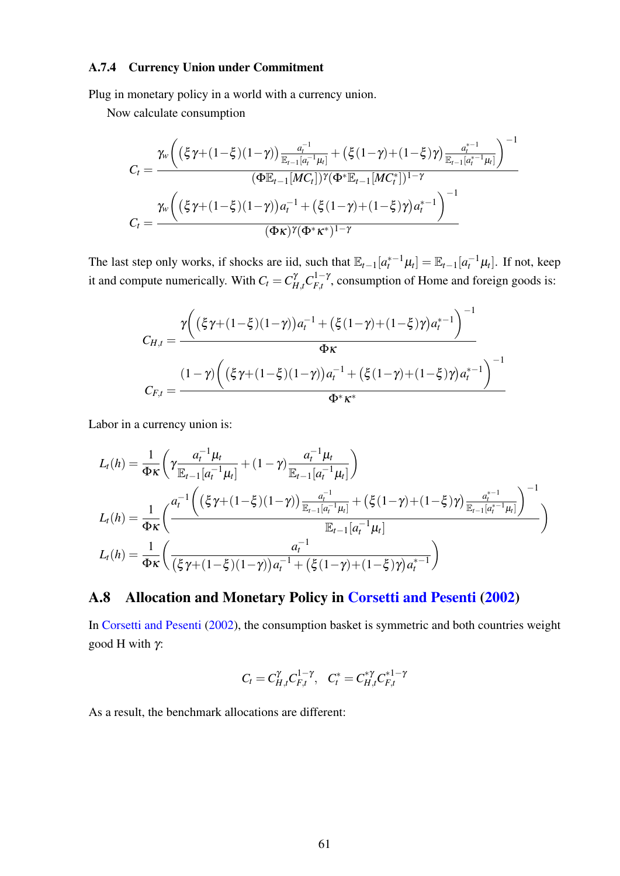## A.7.4 Currency Union under Commitment

Plug in monetary policy in a world with a currency union.

Now calculate consumption

$$
C_{t} = \frac{\gamma_{w} \left( \left( \xi \gamma + (1 - \xi)(1 - \gamma) \right) \frac{a_{t}^{-1}}{\mathbb{E}_{t-1}[a_{t}^{-1}\mu_{t}]} + \left( \xi(1 - \gamma) + (1 - \xi)\gamma \right) \frac{a_{t}^{*-1}}{\mathbb{E}_{t-1}[a_{t}^{*1}\mu_{t}]} \right)^{-1}}{(\Phi \mathbb{E}_{t-1}[MC_{t}])^{\gamma}(\Phi^{*} \mathbb{E}_{t-1}[MC_{t}^{*}])^{1-\gamma}}
$$

$$
C_{t} = \frac{\gamma_{w} \left( \left( \xi \gamma + (1 - \xi)(1 - \gamma) \right) a_{t}^{-1} + \left( \xi(1 - \gamma) + (1 - \xi)\gamma \right) a_{t}^{*-1} \right)^{-1}}{(\Phi \kappa)^{\gamma}(\Phi^{*} \kappa^{*})^{1-\gamma}}
$$

The last step only works, if shocks are iid, such that  $\mathbb{E}_{t-1}[a_t^{*-1}\mu_t] = \mathbb{E}_{t-1}[a_t^{-1}\mu_t]$ . If not, keep it and compute numerically. With  $C_t = C_{H,t}^{\gamma} C_{F,t}^{1-\gamma}$  $F_{f,t}^{(1)}$ , consumption of Home and foreign goods is:

$$
C_{H,t} = \frac{\gamma \bigg( \left( \xi \gamma + (1 - \xi)(1 - \gamma) \right) a_t^{-1} + \left( \xi (1 - \gamma) + (1 - \xi) \gamma \right) a_t^{* - 1} \bigg)^{-1}}{\Phi \kappa}
$$
  

$$
C_{F,t} = \frac{(1 - \gamma) \bigg( \left( \xi \gamma + (1 - \xi)(1 - \gamma) \right) a_t^{-1} + \left( \xi (1 - \gamma) + (1 - \xi) \gamma \right) a_t^{* - 1} \bigg)^{-1}}{\Phi^* \kappa^*}
$$

Labor in a currency union is:

$$
L_{t}(h) = \frac{1}{\Phi_{K}} \left( \gamma \frac{a_{t}^{-1} \mu_{t}}{\mathbb{E}_{t-1}[a_{t}^{-1} \mu_{t}]} + (1-\gamma) \frac{a_{t}^{-1} \mu_{t}}{\mathbb{E}_{t-1}[a_{t}^{-1} \mu_{t}]} \right)
$$
  
\n
$$
L_{t}(h) = \frac{1}{\Phi_{K}} \left( \frac{a_{t}^{-1} \left( \left( \xi \gamma + (1-\xi)(1-\gamma) \right) \frac{a_{t}^{-1}}{\mathbb{E}_{t-1}[a_{t}^{-1} \mu_{t}]} + \left( \xi (1-\gamma) + (1-\xi)\gamma \right) \frac{a_{t}^{*-1}}{\mathbb{E}_{t-1}[a_{t}^{*1} \mu_{t}]} \right)^{-1}}{\mathbb{E}_{t-1}[a_{t}^{-1} \mu_{t}]} \right)
$$
  
\n
$$
L_{t}(h) = \frac{1}{\Phi_{K}} \left( \frac{a_{t}^{-1}}{(\xi \gamma + (1-\xi)(1-\gamma))a_{t}^{-1} + (\xi (1-\gamma) + (1-\xi)\gamma)a_{t}^{*-1}} \right)
$$

## A.8 Allocation and Monetary Policy in [Corsetti and Pesenti](#page-36-1) [\(2002\)](#page-36-1)

In [Corsetti and Pesenti](#page-36-1) [\(2002\)](#page-36-1), the consumption basket is symmetric and both countries weight good H with  $\gamma$ :

$$
C_t = C_{H,t}^{\gamma} C_{F,t}^{1-\gamma}, \quad C_t^* = C_{H,t}^{*\gamma} C_{F,t}^{*1-\gamma}
$$

As a result, the benchmark allocations are different: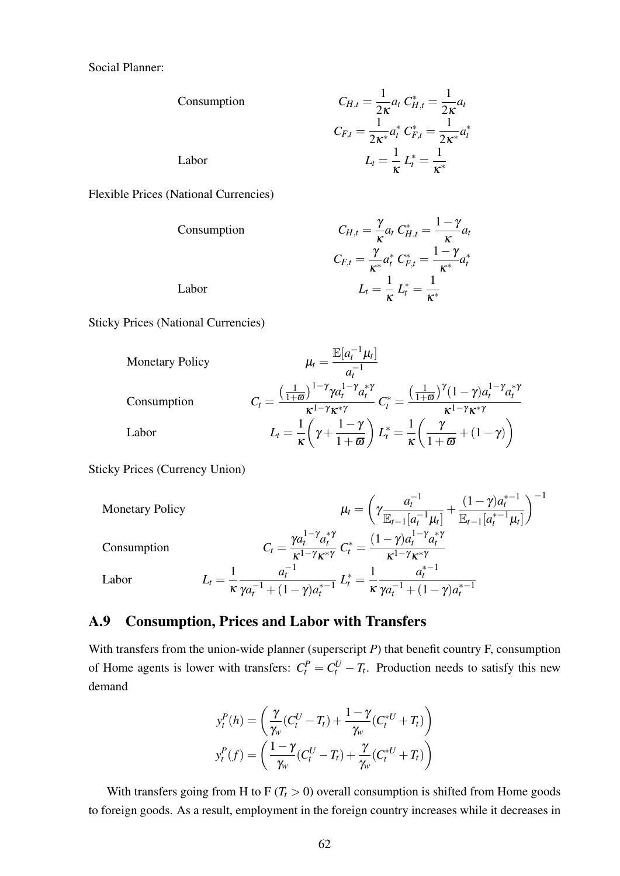Social Planner:

| Consumption                                                                          | \n $C_{H,t} = \frac{1}{2\kappa} a_t \, C_{H,t}^* = \frac{1}{2\kappa} a_t$ \n |
|--------------------------------------------------------------------------------------|------------------------------------------------------------------------------|
| \n $C_{F,t} = \frac{1}{2\kappa^*} a_t^* \, C_{F,t}^* = \frac{1}{2\kappa^*} a_t^*$ \n |                                                                              |
| \n        Labor\n $L_t = \frac{1}{\kappa} L_t^* = \frac{1}{\kappa^*}$ \n             |                                                                              |

Flexible Prices (National Currencies)

 $Consumption$ 

$$
C_{H,t} = \frac{\gamma}{\kappa} a_t C_{H,t}^* = \frac{1-\gamma}{\kappa} a_t
$$

$$
C_{F,t} = \frac{\gamma}{\kappa^*} a_t^* C_{F,t}^* = \frac{1-\gamma}{\kappa^*} a_t^*
$$

$$
L_t = \frac{1}{\kappa} L_t^* = \frac{1}{\kappa^*}
$$

 $Labor$ 

Sticky Prices (National Currencies)

$$
\begin{aligned}\n\text{Monetary Policy} & \mu_t = \frac{\mathbb{E}[a_t^{-1}\mu_t]}{a_t^{-1}} \\
\text{Consumption} & C_t = \frac{\left(\frac{1}{1+\varpi}\right)^{1-\gamma} \gamma a_t^{1-\gamma} a_t^{*\gamma}}{\kappa^{1-\gamma} \kappa^{*\gamma}} C_t^* = \frac{\left(\frac{1}{1+\varpi}\right)^{\gamma} (1-\gamma) a_t^{1-\gamma} a_t^{*\gamma}}{\kappa^{1-\gamma} \kappa^{*\gamma}} \\
\text{Labor} & L_t = \frac{1}{\kappa} \left(\gamma + \frac{1-\gamma}{1+\varpi}\right) L_t^* = \frac{1}{\kappa} \left(\frac{\gamma}{1+\varpi} + (1-\gamma)\right)\n\end{aligned}
$$

Sticky Prices (Currency Union)

Monetary Policy

\n
$$
\mu_{t} = \left(\gamma \frac{a_{t}^{-1}}{\mathbb{E}_{t-1}[a_{t}^{-1} \mu_{t}]} + \frac{(1-\gamma)a_{t}^{*-1}}{\mathbb{E}_{t-1}[a_{t}^{*-1} \mu_{t}]} \right)^{-1}
$$
\nConsumption

\n
$$
C_{t} = \frac{\gamma a_{t}^{1-\gamma} a_{t}^{*\gamma}}{\kappa^{1-\gamma} \kappa^{*\gamma}} C_{t}^{*} = \frac{(1-\gamma)a_{t}^{1-\gamma} a_{t}^{*\gamma}}{\kappa^{1-\gamma} \kappa^{*\gamma}}
$$
\nLabor

\n
$$
L_{t} = \frac{1}{\kappa} \frac{a_{t}^{-1}}{\gamma a_{t}^{-1} + (1-\gamma)a_{t}^{*-1}} L_{t}^{*} = \frac{1}{\kappa} \frac{a_{t}^{*-1}}{\gamma a_{t}^{-1} + (1-\gamma)a_{t}^{*-1}}
$$

## <span id="page-64-0"></span>A.9 Consumption, Prices and Labor with Transfers

With transfers from the union-wide planner (superscript *P*) that benefit country F, consumption of Home agents is lower with transfers:  $C_t^P = C_t^U - T_t$ . Production needs to satisfy this new demand

$$
y_t^P(h) = \left(\frac{\gamma}{\gamma_w}(C_t^U - T_t) + \frac{1 - \gamma}{\gamma_w}(C_t^{*U} + T_t)\right)
$$

$$
y_t^P(f) = \left(\frac{1 - \gamma}{\gamma_w}(C_t^U - T_t) + \frac{\gamma}{\gamma_w}(C_t^{*U} + T_t)\right)
$$

With transfers going from H to  $F(T_t > 0)$  overall consumption is shifted from Home goods to foreign goods. As a result, employment in the foreign country increases while it decreases in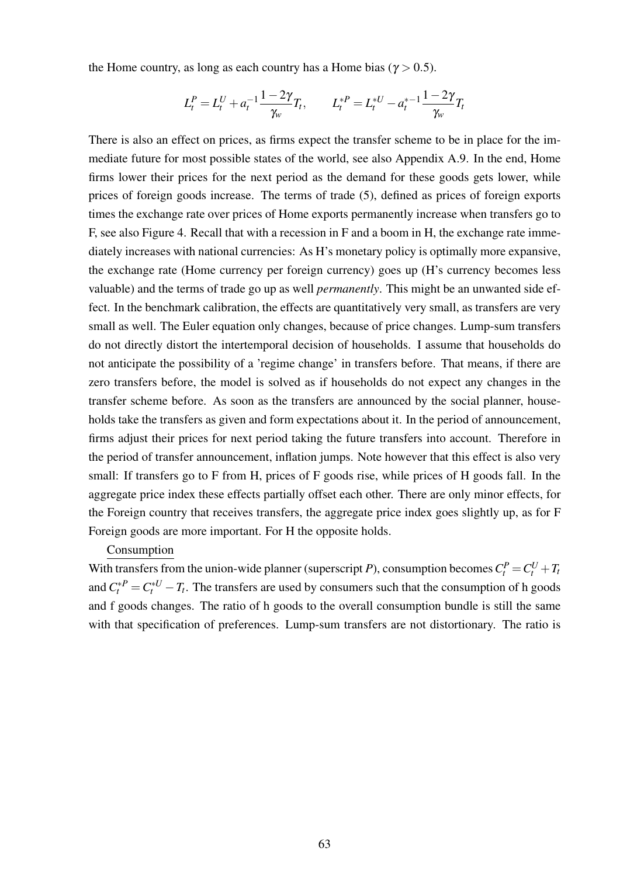the Home country, as long as each country has a Home bias ( $\gamma > 0.5$ ).

$$
L_t^P = L_t^U + a_t^{-1} \frac{1 - 2\gamma}{\gamma_w} T_t, \qquad L_t^{*P} = L_t^{*U} - a_t^{*-1} \frac{1 - 2\gamma}{\gamma_w} T_t
$$

There is also an effect on prices, as firms expect the transfer scheme to be in place for the immediate future for most possible states of the world, see also Appendix [A.9.](#page-64-0) In the end, Home firms lower their prices for the next period as the demand for these goods gets lower, while prices of foreign goods increase. The terms of trade [\(5\)](#page-8-0), defined as prices of foreign exports times the exchange rate over prices of Home exports permanently increase when transfers go to F, see also Figure [4.](#page-75-0) Recall that with a recession in F and a boom in H, the exchange rate immediately increases with national currencies: As H's monetary policy is optimally more expansive, the exchange rate (Home currency per foreign currency) goes up (H's currency becomes less valuable) and the terms of trade go up as well *permanently*. This might be an unwanted side effect. In the benchmark calibration, the effects are quantitatively very small, as transfers are very small as well. The Euler equation only changes, because of price changes. Lump-sum transfers do not directly distort the intertemporal decision of households. I assume that households do not anticipate the possibility of a 'regime change' in transfers before. That means, if there are zero transfers before, the model is solved as if households do not expect any changes in the transfer scheme before. As soon as the transfers are announced by the social planner, households take the transfers as given and form expectations about it. In the period of announcement, firms adjust their prices for next period taking the future transfers into account. Therefore in the period of transfer announcement, inflation jumps. Note however that this effect is also very small: If transfers go to F from H, prices of F goods rise, while prices of H goods fall. In the aggregate price index these effects partially offset each other. There are only minor effects, for the Foreign country that receives transfers, the aggregate price index goes slightly up, as for F Foreign goods are more important. For H the opposite holds.

#### Consumption

With transfers from the union-wide planner (superscript *P*), consumption becomes  $C_t^P = C_t^U + T_t$ and  $C_t^{*P} = C_t^{*U} - T_t$ . The transfers are used by consumers such that the consumption of h goods and f goods changes. The ratio of h goods to the overall consumption bundle is still the same with that specification of preferences. Lump-sum transfers are not distortionary. The ratio is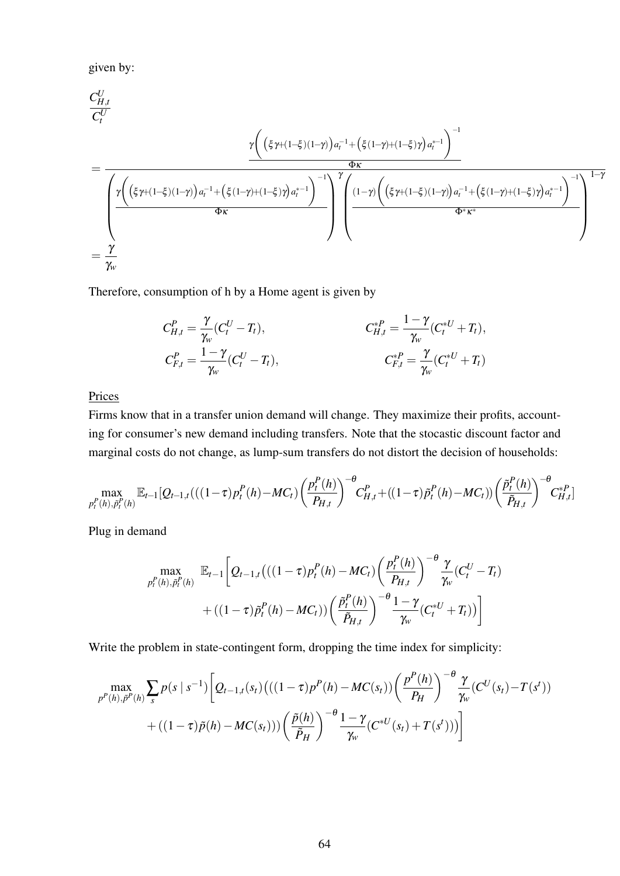given by:

$$
\begin{split} &\frac{C_{H,t}^U}{C_t^U} \\ &= \frac{\gamma \bigg( \big(\xi \gamma + (1-\xi)(1-\gamma)\big) a_t^{-1} + \big(\xi(1-\gamma) + (1-\xi)\gamma\big) a_t^{*-1} \bigg)^{-1} }{\Phi \kappa} \\ &= \frac{\gamma \bigg( \big(\xi \gamma + (1-\xi)(1-\gamma)\big) a_t^{-1} + \big(\xi(1-\gamma) + (1-\xi)\gamma\big) a_t^{*-1} \bigg)^{-1} \bigg)^{\gamma} \bigg( \frac{(1-\gamma) \bigg( \big(\xi \gamma + (1-\xi)(1-\gamma)\big) a_t^{-1} + \big(\xi(1-\gamma) + (1-\xi)\gamma\big) a_t^{*-1} \bigg)^{-1} }{\Phi^* \kappa^*} \\ &= \frac{\gamma}{\gamma_w} \end{split}
$$

Therefore, consumption of h by a Home agent is given by

$$
C_{H,t}^{P} = \frac{\gamma}{\gamma_w} (C_t^U - T_t),
$$
  
\n
$$
C_{H,t}^{P} = \frac{1 - \gamma}{\gamma_w} (C_t^U - T_t),
$$
  
\n
$$
C_{F,t}^{P} = \frac{\gamma}{\gamma_w} (C_t^{*U} + T_t),
$$
  
\n
$$
C_{F,t}^{*P} = \frac{\gamma}{\gamma_w} (C_t^{*U} + T_t)
$$

Prices

Firms know that in a transfer union demand will change. They maximize their profits, accounting for consumer's new demand including transfers. Note that the stocastic discount factor and marginal costs do not change, as lump-sum transfers do not distort the decision of households:

$$
\max_{p_t^P(h), \tilde{p}_t^P(h)} \mathbb{E}_{t-1}[Q_{t-1,t}(((1-\tau)p_t^P(h)-MC_t) \left(\frac{p_t^P(h)}{P_{H,t}}\right)^{-\theta} C_{H,t}^P + ((1-\tau)\tilde{p}_t^P(h)-MC_t)) \left(\frac{\tilde{p}_t^P(h)}{\tilde{P}_{H,t}}\right)^{-\theta} C_{H,t}^{*P}]
$$

Plug in demand

$$
\max_{p_t^P(h), \tilde{p}_t^P(h)} \mathbb{E}_{t-1} \bigg[ Q_{t-1,t} \big( ((1-\tau) p_t^P(h) - MC_t) \bigg( \frac{p_t^P(h)}{P_{H,t}} \bigg)^{-\theta} \frac{\gamma}{\gamma_w} (C_t^U - T_t) + ((1-\tau) \tilde{p}_t^P(h) - MC_t) \bigg( \frac{\tilde{p}_t^P(h)}{\tilde{P}_{H,t}} \bigg)^{-\theta} \frac{1-\gamma}{\gamma_w} (C_t^{*U} + T_t) \bigg]
$$

Write the problem in state-contingent form, dropping the time index for simplicity:

$$
\max_{p^{P}(h), \tilde{p}^{P}(h)} \sum_{s} p(s \mid s^{-1}) \left[ Q_{t-1,t}(s_{t}) \left( ((1-\tau)p^{P}(h) - MC(s_{t})) \left( \frac{p^{P}(h)}{P_{H}} \right)^{-\theta} \frac{\gamma}{\gamma_{w}} (C^{U}(s_{t}) - T(s^{t})) \right) \right] + \left( (1-\tau)\tilde{p}(h) - MC(s_{t})) \right) \left( \frac{\tilde{p}(h)}{\tilde{P}_{H}} \right)^{-\theta} \frac{1-\gamma}{\gamma_{w}} (C^{*U}(s_{t}) + T(s^{t})) \right)
$$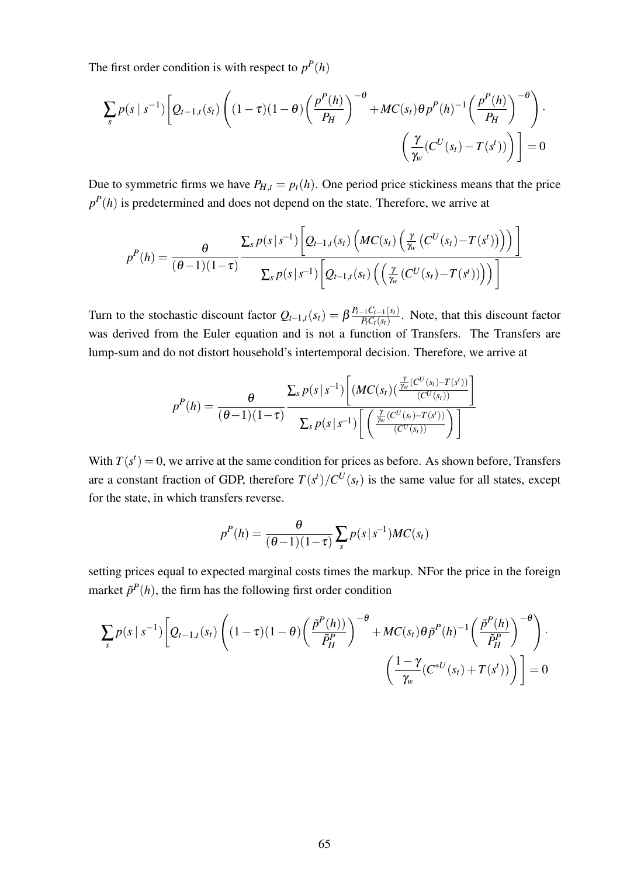The first order condition is with respect to  $p^P(h)$ 

$$
\sum_{s} p(s \mid s^{-1}) \left[ Q_{t-1,t}(s_t) \left( (1-\tau)(1-\theta) \left( \frac{p^P(h)}{P_H} \right)^{-\theta} + MC(s_t) \theta p^P(h)^{-1} \left( \frac{p^P(h)}{P_H} \right)^{-\theta} \right) \cdot \left( \frac{\gamma}{\gamma_w} (C^U(s_t) - T(s^t)) \right) \right] = 0
$$

Due to symmetric firms we have  $P_{H,t} = p_t(h)$ . One period price stickiness means that the price  $p<sup>P</sup>(h)$  is predetermined and does not depend on the state. Therefore, we arrive at

$$
p^{P}(h) = \frac{\theta}{(\theta-1)(1-\tau)} \frac{\sum_{s} p(s|s^{-1}) \left[Q_{t-1,t}(s_{t}) \left(MC(s_{t}) \left(\frac{\gamma}{\gamma_{w}} \left(C^{U}(s_{t})-T(s^{t})\right)\right)\right)\right]}{\sum_{s} p(s|s^{-1}) \left[Q_{t-1,t}(s_{t}) \left(\left(\frac{\gamma}{\gamma_{w}} \left(C^{U}(s_{t})-T(s^{t})\right)\right)\right)\right]}
$$

Turn to the stochastic discount factor  $Q_{t-1,t}(s_t) = \beta \frac{P_{t-1}C_{t-1}(s_t)}{PC_{t}(s_t)}$  $\frac{P_t - P_{t-1}(s_t)}{P_t C_t(s_t)}$ . Note, that this discount factor was derived from the Euler equation and is not a function of Transfers. The Transfers are lump-sum and do not distort household's intertemporal decision. Therefore, we arrive at

$$
p^{P}(h) = \frac{\theta}{(\theta-1)(1-\tau)} \frac{\sum_{s} p(s \, | \, s^{-1}) \left[ (MC(s_t) (\frac{\frac{\gamma}{\gamma_{w}}(C^U(s_t) - T(s^t))}{(C^U(s_t))}) \right]}{\sum_{s} p(s \, | \, s^{-1}) \left[ \left( \frac{\frac{\gamma}{\gamma_{w}}(C^U(s_t) - T(s^t))}{(C^U(s_t))} \right) \right]}
$$

With  $T(s^t) = 0$ , we arrive at the same condition for prices as before. As shown before, Transfers are a constant fraction of GDP, therefore  $T(s^t)/C^U(s_t)$  is the same value for all states, except for the state, in which transfers reverse.

$$
p^{P}(h) = \frac{\theta}{(\theta-1)(1-\tau)} \sum_{s} p(s|s^{-1})MC(s_t)
$$

setting prices equal to expected marginal costs times the markup. NFor the price in the foreign market  $\tilde{p}^P(h)$ , the firm has the following first order condition

$$
\sum_{s} p(s \mid s^{-1}) \left[ Q_{t-1,t}(s_t) \left( (1-\tau)(1-\theta) \left( \frac{\tilde{p}^P(h)}{\tilde{P}^P_H} \right)^{-\theta} + MC(s_t) \theta \tilde{p}^P(h)^{-1} \left( \frac{\tilde{p}^P(h)}{\tilde{P}^P_H} \right)^{-\theta} \right) \cdot \left( \frac{1-\gamma}{\gamma_w} (C^{*U}(s_t) + T(s^t)) \right) \right] = 0
$$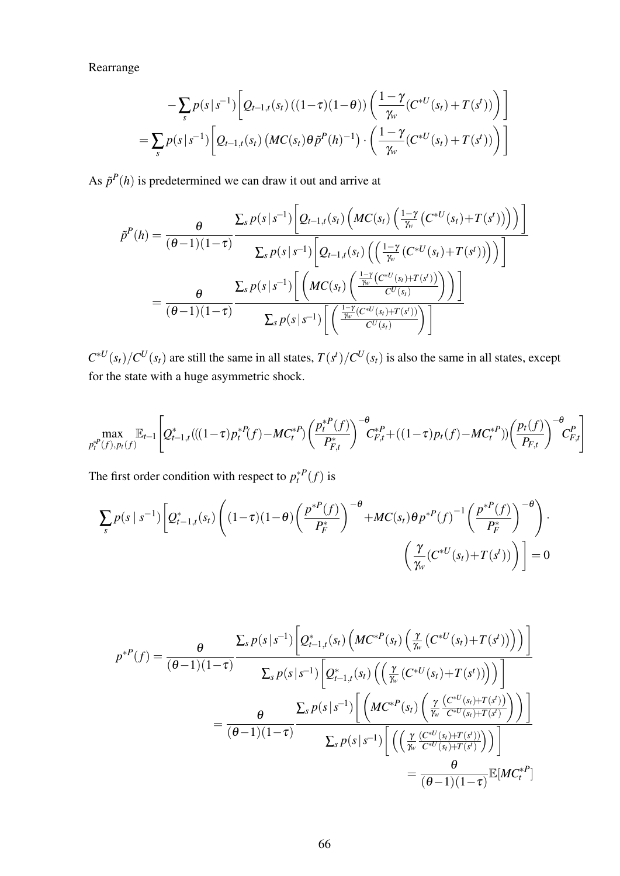Rearrange

$$
- \sum_{s} p(s|s^{-1}) \left[ Q_{t-1,t}(s_t) \left( (1-\tau)(1-\theta) \right) \left( \frac{1-\gamma}{\gamma_w} (C^{*U}(s_t) + T(s^t)) \right) \right]
$$
  
= 
$$
\sum_{s} p(s|s^{-1}) \left[ Q_{t-1,t}(s_t) \left( MC(s_t) \theta \tilde{p}^P(h)^{-1} \right) \cdot \left( \frac{1-\gamma}{\gamma_w} (C^{*U}(s_t) + T(s^t)) \right) \right]
$$

As  $\tilde{p}^P(h)$  is predetermined we can draw it out and arrive at

$$
\tilde{p}^{P}(h) = \frac{\theta}{(\theta-1)(1-\tau)} \frac{\sum_{s} p(s|s^{-1}) \left[Q_{t-1,t}(s_{t}) \left(MC(s_{t}) \left(\frac{1-\gamma}{\gamma_{w}} \left(C^{*U}(s_{t})+T(s^{t})\right)\right)\right)\right]}{\sum_{s} p(s|s^{-1}) \left[Q_{t-1,t}(s_{t}) \left(\left(\frac{1-\gamma}{\gamma_{w}} \left(C^{*U}(s_{t})+T(s^{t})\right)\right)\right)\right]} \\ = \frac{\theta}{(\theta-1)(1-\tau)} \frac{\sum_{s} p(s|s^{-1}) \left[\left(MC(s_{t}) \left(\frac{\frac{1-\gamma}{\gamma_{w}} \left(C^{*U}(s_{t})+T(s^{t})\right)}{C^{U}(s_{t})}\right)\right)\right]}{\sum_{s} p(s|s^{-1}) \left[\left(\frac{\frac{1-\gamma}{\gamma_{w}} \left(C^{*U}(s_{t})+T(s^{t})\right)}{C^{U}(s_{t})}\right)\right]}
$$

 $C^{*U}(s_t)/C^U(s_t)$  are still the same in all states,  $T(s^t)/C^U(s_t)$  is also the same in all states, except for the state with a huge asymmetric shock.

$$
\max_{p_t^{*P}(f), p_t(f)} \mathbb{E}_{t-1} \left[ Q_{t-1,t}^*((1-\tau)p_t^{*P}(f) - MC_t^{*P}) \left( \frac{p_t^{*P}(f)}{P_{F,t}^*} \right)^{-\theta} C_{F,t}^{*P} + ((1-\tau)p_t(f) - MC_t^{*P}) \left( \frac{p_t(f)}{P_{F,t}} \right)^{-\theta} C_{F,t}^P \right]
$$

The first order condition with respect to  $p_t^*$ <sup>*P*</sup>(*f*) is

$$
\sum_{s} p(s \mid s^{-1}) \left[ Q_{t-1,t}^*(s_t) \left( (1-\tau)(1-\theta) \left( \frac{p^{*P}(f)}{P_F^*} \right)^{-\theta} + MC(s_t) \theta p^{*P}(f)^{-1} \left( \frac{p^{*P}(f)}{P_F^*} \right)^{-\theta} \right) \cdot \left( \frac{\gamma}{\gamma_w} (C^{*U}(s_t) + T(s^t)) \right) \right] = 0
$$

$$
p^{*P}(f) = \frac{\theta}{(\theta-1)(1-\tau)} \frac{\sum_{s} p(s|s^{-1}) \left[Q_{t-1,t}^*(s_t) \left(MC^{*P}(s_t) \left(\frac{\gamma}{\gamma_w} \left(C^{*U}(s_t) + T(s^t)\right)\right)\right)\right]}{\sum_{s} p(s|s^{-1}) \left[Q_{t-1,t}^*(s_t) \left(\left(\frac{\gamma}{\gamma_w} \left(C^{*U}(s_t) + T(s^t)\right)\right)\right)\right]}
$$
  

$$
= \frac{\theta}{(\theta-1)(1-\tau)} \frac{\sum_{s} p(s|s^{-1}) \left[\left(MC^{*P}(s_t) \left(\frac{\gamma}{\gamma_w} \frac{\left(C^{*U}(s_t) + T(s^t)\right)}{C^{*U}(s_t) + T(s^t)}\right)\right)\right]}{\sum_{s} p(s|s^{-1}) \left[\left(\left(\frac{\gamma}{\gamma_w} \frac{\left(C^{*U}(s_t) + T(s^t)\right)}{C^{*U}(s_t) + T(s^t)}\right)\right)\right]}
$$
  

$$
= \frac{\theta}{(\theta-1)(1-\tau)} \mathbb{E}[MC_t^{*P}]
$$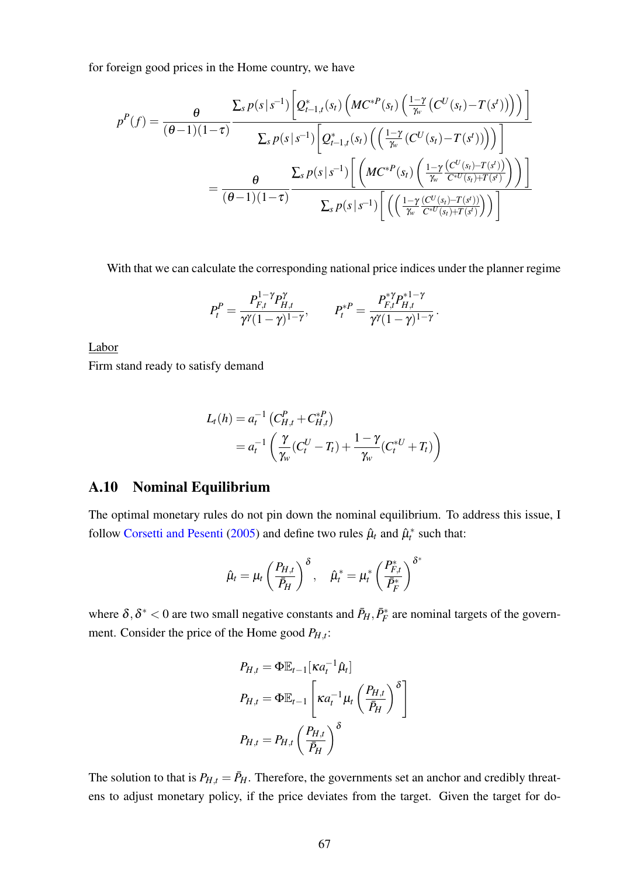for foreign good prices in the Home country, we have

$$
p^{P}(f) = \frac{\theta}{(\theta-1)(1-\tau)} \frac{\sum_{s} p(s|s^{-1}) \left[Q_{t-1,t}^{*}(s_{t}) \left(MC^{*P}(s_{t}) \left(\frac{1-\gamma}{\gamma_{w}}(C^{U}(s_{t})-T(s^{t}))\right)\right)\right]}{\sum_{s} p(s|s^{-1}) \left[Q_{t-1,t}^{*}(s_{t}) \left(\left(\frac{1-\gamma}{\gamma_{w}}(C^{U}(s_{t})-T(s^{t}))\right)\right)\right]}
$$

$$
= \frac{\theta}{(\theta-1)(1-\tau)} \frac{\sum_{s} p(s|s^{-1}) \left[\left(MC^{*P}(s_{t}) \left(\frac{1-\gamma}{\gamma_{w}}\frac{(C^{U}(s_{t})-T(s^{t}))}{C^{*U}(s_{t})+T(s^{t})}\right)\right)\right]}{\sum_{s} p(s|s^{-1}) \left[\left(\left(\frac{1-\gamma}{\gamma_{w}}\frac{(C^{U}(s_{t})-T(s^{t}))}{C^{*U}(s_{t})+T(s^{t})}\right)\right)\right]}
$$

With that we can calculate the corresponding national price indices under the planner regime

$$
P_t^P = \frac{P_{F,t}^{1-\gamma} P_{H,t}^{\gamma}}{\gamma^{\gamma} (1-\gamma)^{1-\gamma}}, \qquad P_t^{*P} = \frac{P_{F,t}^{* \gamma} P_{H,t}^{*1-\gamma}}{\gamma^{\gamma} (1-\gamma)^{1-\gamma}}.
$$

Labor

Firm stand ready to satisfy demand

$$
L_t(h) = a_t^{-1} \left( C_{H,t}^P + C_{H,t}^{*P} \right)
$$
  
=  $a_t^{-1} \left( \frac{\gamma}{\gamma_w} (C_t^U - T_t) + \frac{1 - \gamma}{\gamma_w} (C_t^{*U} + T_t) \right)$ 

## A.10 Nominal Equilibrium

The optimal monetary rules do not pin down the nominal equilibrium. To address this issue, I follow [Corsetti and Pesenti](#page-36-2) [\(2005\)](#page-36-2) and define two rules  $\hat{\mu}_t$  and  $\hat{\mu}_t^*$  such that:

$$
\hat{\mu}_t = \mu_t \left(\frac{P_{H,t}}{\bar{P}_H}\right)^{\delta}, \quad \hat{\mu}_t^* = \mu_t^* \left(\frac{P_{F,t}^*}{\bar{P}_F^*}\right)^{\delta^*}
$$

where  $\delta, \delta^*$  < 0 are two small negative constants and  $\bar{P}_H, \bar{P}_F^*$  are nominal targets of the government. Consider the price of the Home good *PH*,*<sup>t</sup>* :

$$
P_{H,t} = \Phi \mathbb{E}_{t-1} [\kappa a_t^{-1} \hat{\mu}_t]
$$
  
\n
$$
P_{H,t} = \Phi \mathbb{E}_{t-1} \left[ \kappa a_t^{-1} \mu_t \left( \frac{P_{H,t}}{\bar{P}_H} \right)^{\delta} \right]
$$
  
\n
$$
P_{H,t} = P_{H,t} \left( \frac{P_{H,t}}{\bar{P}_H} \right)^{\delta}
$$

The solution to that is  $P_{H,t} = \bar{P}_H$ . Therefore, the governments set an anchor and credibly threatens to adjust monetary policy, if the price deviates from the target. Given the target for do-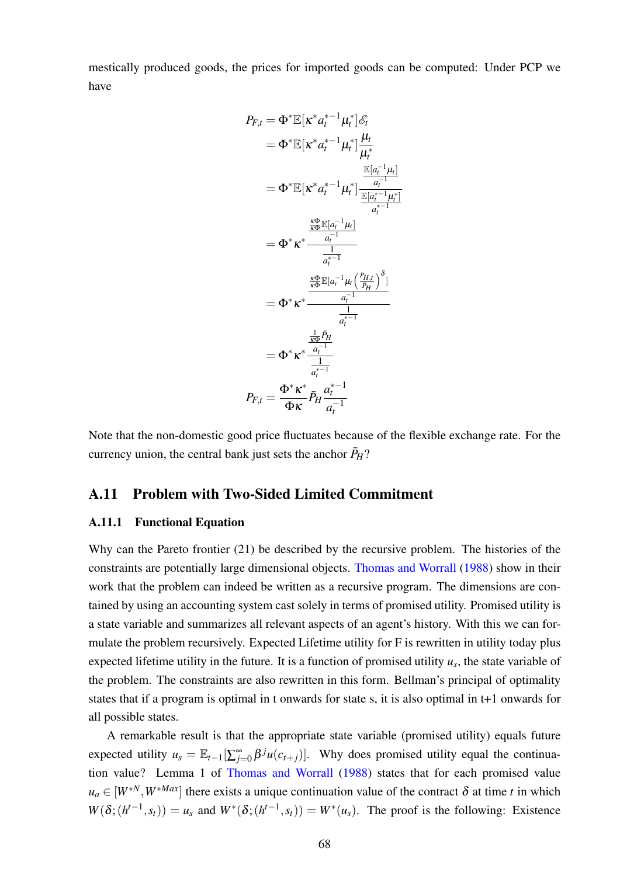mestically produced goods, the prices for imported goods can be computed: Under PCP we have

$$
P_{F,t} = \Phi^* \mathbb{E} [\kappa^* a_t^{*-1} \mu_t^*] \mathcal{E}_t
$$
  
\n
$$
= \Phi^* \mathbb{E} [\kappa^* a_t^{*-1} \mu_t^*] \frac{\mu_t}{\mu_t^*}
$$
  
\n
$$
= \Phi^* \mathbb{E} [\kappa^* a_t^{*-1} \mu_t^*] \frac{\frac{\mathbb{E}[a_t^{-1} \mu_t]}{\mu_t^*}}{\frac{a_t^{-1}}{a_t^{*-1}}}
$$
  
\n
$$
= \Phi^* \kappa^* \frac{\frac{\kappa \Phi}{a_t^{-1}}}{\frac{1}{a_t^{*-1}}}
$$
  
\n
$$
= \Phi^* \kappa^* \frac{\frac{\kappa \Phi}{a_t^{-1}}}{\frac{1}{\kappa \Phi} [\kappa_t^{-1} \mu_t (\frac{P_{H,t}}{P_H})^{\delta}]}{\frac{1}{a_t^{*-1}}}
$$
  
\n
$$
= \Phi^* \kappa^* \frac{\frac{\frac{1}{\kappa \Phi} P_{H}}{a_t^{-1}}}{\frac{1}{a_t^{*-1}}}
$$
  
\n
$$
P_{F,t} = \frac{\Phi^* \kappa^*}{\Phi \kappa} \bar{P}_H \frac{a_t^{*-1}}{a_t^{-1}}
$$

Note that the non-domestic good price fluctuates because of the flexible exchange rate. For the currency union, the central bank just sets the anchor  $\bar{P}_H$ ?

#### A.11 Problem with Two-Sided Limited Commitment

#### A.11.1 Functional Equation

Why can the Pareto frontier [\(21\)](#page-17-0) be described by the recursive problem. The histories of the constraints are potentially large dimensional objects. [Thomas and Worrall](#page-38-0) [\(1988\)](#page-38-0) show in their work that the problem can indeed be written as a recursive program. The dimensions are contained by using an accounting system cast solely in terms of promised utility. Promised utility is a state variable and summarizes all relevant aspects of an agent's history. With this we can formulate the problem recursively. Expected Lifetime utility for F is rewritten in utility today plus expected lifetime utility in the future. It is a function of promised utility *u<sup>s</sup>* , the state variable of the problem. The constraints are also rewritten in this form. Bellman's principal of optimality states that if a program is optimal in t onwards for state s, it is also optimal in t+1 onwards for all possible states.

A remarkable result is that the appropriate state variable (promised utility) equals future expected utility  $u_s = \mathbb{E}_{t-1}[\sum_{j=0}^{\infty} \beta^{j}u(c_{t+j})]$ . Why does promised utility equal the continuation value? Lemma 1 of [Thomas and Worrall](#page-38-0) [\(1988\)](#page-38-0) states that for each promised value  $u_a \in [W^{*N}, W^{*Max}]$  there exists a unique continuation value of the contract  $\delta$  at time *t* in which  $W(\delta; (h^{t-1}, s_t)) = u_s$  and  $W^*(\delta; (h^{t-1}, s_t)) = W^*(u_s)$ . The proof is the following: Existence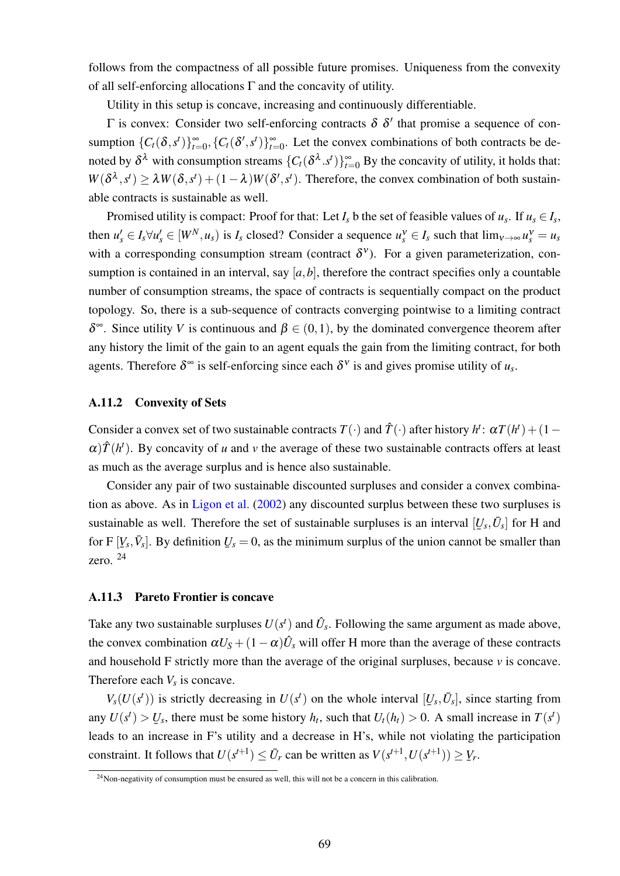follows from the compactness of all possible future promises. Uniqueness from the convexity of all self-enforcing allocations  $\Gamma$  and the concavity of utility.

Utility in this setup is concave, increasing and continuously differentiable.

 $Γ$  is convex: Consider two self-enforcing contracts  $δ δ'$  that promise a sequence of consumption  $\{C_t(\delta, s^t)\}_{t=0}^{\infty}, \{C_t(\delta', s^t)\}_{t=0}^{\infty}$ . Let the convex combinations of both contracts be denoted by  $\delta^{\lambda}$  with consumption streams  $\{C_t(\delta^{\lambda}.s^t)\}_{t=0}^{\infty}$  By the concavity of utility, it holds that:  $W(\delta^{\lambda}, s^t) \ge \lambda W(\delta, s^t) + (1 - \lambda)W(\delta', s^t)$ . Therefore, the convex combination of both sustainable contracts is sustainable as well.

Promised utility is compact: Proof for that: Let  $I_s$  b the set of feasible values of  $u_s$ . If  $u_s \in I_s$ , then  $u'_s \in I_s \forall u'_s \in [W^N, u_s)$  is  $I_s$  closed? Consider a sequence  $u_s^v \in I_s$  such that  $\lim_{v \to \infty} u_s^v = u_s$ with a corresponding consumption stream (contract  $\delta^v$ ). For a given parameterization, consumption is contained in an interval, say  $[a, b]$ , therefore the contract specifies only a countable number of consumption streams, the space of contracts is sequentially compact on the product topology. So, there is a sub-sequence of contracts converging pointwise to a limiting contract δ<sup>∞</sup>. Since utility *V* is continuous and  $β ∈ (0,1)$ , by the dominated convergence theorem after any history the limit of the gain to an agent equals the gain from the limiting contract, for both agents. Therefore  $\delta^{\infty}$  is self-enforcing since each  $\delta^{\nu}$  is and gives promise utility of  $u_s$ .

#### A.11.2 Convexity of Sets

Consider a convex set of two sustainable contracts  $T(\cdot)$  and  $\hat{T}(\cdot)$  after history  $h^t: \alpha T(h^t) + (1 \alpha$ ) $\hat{T}(h^t)$ . By concavity of *u* and *v* the average of these two sustainable contracts offers at least as much as the average surplus and is hence also sustainable.

Consider any pair of two sustainable discounted surpluses and consider a convex combination as above. As in [Ligon et al.](#page-37-0) [\(2002\)](#page-37-0) any discounted surplus between these two surpluses is sustainable as well. Therefore the set of sustainable surpluses is an interval  $[U_s, \bar{U}_s]$  for H and ¯ for  $F[Y_s, \bar{V}_s]$ . By definition zero.  $^{24}$  $^{24}$  $^{24}$  $U_s = 0$ , as the minimum surplus of the union cannot be smaller than

#### A.11.3 Pareto Frontier is concave

Take any two sustainable surpluses  $U(s^t)$  and  $\hat{U}_s$ . Following the same argument as made above, the convex combination  $\alpha U_S + (1 - \alpha) \hat{U}_s$  will offer H more than the average of these contracts and household F strictly more than the average of the original surpluses, because  $\nu$  is concave. Therefore each  $V_s$  is concave.

 $V_s(U(s^t))$  is strictly decreasing in  $U(s^t)$  on the whole interval  $[U_s, \bar{U}_s]$ , since starting from ¯ any  $U(s^t) > U_s$ , there must be some history  $h_t$ , such that  $U_t(h_t) > 0$ . A small increase in  $T(s^t)$ ¯ leads to an increase in F's utility and a decrease in H's, while not violating the participation constraint. It follows that  $U(s^{t+1}) \leq \bar{U}_r$  can be written as  $V(s^{t+1}, U(s^{t+1})) \geq$ ¯ *Vr* .

<span id="page-71-0"></span> $24$ Non-negativity of consumption must be ensured as well, this will not be a concern in this calibration.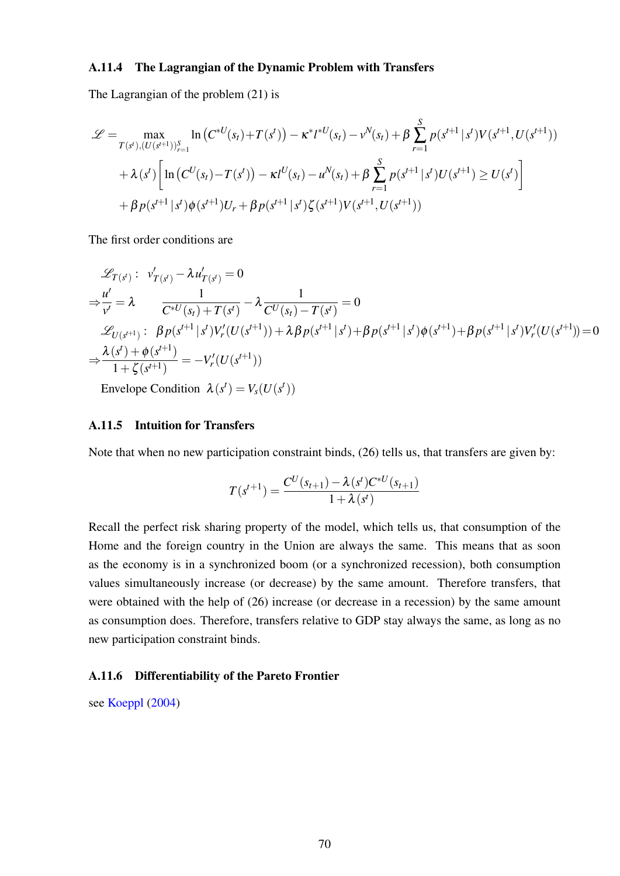#### A.11.4 The Lagrangian of the Dynamic Problem with Transfers

The Lagrangian of the problem [\(21\)](#page-17-0) is

$$
\mathcal{L} = \max_{T(s^t), (U(s^{t+1}))_{r=1}^S} \ln (C^{*U}(s_t) + T(s^t)) - \kappa^* l^{*U}(s_t) - \nu^N(s_t) + \beta \sum_{r=1}^S p(s^{t+1} | s^t) V(s^{t+1}, U(s^{t+1}))
$$
  
+  $\lambda(s^t) \Big[ \ln (C^U(s_t) - T(s^t)) - \kappa l^U(s_t) - u^N(s_t) + \beta \sum_{r=1}^S p(s^{t+1} | s^t) U(s^{t+1}) \ge U(s^t) \Big] + \beta p(s^{t+1} | s^t) \phi(s^{t+1}) U_r + \beta p(s^{t+1} | s^t) \zeta(s^{t+1}) V(s^{t+1}, U(s^{t+1}))$ 

The first order conditions are

$$
\mathcal{L}_{T(s^{t})}: \quad v'_{T(s^{t})} - \lambda u'_{T(s^{t})} = 0
$$
\n
$$
\Rightarrow \frac{u'}{v'} = \lambda \qquad \frac{1}{C^{*U}(s_{t}) + T(s^{t})} - \lambda \frac{1}{C^{U}(s_{t}) - T(s^{t})} = 0
$$
\n
$$
\mathcal{L}_{U(s^{t+1})}: \quad \beta p(s^{t+1} | s^{t}) V'_{r}(U(s^{t+1})) + \lambda \beta p(s^{t+1} | s^{t}) + \beta p(s^{t+1} | s^{t}) \phi(s^{t+1}) + \beta p(s^{t+1} | s^{t}) V'_{r}(U(s^{t+1})) = 0
$$
\n
$$
\Rightarrow \frac{\lambda(s^{t}) + \phi(s^{t+1})}{1 + \zeta(s^{t+1})} = -V'_{r}(U(s^{t+1}))
$$

Envelope Condition  $\lambda(s^t) = V_s(U(s^t))$ 

### A.11.5 Intuition for Transfers

Note that when no new participation constraint binds, [\(26\)](#page-19-0) tells us, that transfers are given by:

$$
T(s^{t+1}) = \frac{C^U(s_{t+1}) - \lambda(s^t)C^{*U}(s_{t+1})}{1 + \lambda(s^t)}
$$

Recall the perfect risk sharing property of the model, which tells us, that consumption of the Home and the foreign country in the Union are always the same. This means that as soon as the economy is in a synchronized boom (or a synchronized recession), both consumption values simultaneously increase (or decrease) by the same amount. Therefore transfers, that were obtained with the help of [\(26\)](#page-19-0) increase (or decrease in a recession) by the same amount as consumption does. Therefore, transfers relative to GDP stay always the same, as long as no new participation constraint binds.

#### A.11.6 Differentiability of the Pareto Frontier

see [Koeppl](#page-37-0) [\(2004\)](#page-37-0)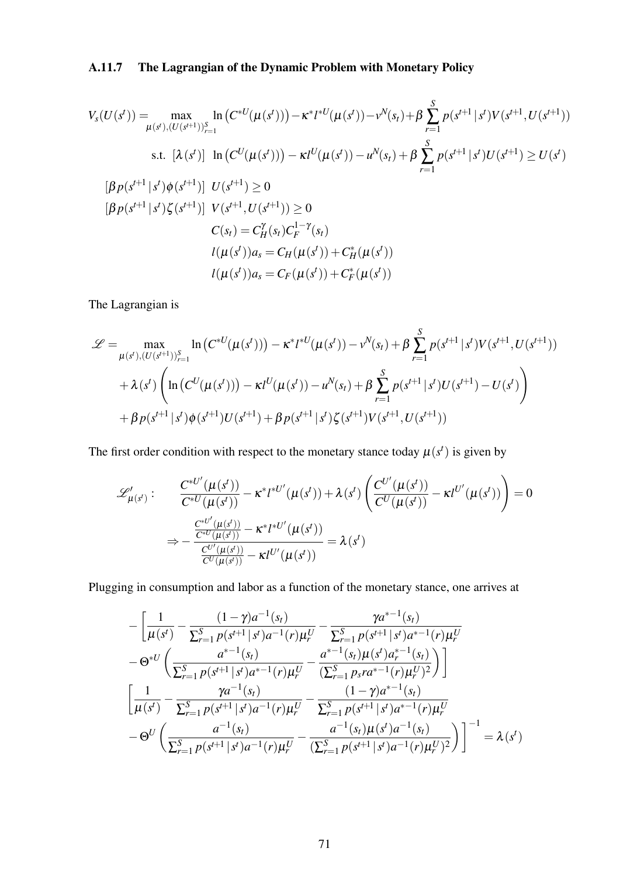# A.11.7 The Lagrangian of the Dynamic Problem with Monetary Policy

$$
V_{s}(U(s^{t})) = \max_{\mu(s^{t}), (U(s^{t+1}))_{r=1}^{S}} \ln (C^{*U}(\mu(s^{t}))) - \kappa^{*} l^{*U}(\mu(s^{t})) - \nu^{N}(s_{t}) + \beta \sum_{r=1}^{S} p(s^{t+1} | s^{t}) V(s^{t+1}, U(s^{t+1}))
$$
  
s.t.  $[\lambda(s^{t})]$   $\ln (C^{U}(\mu(s^{t}))) - \kappa l^{U}(\mu(s^{t})) - u^{N}(s_{t}) + \beta \sum_{r=1}^{S} p(s^{t+1} | s^{t}) U(s^{t+1}) \ge U(s^{t})$   
 $[\beta p(s^{t+1} | s^{t}) \phi(s^{t+1})]$   $U(s^{t+1}) \ge 0$   

$$
[\beta p(s^{t+1} | s^{t}) \zeta(s^{t+1})]
$$
  $V(s^{t+1}, U(s^{t+1})) \ge 0$   

$$
C(s_{t}) = C_{H}^{\gamma}(s_{t}) C_{F}^{1-\gamma}(s_{t})
$$
  

$$
l(\mu(s^{t})) a_{s} = C_{H}(\mu(s^{t})) + C_{H}^{*}(\mu(s^{t}))
$$
  

$$
l(\mu(s^{t})) a_{s} = C_{F}(\mu(s^{t})) + C_{F}^{*}(\mu(s^{t}))
$$

The Lagrangian is

$$
\mathcal{L} = \max_{\mu(s^t), (U(s^{t+1}))_{r=1}^S} \ln (C^{*U}(\mu(s^t))) - \kappa^* l^{*U}(\mu(s^t)) - \nu^N(s_t) + \beta \sum_{r=1}^S p(s^{t+1} | s^t) V(s^{t+1}, U(s^{t+1}))
$$
  
+  $\lambda(s^t) \left( \ln (C^U(\mu(s^t))) - \kappa l^U(\mu(s^t)) - u^N(s_t) + \beta \sum_{r=1}^S p(s^{t+1} | s^t) U(s^{t+1}) - U(s^t) \right)$   
+  $\beta p(s^{t+1} | s^t) \phi(s^{t+1}) U(s^{t+1}) + \beta p(s^{t+1} | s^t) \zeta(s^{t+1}) V(s^{t+1}, U(s^{t+1}))$ 

The first order condition with respect to the monetary stance today  $\mu(s^t)$  is given by

$$
\mathcal{L}'_{\mu(s')} : \frac{C^{*U'}(\mu(s'))}{C^{*U}(\mu(s'))} - \kappa^* l^{*U'}(\mu(s')) + \lambda(s') \left( \frac{C^{U'}(\mu(s'))}{C^U(\mu(s'))} - \kappa l^{U'}(\mu(s')) \right) = 0
$$
  

$$
\Rightarrow -\frac{\frac{C^{*U'}(\mu(s'))}{C^{*U}(\mu(s'))} - \kappa^* l^{*U'}(\mu(s'))}{\frac{C^{U'}(\mu(s'))}{C^U(\mu(s'))} - \kappa l^{U'}(\mu(s'))} = \lambda(s')
$$

Plugging in consumption and labor as a function of the monetary stance, one arrives at

$$
-\left[\frac{1}{\mu(s^{t})}-\frac{(1-\gamma)a^{-1}(s_{t})}{\sum_{r=1}^{S}p(s^{t+1}|s^{t})a^{-1}(r)\mu_{r}^{U}}-\frac{\gamma a^{s-1}(s_{t})}{\sum_{r=1}^{S}p(s^{t+1}|s^{t})a^{s-1}(r)\mu_{r}^{U}}\right]
$$

$$
-\Theta^{*U}\left(\frac{a^{s-1}(s_{t})}{\sum_{r=1}^{S}p(s^{t+1}|s^{t})a^{s-1}(r)\mu_{r}^{U}}-\frac{a^{s-1}(s_{t})\mu(s^{t})a_{r}^{s-1}(s_{t})}{(\sum_{r=1}^{S}p_{s}a^{s-1}(r)\mu_{r}^{U})^{2}}\right)\right]
$$

$$
\left[\frac{1}{\mu(s^{t})}-\frac{\gamma a^{-1}(s_{t})}{\sum_{r=1}^{S}p(s^{t+1}|s^{t})a^{-1}(r)\mu_{r}^{U}}-\frac{(1-\gamma)a^{s-1}(s_{t})}{\sum_{r=1}^{S}p(s^{t+1}|s^{t})a^{s-1}(r)\mu_{r}^{U}}\right]
$$

$$
-\Theta^{U}\left(\frac{a^{-1}(s_{t})}{\sum_{r=1}^{S}p(s^{t+1}|s^{t})a^{-1}(r)\mu_{r}^{U}}-\frac{a^{-1}(s_{t})\mu(s^{t})a^{-1}(s_{t})}{(\sum_{r=1}^{S}p(s^{t+1}|s^{t})a^{-1}(r)\mu_{r}^{U})^{2}}\right)\right]^{-1}=\lambda(s^{t})
$$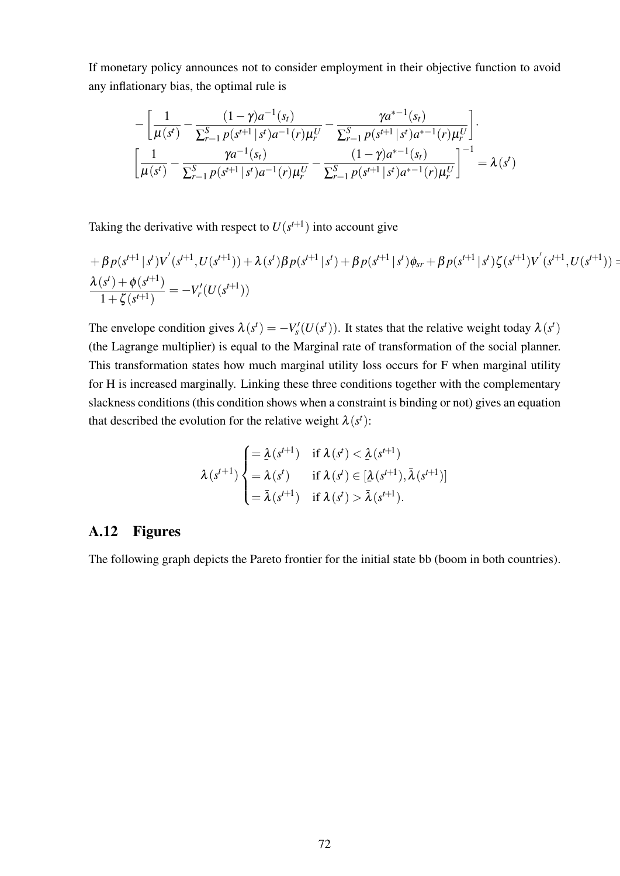If monetary policy announces not to consider employment in their objective function to avoid any inflationary bias, the optimal rule is

$$
-\left[\frac{1}{\mu(s^t)} - \frac{(1-\gamma)a^{-1}(s_t)}{\sum_{r=1}^S p(s^{t+1} | s^t)a^{-1}(r)\mu_r^U} - \frac{\gamma a^{r+1}(s_t)}{\sum_{r=1}^S p(s^{t+1} | s^t)a^{r-1}(r)\mu_r^U}\right].
$$
  

$$
\left[\frac{1}{\mu(s^t)} - \frac{\gamma a^{-1}(s_t)}{\sum_{r=1}^S p(s^{t+1} | s^t)a^{-1}(r)\mu_r^U} - \frac{(1-\gamma)a^{r+1}(s_t)}{\sum_{r=1}^S p(s^{t+1} | s^t)a^{r-1}(r)\mu_r^U}\right]^{-1} = \lambda(s^t)
$$

Taking the derivative with respect to  $U(s^{t+1})$  into account give

$$
+\beta p(s^{t+1} | s^t) V^{'}(s^{t+1}, U(s^{t+1})) + \lambda (s^t) \beta p(s^{t+1} | s^t) + \beta p(s^{t+1} | s^t) \phi_{sr} + \beta p(s^{t+1} | s^t) \zeta(s^{t+1}) V^{'}(s^{t+1}, U(s^{t+1})) = \frac{\lambda(s^t) + \phi(s^{t+1})}{1 + \zeta(s^{t+1})} = -V'_r(U(s^{t+1}))
$$

The envelope condition gives  $\lambda(s^t) = -V'_s(U(s^t))$ . It states that the relative weight today  $\lambda(s^t)$ (the Lagrange multiplier) is equal to the Marginal rate of transformation of the social planner. This transformation states how much marginal utility loss occurs for F when marginal utility for H is increased marginally. Linking these three conditions together with the complementary slackness conditions (this condition shows when a constraint is binding or not) gives an equation that described the evolution for the relative weight  $\lambda(s^t)$ :

$$
\lambda(s^{t+1}) \begin{cases} = \lambda(s^{t+1}) & \text{if } \lambda(s^t) < \underline{\lambda}(s^{t+1}) \\ = \lambda(s^t) & \text{if } \lambda(s^t) \in [\underline{\lambda}(s^{t+1}), \overline{\lambda}(s^{t+1})] \\ = \overline{\lambda}(s^{t+1}) & \text{if } \lambda(s^t) > \overline{\lambda}(s^{t+1}). \end{cases}
$$

## A.12 Figures

The following graph depicts the Pareto frontier for the initial state bb (boom in both countries).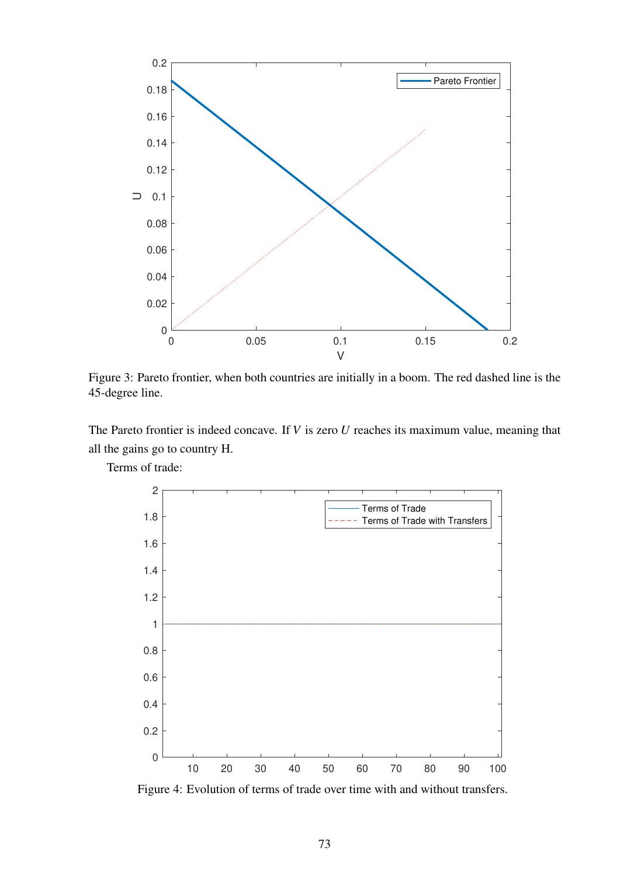

Figure 3: Pareto frontier, when both countries are initially in a boom. The red dashed line is the 45-degree line.

The Pareto frontier is indeed concave. If *V* is zero *U* reaches its maximum value, meaning that all the gains go to country H.

Terms of trade:



Figure 4: Evolution of terms of trade over time with and without transfers.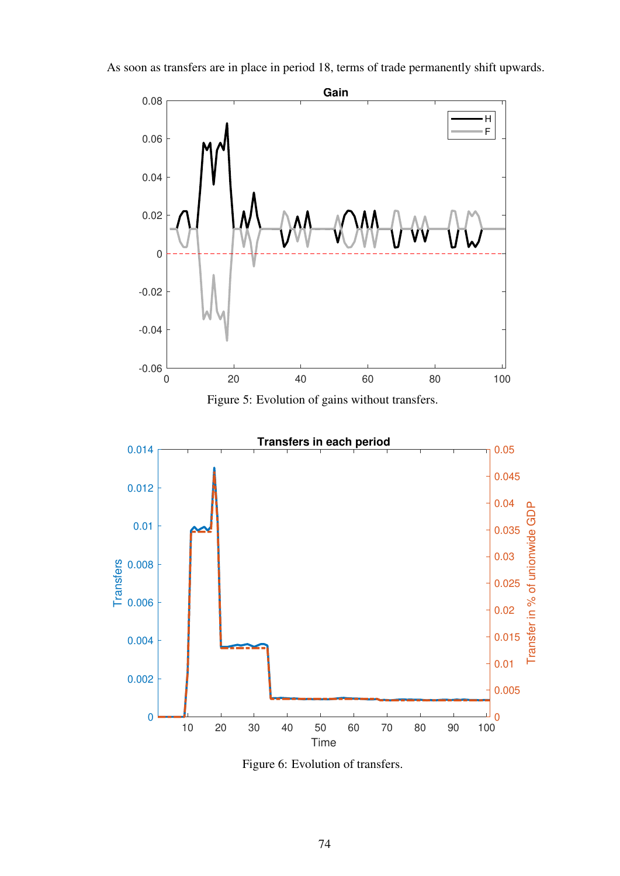

As soon as transfers are in place in period 18, terms of trade permanently shift upwards.



Figure 6: Evolution of transfers.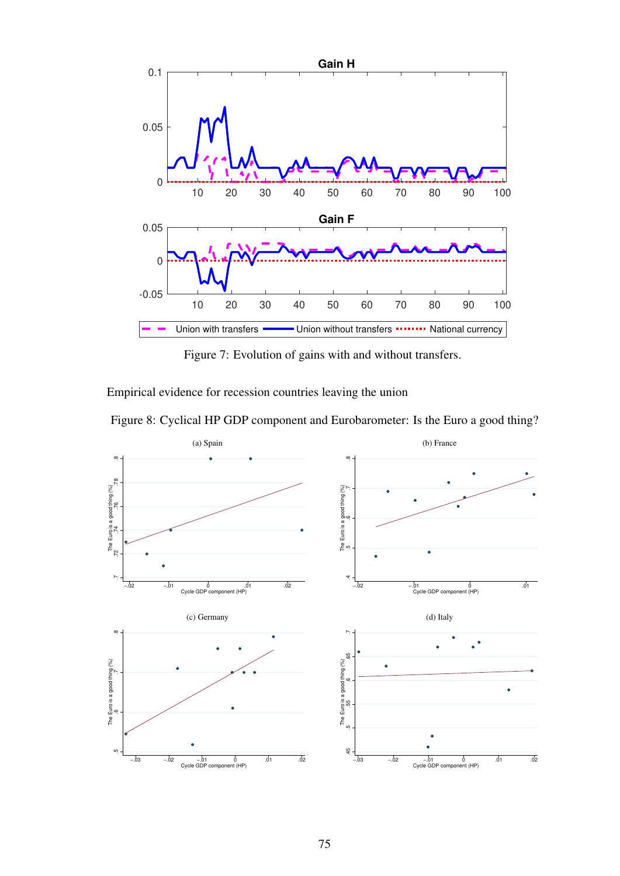

Figure 7: Evolution of gains with and without transfers.

Empirical evidence for recession countries leaving the union



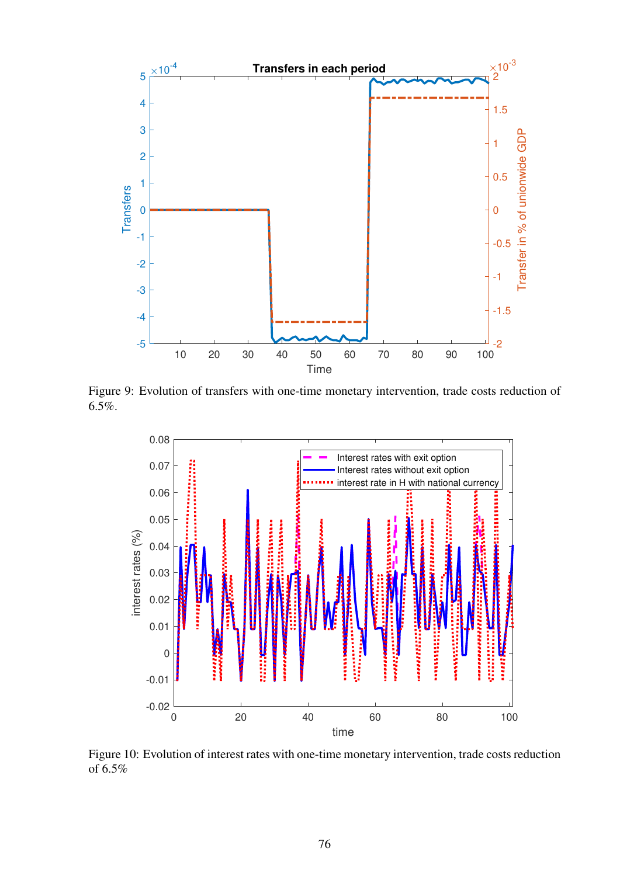

Figure 9: Evolution of transfers with one-time monetary intervention, trade costs reduction of 6.5%.



Figure 10: Evolution of interest rates with one-time monetary intervention, trade costs reduction of 6.5%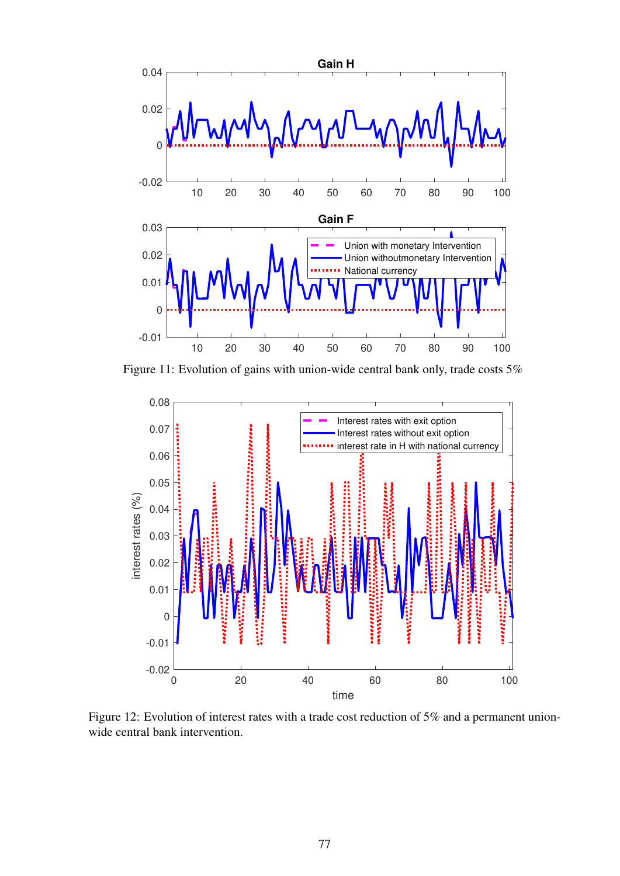

Figure 11: Evolution of gains with union-wide central bank only, trade costs 5%



Figure 12: Evolution of interest rates with a trade cost reduction of 5% and a permanent unionwide central bank intervention.